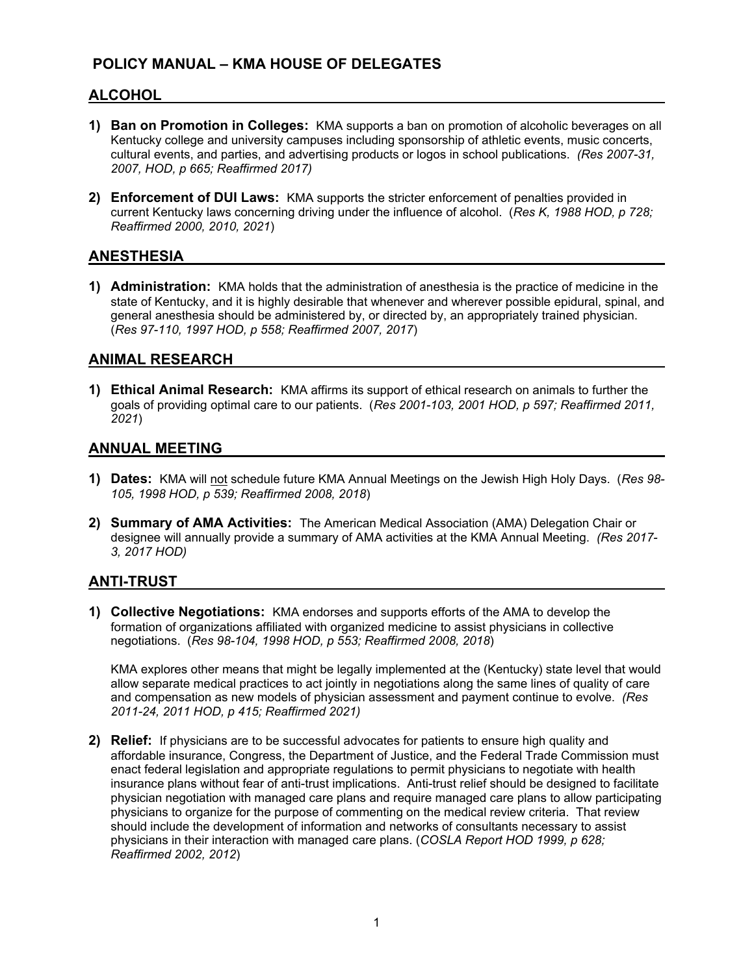# **POLICY MANUAL – KMA HOUSE OF DELEGATES**

## **ALCOHOL**

- **1) Ban on Promotion in Colleges:** KMA supports a ban on promotion of alcoholic beverages on all Kentucky college and university campuses including sponsorship of athletic events, music concerts, cultural events, and parties, and advertising products or logos in school publications. *(Res 2007-31, 2007, HOD, p 665; Reaffirmed 2017)*
- **2) Enforcement of DUI Laws:** KMA supports the stricter enforcement of penalties provided in current Kentucky laws concerning driving under the influence of alcohol. (*Res K, 1988 HOD, p 728; Reaffirmed 2000, 2010, 2021*)

#### **ANESTHESIA**

**1) Administration:** KMA holds that the administration of anesthesia is the practice of medicine in the state of Kentucky, and it is highly desirable that whenever and wherever possible epidural, spinal, and general anesthesia should be administered by, or directed by, an appropriately trained physician. (*Res 97-110, 1997 HOD, p 558; Reaffirmed 2007, 2017*)

#### **ANIMAL RESEARCH**

**1) Ethical Animal Research:** KMA affirms its support of ethical research on animals to further the goals of providing optimal care to our patients. (*Res 2001-103, 2001 HOD, p 597; Reaffirmed 2011, 2021*)

#### **ANNUAL MEETING**

- **1) Dates:** KMA will not schedule future KMA Annual Meetings on the Jewish High Holy Days. (*Res 98- 105, 1998 HOD, p 539; Reaffirmed 2008, 2018*)
- **2) Summary of AMA Activities:** The American Medical Association (AMA) Delegation Chair or designee will annually provide a summary of AMA activities at the KMA Annual Meeting. *(Res 2017- 3, 2017 HOD)*

#### **ANTI-TRUST**

**1) Collective Negotiations:** KMA endorses and supports efforts of the AMA to develop the formation of organizations affiliated with organized medicine to assist physicians in collective negotiations. (*Res 98-104, 1998 HOD, p 553; Reaffirmed 2008, 2018*)

KMA explores other means that might be legally implemented at the (Kentucky) state level that would allow separate medical practices to act jointly in negotiations along the same lines of quality of care and compensation as new models of physician assessment and payment continue to evolve. *(Res 2011-24, 2011 HOD, p 415; Reaffirmed 2021)* 

**2) Relief:** If physicians are to be successful advocates for patients to ensure high quality and affordable insurance, Congress, the Department of Justice, and the Federal Trade Commission must enact federal legislation and appropriate regulations to permit physicians to negotiate with health insurance plans without fear of anti-trust implications. Anti-trust relief should be designed to facilitate physician negotiation with managed care plans and require managed care plans to allow participating physicians to organize for the purpose of commenting on the medical review criteria. That review should include the development of information and networks of consultants necessary to assist physicians in their interaction with managed care plans. (*COSLA Report HOD 1999, p 628; Reaffirmed 2002, 2012*)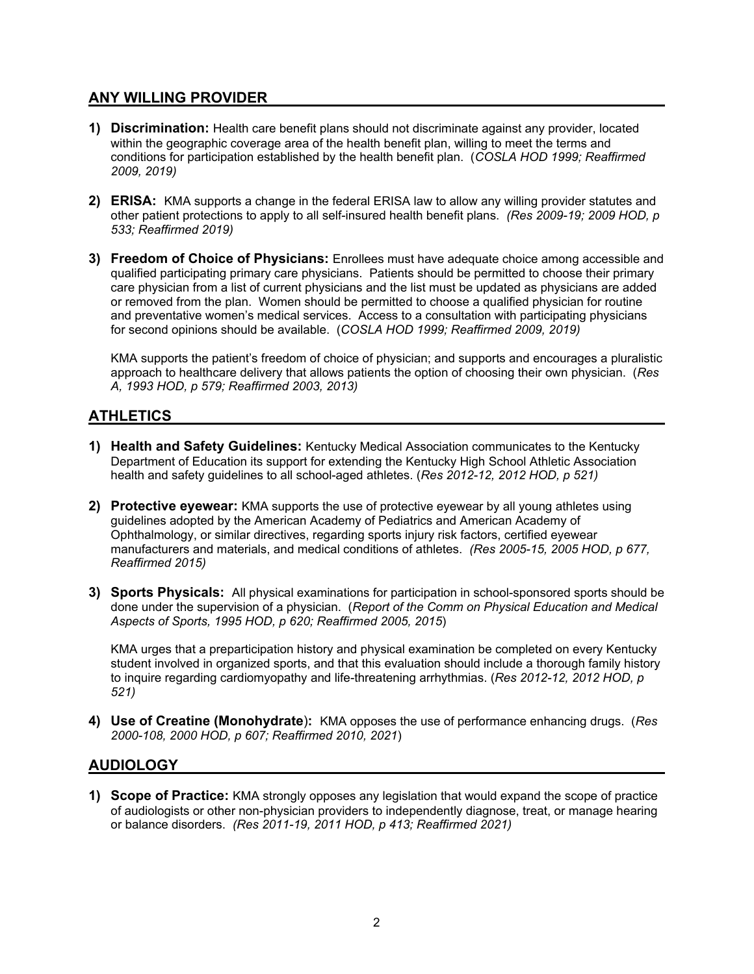#### **ANY WILLING PROVIDER**

- **1) Discrimination:** Health care benefit plans should not discriminate against any provider, located within the geographic coverage area of the health benefit plan, willing to meet the terms and conditions for participation established by the health benefit plan. (*COSLA HOD 1999; Reaffirmed 2009, 2019)*
- **2) ERISA:** KMA supports a change in the federal ERISA law to allow any willing provider statutes and other patient protections to apply to all self-insured health benefit plans. *(Res 2009-19; 2009 HOD, p 533; Reaffirmed 2019)*
- **3) Freedom of Choice of Physicians:** Enrollees must have adequate choice among accessible and qualified participating primary care physicians. Patients should be permitted to choose their primary care physician from a list of current physicians and the list must be updated as physicians are added or removed from the plan. Women should be permitted to choose a qualified physician for routine and preventative women's medical services. Access to a consultation with participating physicians for second opinions should be available. (*COSLA HOD 1999; Reaffirmed 2009, 2019)*

KMA supports the patient's freedom of choice of physician; and supports and encourages a pluralistic approach to healthcare delivery that allows patients the option of choosing their own physician. (*Res A, 1993 HOD, p 579; Reaffirmed 2003, 2013)* 

# **ATHLETICS**

- **1) Health and Safety Guidelines:** Kentucky Medical Association communicates to the Kentucky Department of Education its support for extending the Kentucky High School Athletic Association health and safety guidelines to all school-aged athletes. (*Res 2012-12, 2012 HOD, p 521)*
- **2) Protective eyewear:** KMA supports the use of protective eyewear by all young athletes using guidelines adopted by the American Academy of Pediatrics and American Academy of Ophthalmology, or similar directives, regarding sports injury risk factors, certified eyewear manufacturers and materials, and medical conditions of athletes. *(Res 2005-15, 2005 HOD, p 677, Reaffirmed 2015)*
- **3) Sports Physicals:** All physical examinations for participation in school-sponsored sports should be done under the supervision of a physician. (*Report of the Comm on Physical Education and Medical Aspects of Sports, 1995 HOD, p 620; Reaffirmed 2005, 2015*)

KMA urges that a preparticipation history and physical examination be completed on every Kentucky student involved in organized sports, and that this evaluation should include a thorough family history to inquire regarding cardiomyopathy and life-threatening arrhythmias. (*Res 2012-12, 2012 HOD, p 521)* 

**4) Use of Creatine (Monohydrate**)**:** KMA opposes the use of performance enhancing drugs. (*Res 2000-108, 2000 HOD, p 607; Reaffirmed 2010, 2021*)

# **AUDIOLOGY**

**1) Scope of Practice:** KMA strongly opposes any legislation that would expand the scope of practice of audiologists or other non-physician providers to independently diagnose, treat, or manage hearing or balance disorders. *(Res 2011-19, 2011 HOD, p 413; Reaffirmed 2021)*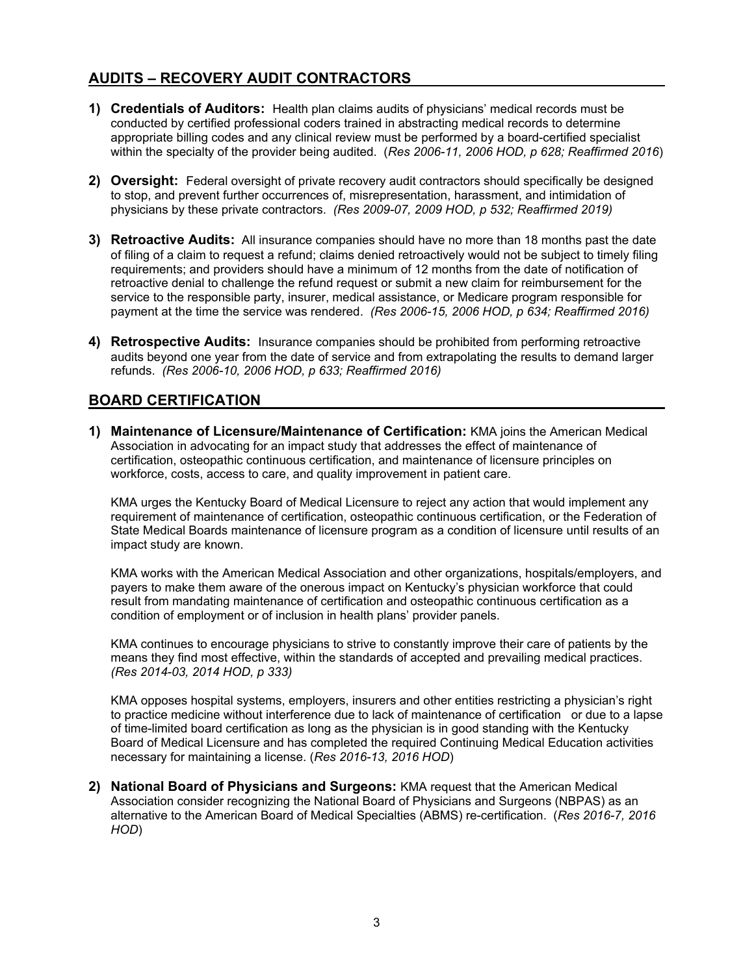# **AUDITS – RECOVERY AUDIT CONTRACTORS**

- **1) Credentials of Auditors:** Health plan claims audits of physicians' medical records must be conducted by certified professional coders trained in abstracting medical records to determine appropriate billing codes and any clinical review must be performed by a board-certified specialist within the specialty of the provider being audited. (*Res 2006-11, 2006 HOD, p 628; Reaffirmed 2016*)
- **2) Oversight:** Federal oversight of private recovery audit contractors should specifically be designed to stop, and prevent further occurrences of, misrepresentation, harassment, and intimidation of physicians by these private contractors. *(Res 2009-07, 2009 HOD, p 532; Reaffirmed 2019)*
- **3) Retroactive Audits:** All insurance companies should have no more than 18 months past the date of filing of a claim to request a refund; claims denied retroactively would not be subject to timely filing requirements; and providers should have a minimum of 12 months from the date of notification of retroactive denial to challenge the refund request or submit a new claim for reimbursement for the service to the responsible party, insurer, medical assistance, or Medicare program responsible for payment at the time the service was rendered. *(Res 2006-15, 2006 HOD, p 634; Reaffirmed 2016)*
- **4) Retrospective Audits:** Insurance companies should be prohibited from performing retroactive audits beyond one year from the date of service and from extrapolating the results to demand larger refunds. *(Res 2006-10, 2006 HOD, p 633; Reaffirmed 2016)*

# **BOARD CERTIFICATION**

**1) Maintenance of Licensure/Maintenance of Certification:** KMA joins the American Medical Association in advocating for an impact study that addresses the effect of maintenance of certification, osteopathic continuous certification, and maintenance of licensure principles on workforce, costs, access to care, and quality improvement in patient care.

KMA urges the Kentucky Board of Medical Licensure to reject any action that would implement any requirement of maintenance of certification, osteopathic continuous certification, or the Federation of State Medical Boards maintenance of licensure program as a condition of licensure until results of an impact study are known.

KMA works with the American Medical Association and other organizations, hospitals/employers, and payers to make them aware of the onerous impact on Kentucky's physician workforce that could result from mandating maintenance of certification and osteopathic continuous certification as a condition of employment or of inclusion in health plans' provider panels.

KMA continues to encourage physicians to strive to constantly improve their care of patients by the means they find most effective, within the standards of accepted and prevailing medical practices. *(Res 2014-03, 2014 HOD, p 333)* 

KMA opposes hospital systems, employers, insurers and other entities restricting a physician's right to practice medicine without interference due to lack of maintenance of certification or due to a lapse of time-limited board certification as long as the physician is in good standing with the Kentucky Board of Medical Licensure and has completed the required Continuing Medical Education activities necessary for maintaining a license. (*Res 2016-13, 2016 HOD*)

**2) National Board of Physicians and Surgeons:** KMA request that the American Medical Association consider recognizing the National Board of Physicians and Surgeons (NBPAS) as an alternative to the American Board of Medical Specialties (ABMS) re-certification. (*Res 2016-7, 2016 HOD*)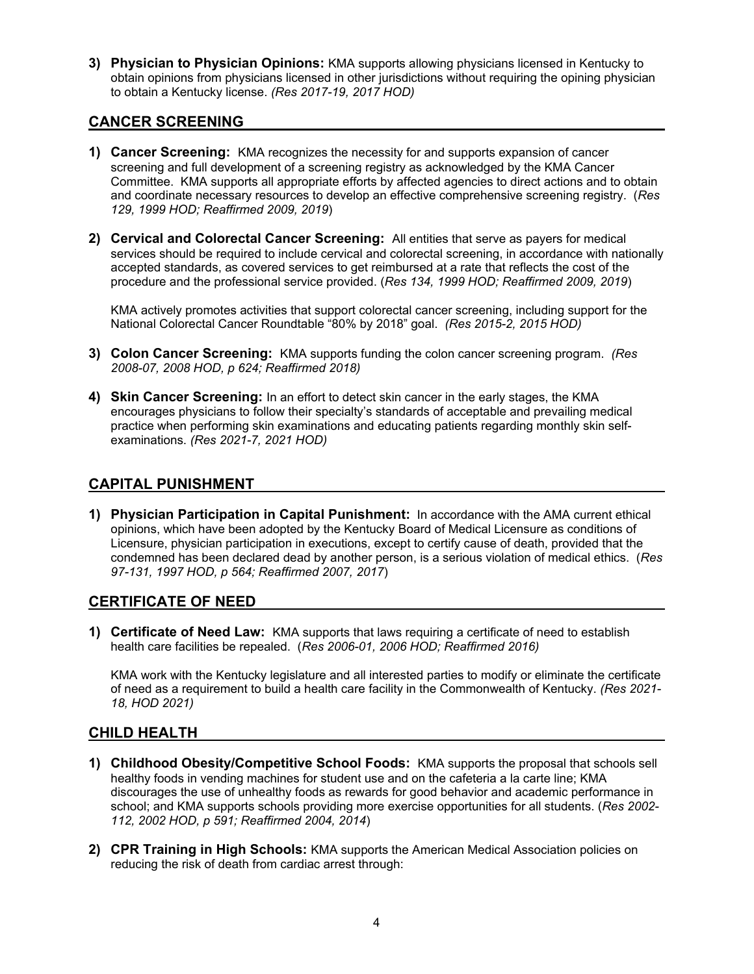**3) Physician to Physician Opinions:** KMA supports allowing physicians licensed in Kentucky to obtain opinions from physicians licensed in other jurisdictions without requiring the opining physician to obtain a Kentucky license. *(Res 2017-19, 2017 HOD)* 

#### **CANCER SCREENING**

- **1) Cancer Screening:** KMA recognizes the necessity for and supports expansion of cancer screening and full development of a screening registry as acknowledged by the KMA Cancer Committee. KMA supports all appropriate efforts by affected agencies to direct actions and to obtain and coordinate necessary resources to develop an effective comprehensive screening registry. (*Res 129, 1999 HOD; Reaffirmed 2009, 2019*)
- **2) Cervical and Colorectal Cancer Screening:** All entities that serve as payers for medical services should be required to include cervical and colorectal screening, in accordance with nationally accepted standards, as covered services to get reimbursed at a rate that reflects the cost of the procedure and the professional service provided. (*Res 134, 1999 HOD; Reaffirmed 2009, 2019*)

KMA actively promotes activities that support colorectal cancer screening, including support for the National Colorectal Cancer Roundtable "80% by 2018" goal. *(Res 2015-2, 2015 HOD)*

- **3) Colon Cancer Screening:** KMA supports funding the colon cancer screening program. *(Res 2008-07, 2008 HOD, p 624; Reaffirmed 2018)*
- **4) Skin Cancer Screening:** In an effort to detect skin cancer in the early stages, the KMA encourages physicians to follow their specialty's standards of acceptable and prevailing medical practice when performing skin examinations and educating patients regarding monthly skin selfexaminations. *(Res 2021-7, 2021 HOD)*

# **CAPITAL PUNISHMENT**

**1) Physician Participation in Capital Punishment:** In accordance with the AMA current ethical opinions, which have been adopted by the Kentucky Board of Medical Licensure as conditions of Licensure, physician participation in executions, except to certify cause of death, provided that the condemned has been declared dead by another person, is a serious violation of medical ethics. (*Res 97-131, 1997 HOD, p 564; Reaffirmed 2007, 2017*)

#### **CERTIFICATE OF NEED**

**1) Certificate of Need Law:** KMA supports that laws requiring a certificate of need to establish health care facilities be repealed. (*Res 2006-01, 2006 HOD; Reaffirmed 2016)* 

KMA work with the Kentucky legislature and all interested parties to modify or eliminate the certificate of need as a requirement to build a health care facility in the Commonwealth of Kentucky. *(Res 2021- 18, HOD 2021)*

# **CHILD HEALTH**

- **1) Childhood Obesity/Competitive School Foods:** KMA supports the proposal that schools sell healthy foods in vending machines for student use and on the cafeteria a la carte line; KMA discourages the use of unhealthy foods as rewards for good behavior and academic performance in school; and KMA supports schools providing more exercise opportunities for all students. (*Res 2002- 112, 2002 HOD, p 591; Reaffirmed 2004, 2014*)
- **2) CPR Training in High Schools:** KMA supports the American Medical Association policies on reducing the risk of death from cardiac arrest through: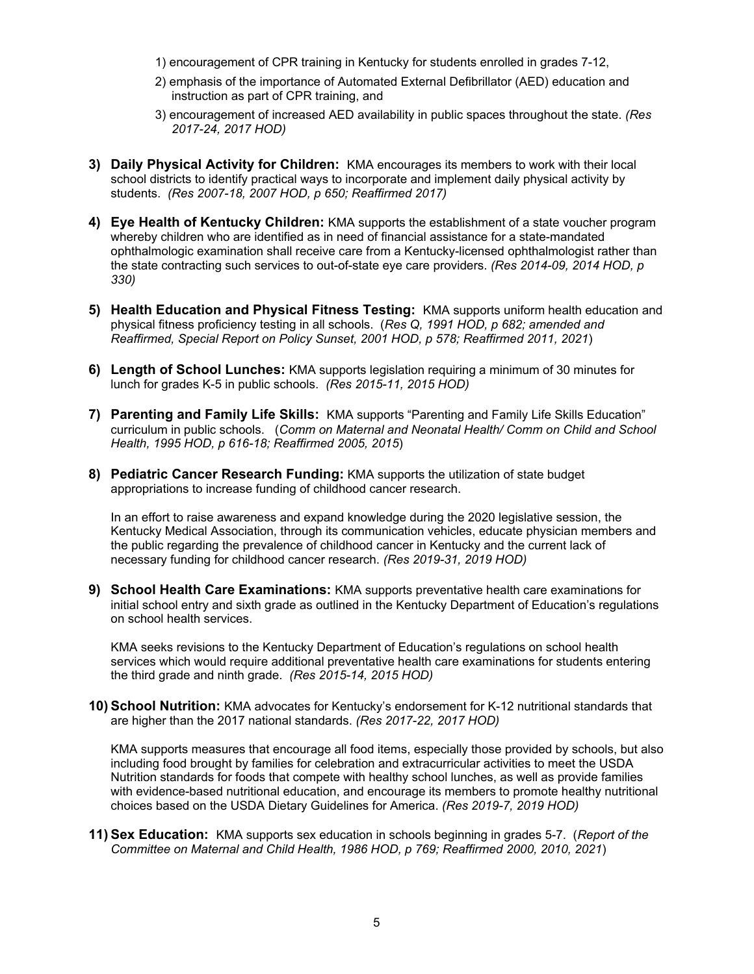- 1) encouragement of CPR training in Kentucky for students enrolled in grades 7-12,
- 2) emphasis of the importance of Automated External Defibrillator (AED) education and instruction as part of CPR training, and
- 3) encouragement of increased AED availability in public spaces throughout the state. *(Res 2017-24, 2017 HOD)*
- **3) Daily Physical Activity for Children:** KMA encourages its members to work with their local school districts to identify practical ways to incorporate and implement daily physical activity by students. *(Res 2007-18, 2007 HOD, p 650; Reaffirmed 2017)*
- **4) Eye Health of Kentucky Children:** KMA supports the establishment of a state voucher program whereby children who are identified as in need of financial assistance for a state-mandated ophthalmologic examination shall receive care from a Kentucky-licensed ophthalmologist rather than the state contracting such services to out-of-state eye care providers. *(Res 2014-09, 2014 HOD, p 330)*
- **5) Health Education and Physical Fitness Testing:** KMA supports uniform health education and physical fitness proficiency testing in all schools. (*Res Q, 1991 HOD, p 682; amended and Reaffirmed, Special Report on Policy Sunset, 2001 HOD, p 578; Reaffirmed 2011, 2021*)
- **6) Length of School Lunches:** KMA supports legislation requiring a minimum of 30 minutes for lunch for grades K-5 in public schools. *(Res 2015-11, 2015 HOD)*
- **7) Parenting and Family Life Skills:** KMA supports "Parenting and Family Life Skills Education" curriculum in public schools. (*Comm on Maternal and Neonatal Health/ Comm on Child and School Health, 1995 HOD, p 616-18; Reaffirmed 2005, 2015*)
- **8) Pediatric Cancer Research Funding:** KMA supports the utilization of state budget appropriations to increase funding of childhood cancer research.

In an effort to raise awareness and expand knowledge during the 2020 legislative session, the Kentucky Medical Association, through its communication vehicles, educate physician members and the public regarding the prevalence of childhood cancer in Kentucky and the current lack of necessary funding for childhood cancer research. *(Res 2019-31, 2019 HOD)* 

**9) School Health Care Examinations:** KMA supports preventative health care examinations for initial school entry and sixth grade as outlined in the Kentucky Department of Education's regulations on school health services.

KMA seeks revisions to the Kentucky Department of Education's regulations on school health services which would require additional preventative health care examinations for students entering the third grade and ninth grade. *(Res 2015-14, 2015 HOD)* 

**10) School Nutrition:** KMA advocates for Kentucky's endorsement for K-12 nutritional standards that are higher than the 2017 national standards. *(Res 2017-22, 2017 HOD)* 

KMA supports measures that encourage all food items, especially those provided by schools, but also including food brought by families for celebration and extracurricular activities to meet the USDA Nutrition standards for foods that compete with healthy school lunches, as well as provide families with evidence-based nutritional education, and encourage its members to promote healthy nutritional choices based on the USDA Dietary Guidelines for America. *(Res 2019-7, 2019 HOD)* 

**11) Sex Education:** KMA supports sex education in schools beginning in grades 5-7. (*Report of the Committee on Maternal and Child Health, 1986 HOD, p 769; Reaffirmed 2000, 2010, 2021*)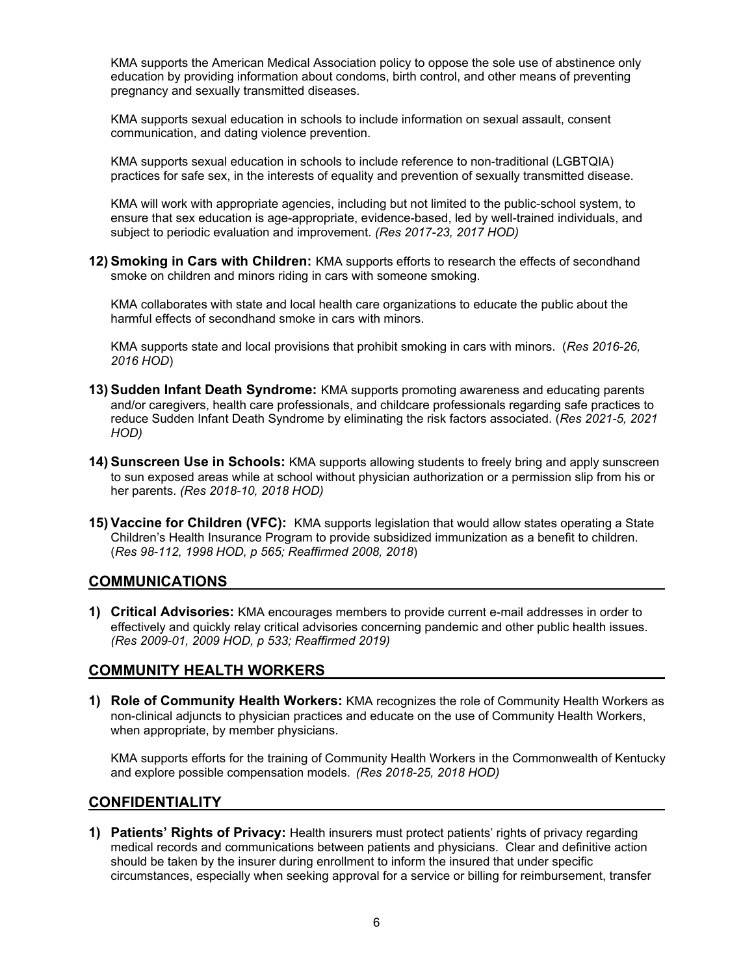KMA supports the American Medical Association policy to oppose the sole use of abstinence only education by providing information about condoms, birth control, and other means of preventing pregnancy and sexually transmitted diseases.

KMA supports sexual education in schools to include information on sexual assault, consent communication, and dating violence prevention.

KMA supports sexual education in schools to include reference to non-traditional (LGBTQIA) practices for safe sex, in the interests of equality and prevention of sexually transmitted disease.

KMA will work with appropriate agencies, including but not limited to the public-school system, to ensure that sex education is age-appropriate, evidence-based, led by well-trained individuals, and subject to periodic evaluation and improvement. *(Res 2017-23, 2017 HOD)* 

**12) Smoking in Cars with Children:** KMA supports efforts to research the effects of secondhand smoke on children and minors riding in cars with someone smoking.

KMA collaborates with state and local health care organizations to educate the public about the harmful effects of secondhand smoke in cars with minors.

KMA supports state and local provisions that prohibit smoking in cars with minors. (*Res 2016-26, 2016 HOD*)

- **13) Sudden Infant Death Syndrome:** KMA supports promoting awareness and educating parents and/or caregivers, health care professionals, and childcare professionals regarding safe practices to reduce Sudden Infant Death Syndrome by eliminating the risk factors associated. (*Res 2021-5, 2021 HOD)*
- **14) Sunscreen Use in Schools:** KMA supports allowing students to freely bring and apply sunscreen to sun exposed areas while at school without physician authorization or a permission slip from his or her parents. *(Res 2018-10, 2018 HOD)*
- **15) Vaccine for Children (VFC):** KMA supports legislation that would allow states operating a State Children's Health Insurance Program to provide subsidized immunization as a benefit to children. (*Res 98-112, 1998 HOD, p 565; Reaffirmed 2008, 2018*)

#### **COMMUNICATIONS**

**1) Critical Advisories:** KMA encourages members to provide current e-mail addresses in order to effectively and quickly relay critical advisories concerning pandemic and other public health issues. *(Res 2009-01, 2009 HOD, p 533; Reaffirmed 2019)* 

#### **COMMUNITY HEALTH WORKERS**

**1) Role of Community Health Workers:** KMA recognizes the role of Community Health Workers as non-clinical adjuncts to physician practices and educate on the use of Community Health Workers, when appropriate, by member physicians.

KMA supports efforts for the training of Community Health Workers in the Commonwealth of Kentucky and explore possible compensation models. *(Res 2018-25, 2018 HOD)* 

#### **CONFIDENTIALITY**

**1) Patients' Rights of Privacy:** Health insurers must protect patients' rights of privacy regarding medical records and communications between patients and physicians. Clear and definitive action should be taken by the insurer during enrollment to inform the insured that under specific circumstances, especially when seeking approval for a service or billing for reimbursement, transfer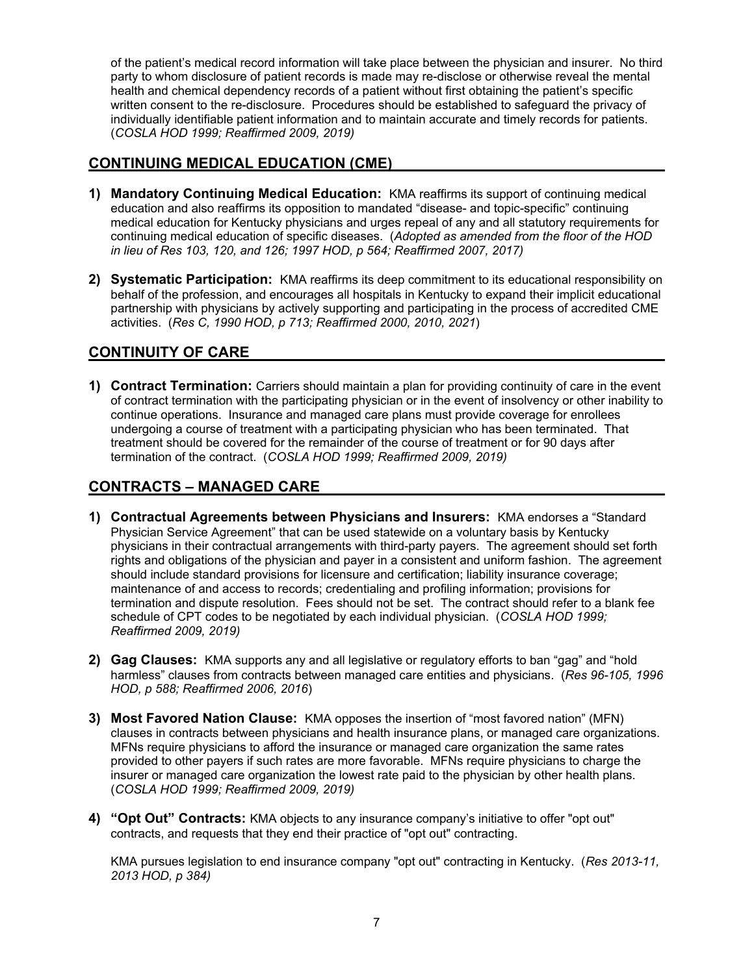of the patient's medical record information will take place between the physician and insurer. No third party to whom disclosure of patient records is made may re-disclose or otherwise reveal the mental health and chemical dependency records of a patient without first obtaining the patient's specific written consent to the re-disclosure. Procedures should be established to safeguard the privacy of individually identifiable patient information and to maintain accurate and timely records for patients. (*COSLA HOD 1999; Reaffirmed 2009, 2019)*

# **CONTINUING MEDICAL EDUCATION (CME)**

- **1) Mandatory Continuing Medical Education:** KMA reaffirms its support of continuing medical education and also reaffirms its opposition to mandated "disease- and topic-specific" continuing medical education for Kentucky physicians and urges repeal of any and all statutory requirements for continuing medical education of specific diseases. (*Adopted as amended from the floor of the HOD in lieu of Res 103, 120, and 126; 1997 HOD, p 564; Reaffirmed 2007, 2017)*
- **2) Systematic Participation:** KMA reaffirms its deep commitment to its educational responsibility on behalf of the profession, and encourages all hospitals in Kentucky to expand their implicit educational partnership with physicians by actively supporting and participating in the process of accredited CME activities. (*Res C, 1990 HOD, p 713; Reaffirmed 2000, 2010, 2021*)

# **CONTINUITY OF CARE**

**1) Contract Termination:** Carriers should maintain a plan for providing continuity of care in the event of contract termination with the participating physician or in the event of insolvency or other inability to continue operations. Insurance and managed care plans must provide coverage for enrollees undergoing a course of treatment with a participating physician who has been terminated. That treatment should be covered for the remainder of the course of treatment or for 90 days after termination of the contract. (*COSLA HOD 1999; Reaffirmed 2009, 2019)*

# **CONTRACTS – MANAGED CARE**

- **1) Contractual Agreements between Physicians and Insurers:** KMA endorses a "Standard Physician Service Agreement" that can be used statewide on a voluntary basis by Kentucky physicians in their contractual arrangements with third-party payers. The agreement should set forth rights and obligations of the physician and payer in a consistent and uniform fashion. The agreement should include standard provisions for licensure and certification; liability insurance coverage; maintenance of and access to records; credentialing and profiling information; provisions for termination and dispute resolution. Fees should not be set. The contract should refer to a blank fee schedule of CPT codes to be negotiated by each individual physician. (*COSLA HOD 1999; Reaffirmed 2009, 2019)*
- **2) Gag Clauses:** KMA supports any and all legislative or regulatory efforts to ban "gag" and "hold harmless" clauses from contracts between managed care entities and physicians. (*Res 96-105, 1996 HOD, p 588; Reaffirmed 2006, 2016*)
- **3) Most Favored Nation Clause:** KMA opposes the insertion of "most favored nation" (MFN) clauses in contracts between physicians and health insurance plans, or managed care organizations. MFNs require physicians to afford the insurance or managed care organization the same rates provided to other payers if such rates are more favorable. MFNs require physicians to charge the insurer or managed care organization the lowest rate paid to the physician by other health plans. (*COSLA HOD 1999; Reaffirmed 2009, 2019)*
- **4) "Opt Out" Contracts:** KMA objects to any insurance company's initiative to offer "opt out" contracts, and requests that they end their practice of "opt out" contracting.

KMA pursues legislation to end insurance company "opt out" contracting in Kentucky. (*Res 2013-11, 2013 HOD, p 384)*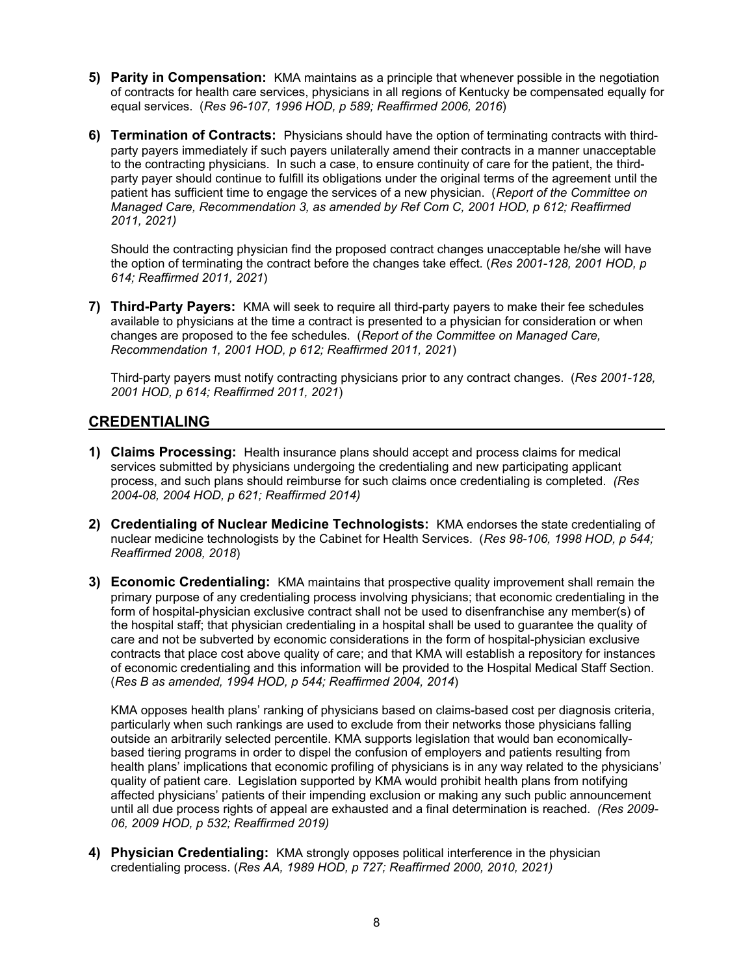- **5) Parity in Compensation:** KMA maintains as a principle that whenever possible in the negotiation of contracts for health care services, physicians in all regions of Kentucky be compensated equally for equal services. (*Res 96-107, 1996 HOD, p 589; Reaffirmed 2006, 2016*)
- **6) Termination of Contracts:** Physicians should have the option of terminating contracts with thirdparty payers immediately if such payers unilaterally amend their contracts in a manner unacceptable to the contracting physicians. In such a case, to ensure continuity of care for the patient, the thirdparty payer should continue to fulfill its obligations under the original terms of the agreement until the patient has sufficient time to engage the services of a new physician. (*Report of the Committee on Managed Care, Recommendation 3, as amended by Ref Com C, 2001 HOD, p 612; Reaffirmed 2011, 2021)*

Should the contracting physician find the proposed contract changes unacceptable he/she will have the option of terminating the contract before the changes take effect. (*Res 2001-128, 2001 HOD, p 614; Reaffirmed 2011, 2021*)

**7) Third-Party Payers:** KMA will seek to require all third-party payers to make their fee schedules available to physicians at the time a contract is presented to a physician for consideration or when changes are proposed to the fee schedules. (*Report of the Committee on Managed Care, Recommendation 1, 2001 HOD, p 612; Reaffirmed 2011, 2021*)

Third-party payers must notify contracting physicians prior to any contract changes. (*Res 2001-128, 2001 HOD, p 614; Reaffirmed 2011, 2021*)

#### **CREDENTIALING**

- **1) Claims Processing:** Health insurance plans should accept and process claims for medical services submitted by physicians undergoing the credentialing and new participating applicant process, and such plans should reimburse for such claims once credentialing is completed. *(Res 2004-08, 2004 HOD, p 621; Reaffirmed 2014)*
- **2) Credentialing of Nuclear Medicine Technologists:** KMA endorses the state credentialing of nuclear medicine technologists by the Cabinet for Health Services. (*Res 98-106, 1998 HOD, p 544; Reaffirmed 2008, 2018*)
- **3) Economic Credentialing:** KMA maintains that prospective quality improvement shall remain the primary purpose of any credentialing process involving physicians; that economic credentialing in the form of hospital-physician exclusive contract shall not be used to disenfranchise any member(s) of the hospital staff; that physician credentialing in a hospital shall be used to guarantee the quality of care and not be subverted by economic considerations in the form of hospital-physician exclusive contracts that place cost above quality of care; and that KMA will establish a repository for instances of economic credentialing and this information will be provided to the Hospital Medical Staff Section. (*Res B as amended, 1994 HOD, p 544; Reaffirmed 2004, 2014*)

KMA opposes health plans' ranking of physicians based on claims-based cost per diagnosis criteria, particularly when such rankings are used to exclude from their networks those physicians falling outside an arbitrarily selected percentile. KMA supports legislation that would ban economicallybased tiering programs in order to dispel the confusion of employers and patients resulting from health plans' implications that economic profiling of physicians is in any way related to the physicians' quality of patient care. Legislation supported by KMA would prohibit health plans from notifying affected physicians' patients of their impending exclusion or making any such public announcement until all due process rights of appeal are exhausted and a final determination is reached. *(Res 2009- 06, 2009 HOD, p 532; Reaffirmed 2019)*

**4) Physician Credentialing:** KMA strongly opposes political interference in the physician credentialing process. (*Res AA, 1989 HOD, p 727; Reaffirmed 2000, 2010, 2021)*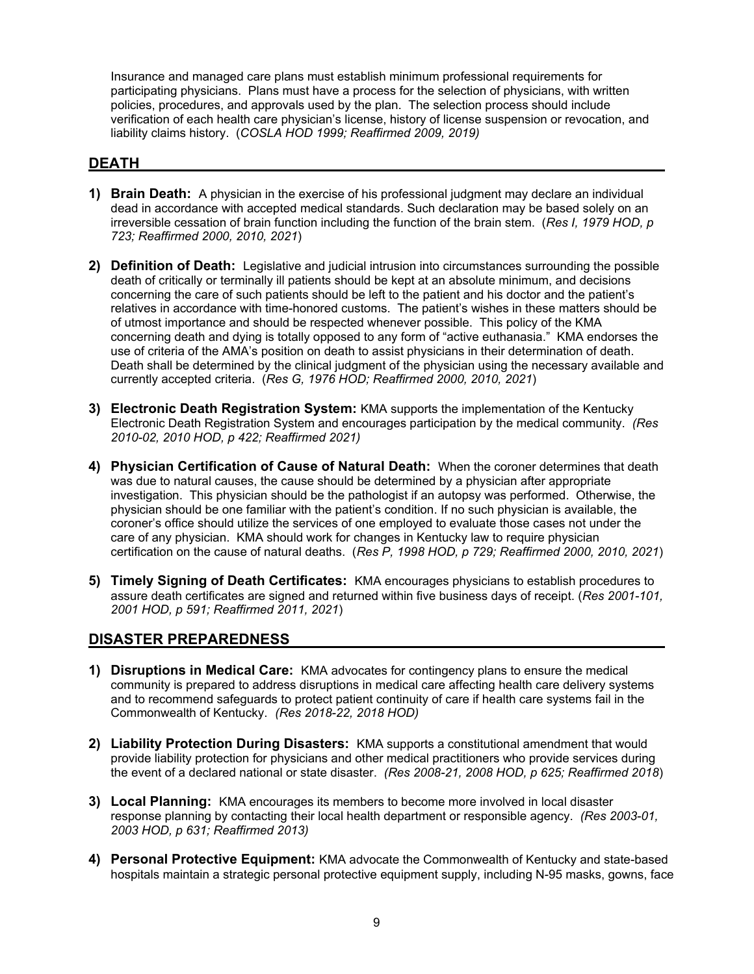Insurance and managed care plans must establish minimum professional requirements for participating physicians. Plans must have a process for the selection of physicians, with written policies, procedures, and approvals used by the plan. The selection process should include verification of each health care physician's license, history of license suspension or revocation, and liability claims history. (*COSLA HOD 1999; Reaffirmed 2009, 2019)*

#### **DEATH**

- **1) Brain Death:** A physician in the exercise of his professional judgment may declare an individual dead in accordance with accepted medical standards. Such declaration may be based solely on an irreversible cessation of brain function including the function of the brain stem. (*Res I, 1979 HOD, p 723; Reaffirmed 2000, 2010, 2021*)
- **2) Definition of Death:** Legislative and judicial intrusion into circumstances surrounding the possible death of critically or terminally ill patients should be kept at an absolute minimum, and decisions concerning the care of such patients should be left to the patient and his doctor and the patient's relatives in accordance with time-honored customs. The patient's wishes in these matters should be of utmost importance and should be respected whenever possible. This policy of the KMA concerning death and dying is totally opposed to any form of "active euthanasia." KMA endorses the use of criteria of the AMA's position on death to assist physicians in their determination of death. Death shall be determined by the clinical judgment of the physician using the necessary available and currently accepted criteria. (*Res G, 1976 HOD; Reaffirmed 2000, 2010, 2021*)
- **3) Electronic Death Registration System:** KMA supports the implementation of the Kentucky Electronic Death Registration System and encourages participation by the medical community. *(Res 2010-02, 2010 HOD, p 422; Reaffirmed 2021)*
- **4) Physician Certification of Cause of Natural Death:** When the coroner determines that death was due to natural causes, the cause should be determined by a physician after appropriate investigation. This physician should be the pathologist if an autopsy was performed. Otherwise, the physician should be one familiar with the patient's condition. If no such physician is available, the coroner's office should utilize the services of one employed to evaluate those cases not under the care of any physician. KMA should work for changes in Kentucky law to require physician certification on the cause of natural deaths. (*Res P, 1998 HOD, p 729; Reaffirmed 2000, 2010, 2021*)
- **5) Timely Signing of Death Certificates:** KMA encourages physicians to establish procedures to assure death certificates are signed and returned within five business days of receipt. (*Res 2001-101, 2001 HOD, p 591; Reaffirmed 2011, 2021*)

# **DISASTER PREPAREDNESS**

- **1) Disruptions in Medical Care:** KMA advocates for contingency plans to ensure the medical community is prepared to address disruptions in medical care affecting health care delivery systems and to recommend safeguards to protect patient continuity of care if health care systems fail in the Commonwealth of Kentucky. *(Res 2018-22, 2018 HOD)*
- **2) Liability Protection During Disasters:** KMA supports a constitutional amendment that would provide liability protection for physicians and other medical practitioners who provide services during the event of a declared national or state disaster. *(Res 2008-21, 2008 HOD, p 625; Reaffirmed 2018*)
- **3) Local Planning:** KMA encourages its members to become more involved in local disaster response planning by contacting their local health department or responsible agency. *(Res 2003-01, 2003 HOD, p 631; Reaffirmed 2013)*
- **4) Personal Protective Equipment:** KMA advocate the Commonwealth of Kentucky and state-based hospitals maintain a strategic personal protective equipment supply, including N-95 masks, gowns, face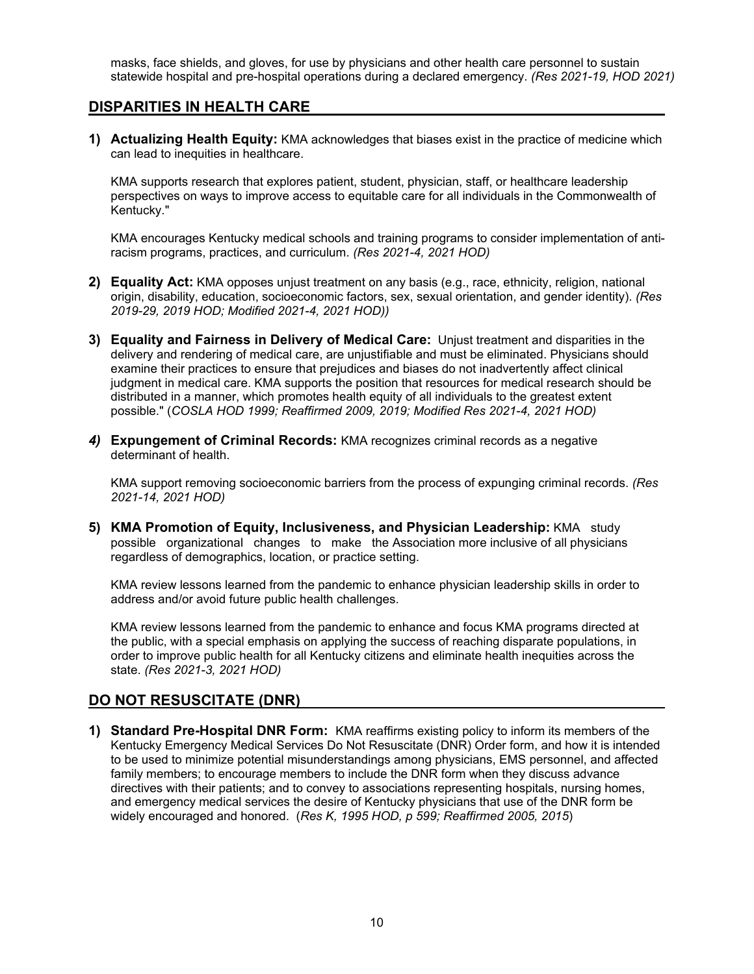masks, face shields, and gloves, for use by physicians and other health care personnel to sustain statewide hospital and pre-hospital operations during a declared emergency. *(Res 2021-19, HOD 2021)*

#### **DISPARITIES IN HEALTH CARE**

**1) Actualizing Health Equity:** KMA acknowledges that biases exist in the practice of medicine which can lead to inequities in healthcare.

KMA supports research that explores patient, student, physician, staff, or healthcare leadership perspectives on ways to improve access to equitable care for all individuals in the Commonwealth of Kentucky."

KMA encourages Kentucky medical schools and training programs to consider implementation of antiracism programs, practices, and curriculum. *(Res 2021-4, 2021 HOD)*

- **2) Equality Act:** KMA opposes unjust treatment on any basis (e.g., race, ethnicity, religion, national origin, disability, education, socioeconomic factors, sex, sexual orientation, and gender identity). *(Res 2019-29, 2019 HOD; Modified 2021-4, 2021 HOD))*
- **3) Equality and Fairness in Delivery of Medical Care:** Unjust treatment and disparities in the delivery and rendering of medical care, are unjustifiable and must be eliminated. Physicians should examine their practices to ensure that prejudices and biases do not inadvertently affect clinical judgment in medical care. KMA supports the position that resources for medical research should be distributed in a manner, which promotes health equity of all individuals to the greatest extent possible." (*COSLA HOD 1999; Reaffirmed 2009, 2019; Modified Res 2021-4, 2021 HOD)*
- *4)* **Expungement of Criminal Records:** KMA recognizes criminal records as a negative determinant of health.

KMA support removing socioeconomic barriers from the process of expunging criminal records. *(Res 2021-14, 2021 HOD)* 

**5) KMA Promotion of Equity, Inclusiveness, and Physician Leadership:** KMA study possible organizational changes to make the Association more inclusive of all physicians regardless of demographics, location, or practice setting.

KMA review lessons learned from the pandemic to enhance physician leadership skills in order to address and/or avoid future public health challenges.

KMA review lessons learned from the pandemic to enhance and focus KMA programs directed at the public, with a special emphasis on applying the success of reaching disparate populations, in order to improve public health for all Kentucky citizens and eliminate health inequities across the state. *(Res 2021-3, 2021 HOD)* 

# **DO NOT RESUSCITATE (DNR)**

**1) Standard Pre-Hospital DNR Form:** KMA reaffirms existing policy to inform its members of the Kentucky Emergency Medical Services Do Not Resuscitate (DNR) Order form, and how it is intended to be used to minimize potential misunderstandings among physicians, EMS personnel, and affected family members; to encourage members to include the DNR form when they discuss advance directives with their patients; and to convey to associations representing hospitals, nursing homes, and emergency medical services the desire of Kentucky physicians that use of the DNR form be widely encouraged and honored. (*Res K, 1995 HOD, p 599; Reaffirmed 2005, 2015*)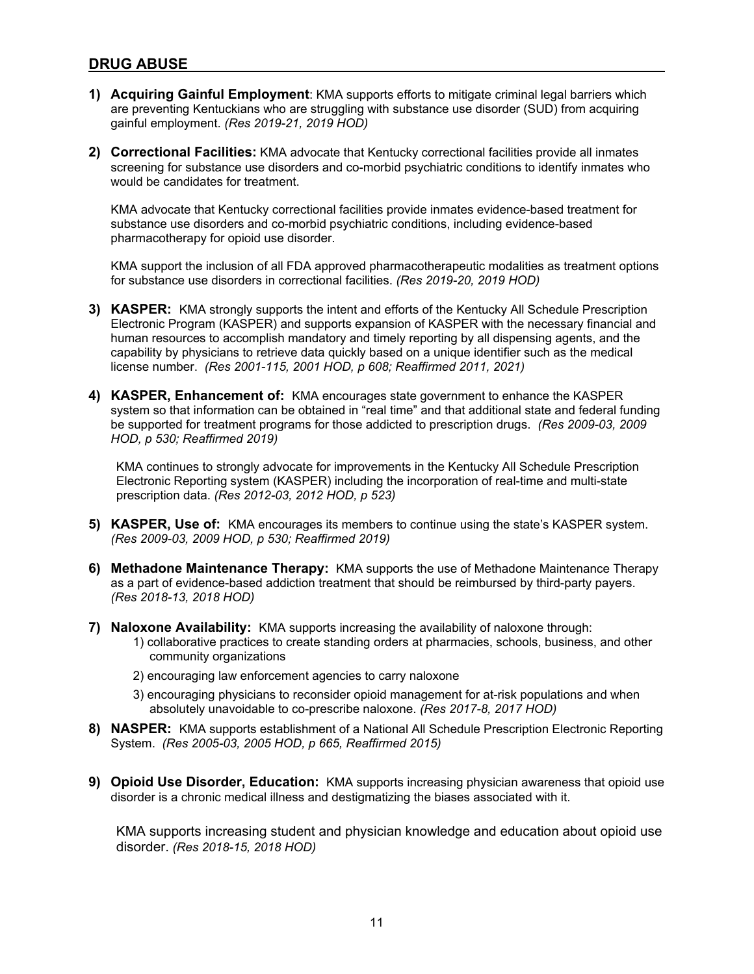#### **DRUG ABUSE**

- **1) Acquiring Gainful Employment**: KMA supports efforts to mitigate criminal legal barriers which are preventing Kentuckians who are struggling with substance use disorder (SUD) from acquiring gainful employment. *(Res 2019-21, 2019 HOD)*
- **2) Correctional Facilities:** KMA advocate that Kentucky correctional facilities provide all inmates screening for substance use disorders and co-morbid psychiatric conditions to identify inmates who would be candidates for treatment.

KMA advocate that Kentucky correctional facilities provide inmates evidence-based treatment for substance use disorders and co-morbid psychiatric conditions, including evidence-based pharmacotherapy for opioid use disorder.

KMA support the inclusion of all FDA approved pharmacotherapeutic modalities as treatment options for substance use disorders in correctional facilities. *(Res 2019-20, 2019 HOD)*

- **3) KASPER:** KMA strongly supports the intent and efforts of the Kentucky All Schedule Prescription Electronic Program (KASPER) and supports expansion of KASPER with the necessary financial and human resources to accomplish mandatory and timely reporting by all dispensing agents, and the capability by physicians to retrieve data quickly based on a unique identifier such as the medical license number. *(Res 2001-115, 2001 HOD, p 608; Reaffirmed 2011, 2021)*
- **4) KASPER, Enhancement of:** KMA encourages state government to enhance the KASPER system so that information can be obtained in "real time" and that additional state and federal funding be supported for treatment programs for those addicted to prescription drugs. *(Res 2009-03, 2009 HOD, p 530; Reaffirmed 2019)*

KMA continues to strongly advocate for improvements in the Kentucky All Schedule Prescription Electronic Reporting system (KASPER) including the incorporation of real-time and multi-state prescription data. *(Res 2012-03, 2012 HOD, p 523)* 

- **5) KASPER, Use of:** KMA encourages its members to continue using the state's KASPER system. *(Res 2009-03, 2009 HOD, p 530; Reaffirmed 2019)*
- **6) Methadone Maintenance Therapy:** KMA supports the use of Methadone Maintenance Therapy as a part of evidence-based addiction treatment that should be reimbursed by third-party payers. *(Res 2018-13, 2018 HOD)*
- **7) Naloxone Availability:** KMA supports increasing the availability of naloxone through: 1) collaborative practices to create standing orders at pharmacies, schools, business, and other community organizations
	- 2) encouraging law enforcement agencies to carry naloxone
	- 3) encouraging physicians to reconsider opioid management for at-risk populations and when absolutely unavoidable to co-prescribe naloxone. *(Res 2017-8, 2017 HOD)*
- **8) NASPER:** KMA supports establishment of a National All Schedule Prescription Electronic Reporting System. *(Res 2005-03, 2005 HOD, p 665, Reaffirmed 2015)*
- **9) Opioid Use Disorder, Education:** KMA supports increasing physician awareness that opioid use disorder is a chronic medical illness and destigmatizing the biases associated with it.

KMA supports increasing student and physician knowledge and education about opioid use disorder. *(Res 2018-15, 2018 HOD)*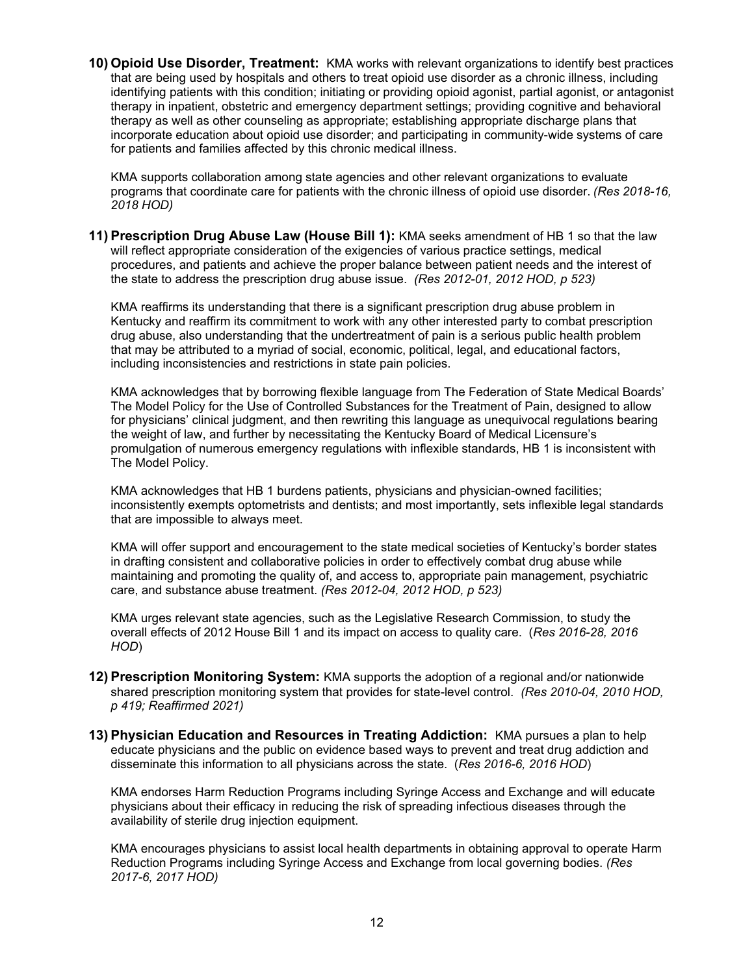**10) Opioid Use Disorder, Treatment:** KMA works with relevant organizations to identify best practices that are being used by hospitals and others to treat opioid use disorder as a chronic illness, including identifying patients with this condition; initiating or providing opioid agonist, partial agonist, or antagonist therapy in inpatient, obstetric and emergency department settings; providing cognitive and behavioral therapy as well as other counseling as appropriate; establishing appropriate discharge plans that incorporate education about opioid use disorder; and participating in community-wide systems of care for patients and families affected by this chronic medical illness.

KMA supports collaboration among state agencies and other relevant organizations to evaluate programs that coordinate care for patients with the chronic illness of opioid use disorder. *(Res 2018-16, 2018 HOD)* 

**11) Prescription Drug Abuse Law (House Bill 1):** KMA seeks amendment of HB 1 so that the law will reflect appropriate consideration of the exigencies of various practice settings, medical procedures, and patients and achieve the proper balance between patient needs and the interest of the state to address the prescription drug abuse issue. *(Res 2012-01, 2012 HOD, p 523)*

KMA reaffirms its understanding that there is a significant prescription drug abuse problem in Kentucky and reaffirm its commitment to work with any other interested party to combat prescription drug abuse, also understanding that the undertreatment of pain is a serious public health problem that may be attributed to a myriad of social, economic, political, legal, and educational factors, including inconsistencies and restrictions in state pain policies.

KMA acknowledges that by borrowing flexible language from The Federation of State Medical Boards' The Model Policy for the Use of Controlled Substances for the Treatment of Pain, designed to allow for physicians' clinical judgment, and then rewriting this language as unequivocal regulations bearing the weight of law, and further by necessitating the Kentucky Board of Medical Licensure's promulgation of numerous emergency regulations with inflexible standards, HB 1 is inconsistent with The Model Policy.

KMA acknowledges that HB 1 burdens patients, physicians and physician-owned facilities; inconsistently exempts optometrists and dentists; and most importantly, sets inflexible legal standards that are impossible to always meet.

KMA will offer support and encouragement to the state medical societies of Kentucky's border states in drafting consistent and collaborative policies in order to effectively combat drug abuse while maintaining and promoting the quality of, and access to, appropriate pain management, psychiatric care, and substance abuse treatment. *(Res 2012-04, 2012 HOD, p 523)* 

KMA urges relevant state agencies, such as the Legislative Research Commission, to study the overall effects of 2012 House Bill 1 and its impact on access to quality care. (*Res 2016-28, 2016 HOD*)

- **12) Prescription Monitoring System:** KMA supports the adoption of a regional and/or nationwide shared prescription monitoring system that provides for state-level control. *(Res 2010-04, 2010 HOD, p 419; Reaffirmed 2021)*
- **13) Physician Education and Resources in Treating Addiction:** KMA pursues a plan to help educate physicians and the public on evidence based ways to prevent and treat drug addiction and disseminate this information to all physicians across the state. (*Res 2016-6, 2016 HOD*)

KMA endorses Harm Reduction Programs including Syringe Access and Exchange and will educate physicians about their efficacy in reducing the risk of spreading infectious diseases through the availability of sterile drug injection equipment.

KMA encourages physicians to assist local health departments in obtaining approval to operate Harm Reduction Programs including Syringe Access and Exchange from local governing bodies. *(Res 2017-6, 2017 HOD)*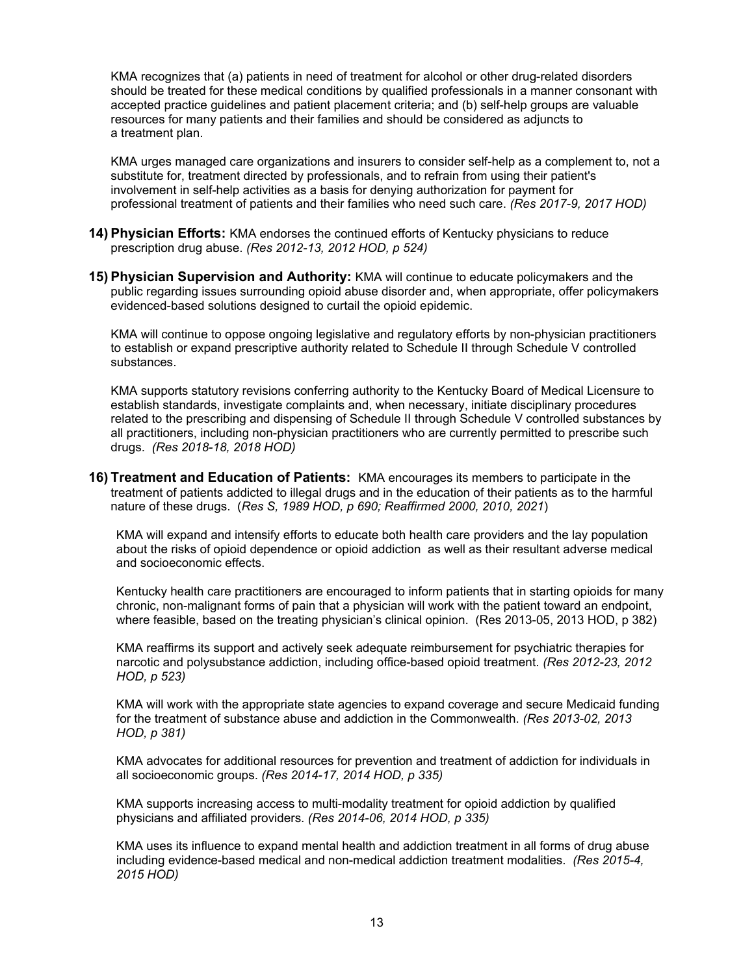KMA recognizes that (a) patients in need of treatment for alcohol or other drug-related disorders should be treated for these medical conditions by qualified professionals in a manner consonant with accepted practice guidelines and patient placement criteria; and (b) self-help groups are valuable resources for many patients and their families and should be considered as adjuncts to a treatment plan.

KMA urges managed care organizations and insurers to consider self-help as a complement to, not a substitute for, treatment directed by professionals, and to refrain from using their patient's involvement in self-help activities as a basis for denying authorization for payment for professional treatment of patients and their families who need such care. *(Res 2017-9, 2017 HOD)*

- **14) Physician Efforts:** KMA endorses the continued efforts of Kentucky physicians to reduce prescription drug abuse. *(Res 2012-13, 2012 HOD, p 524)*
- **15) Physician Supervision and Authority:** KMA will continue to educate policymakers and the public regarding issues surrounding opioid abuse disorder and, when appropriate, offer policymakers evidenced-based solutions designed to curtail the opioid epidemic.

KMA will continue to oppose ongoing legislative and regulatory efforts by non-physician practitioners to establish or expand prescriptive authority related to Schedule II through Schedule V controlled substances.

KMA supports statutory revisions conferring authority to the Kentucky Board of Medical Licensure to establish standards, investigate complaints and, when necessary, initiate disciplinary procedures related to the prescribing and dispensing of Schedule II through Schedule V controlled substances by all practitioners, including non-physician practitioners who are currently permitted to prescribe such drugs. *(Res 2018-18, 2018 HOD)*

**16) Treatment and Education of Patients:** KMA encourages its members to participate in the treatment of patients addicted to illegal drugs and in the education of their patients as to the harmful nature of these drugs. (*Res S, 1989 HOD, p 690; Reaffirmed 2000, 2010, 2021*)

KMA will expand and intensify efforts to educate both health care providers and the lay population about the risks of opioid dependence or opioid addiction as well as their resultant adverse medical and socioeconomic effects.

Kentucky health care practitioners are encouraged to inform patients that in starting opioids for many chronic, non-malignant forms of pain that a physician will work with the patient toward an endpoint, where feasible, based on the treating physician's clinical opinion. (Res 2013-05, 2013 HOD, p 382)

KMA reaffirms its support and actively seek adequate reimbursement for psychiatric therapies for narcotic and polysubstance addiction, including office-based opioid treatment. *(Res 2012-23, 2012 HOD, p 523)* 

KMA will work with the appropriate state agencies to expand coverage and secure Medicaid funding for the treatment of substance abuse and addiction in the Commonwealth. *(Res 2013-02, 2013 HOD, p 381)* 

KMA advocates for additional resources for prevention and treatment of addiction for individuals in all socioeconomic groups. *(Res 2014-17, 2014 HOD, p 335)*

KMA supports increasing access to multi-modality treatment for opioid addiction by qualified physicians and affiliated providers. *(Res 2014-06, 2014 HOD, p 335)* 

KMA uses its influence to expand mental health and addiction treatment in all forms of drug abuse including evidence-based medical and non-medical addiction treatment modalities. *(Res 2015-4, 2015 HOD)*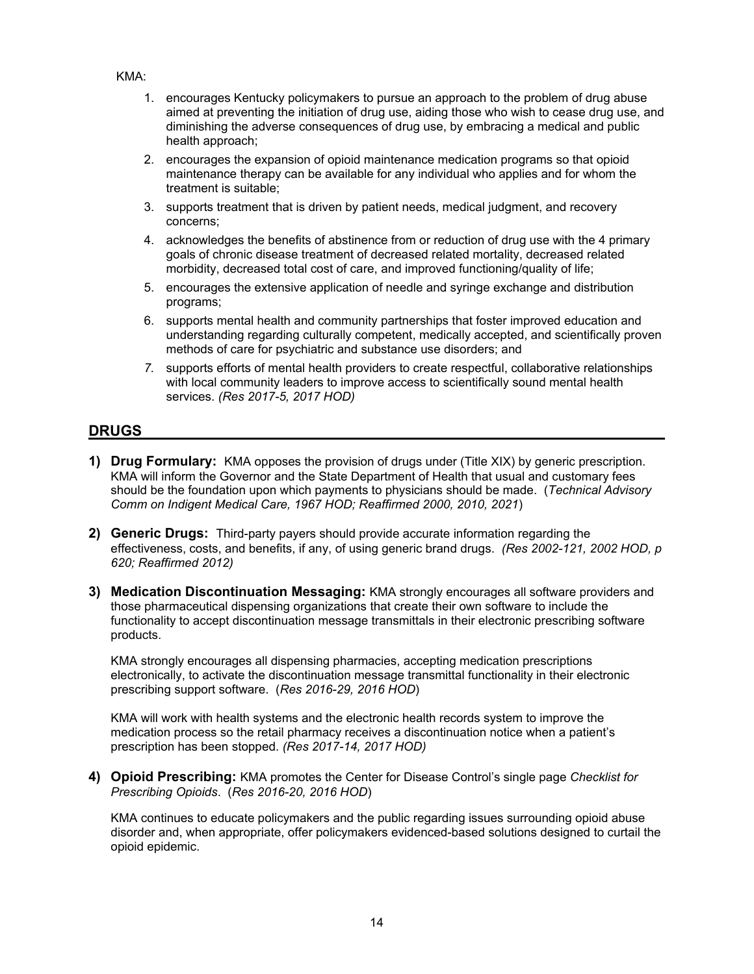#### KMA:

- 1. encourages Kentucky policymakers to pursue an approach to the problem of drug abuse aimed at preventing the initiation of drug use, aiding those who wish to cease drug use, and diminishing the adverse consequences of drug use, by embracing a medical and public health approach;
- 2. encourages the expansion of opioid maintenance medication programs so that opioid maintenance therapy can be available for any individual who applies and for whom the treatment is suitable;
- 3. supports treatment that is driven by patient needs, medical judgment, and recovery concerns;
- 4. acknowledges the benefits of abstinence from or reduction of drug use with the 4 primary goals of chronic disease treatment of decreased related mortality, decreased related morbidity, decreased total cost of care, and improved functioning/quality of life;
- 5. encourages the extensive application of needle and syringe exchange and distribution programs;
- 6. supports mental health and community partnerships that foster improved education and understanding regarding culturally competent, medically accepted, and scientifically proven methods of care for psychiatric and substance use disorders; and
- *7.* supports efforts of mental health providers to create respectful, collaborative relationships with local community leaders to improve access to scientifically sound mental health services. *(Res 2017-5, 2017 HOD)*

#### **DRUGS**

- **1) Drug Formulary:** KMA opposes the provision of drugs under (Title XIX) by generic prescription. KMA will inform the Governor and the State Department of Health that usual and customary fees should be the foundation upon which payments to physicians should be made. (*Technical Advisory Comm on Indigent Medical Care, 1967 HOD; Reaffirmed 2000, 2010, 2021*)
- **2) Generic Drugs:** Third-party payers should provide accurate information regarding the effectiveness, costs, and benefits, if any, of using generic brand drugs. *(Res 2002-121, 2002 HOD, p 620; Reaffirmed 2012)*
- **3) Medication Discontinuation Messaging:** KMA strongly encourages all software providers and those pharmaceutical dispensing organizations that create their own software to include the functionality to accept discontinuation message transmittals in their electronic prescribing software products.

KMA strongly encourages all dispensing pharmacies, accepting medication prescriptions electronically, to activate the discontinuation message transmittal functionality in their electronic prescribing support software. (*Res 2016-29, 2016 HOD*)

KMA will work with health systems and the electronic health records system to improve the medication process so the retail pharmacy receives a discontinuation notice when a patient's prescription has been stopped. *(Res 2017-14, 2017 HOD)*

**4) Opioid Prescribing:** KMA promotes the Center for Disease Control's single page *Checklist for Prescribing Opioids*. (*Res 2016-20, 2016 HOD*)

KMA continues to educate policymakers and the public regarding issues surrounding opioid abuse disorder and, when appropriate, offer policymakers evidenced-based solutions designed to curtail the opioid epidemic.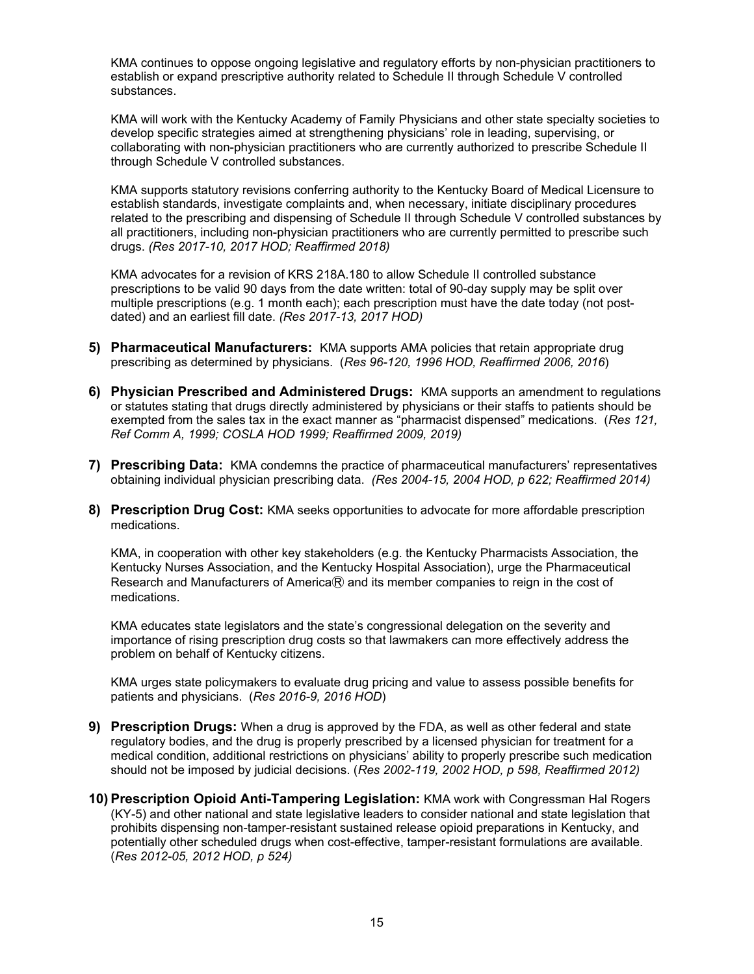KMA continues to oppose ongoing legislative and regulatory efforts by non-physician practitioners to establish or expand prescriptive authority related to Schedule II through Schedule V controlled substances.

KMA will work with the Kentucky Academy of Family Physicians and other state specialty societies to develop specific strategies aimed at strengthening physicians' role in leading, supervising, or collaborating with non-physician practitioners who are currently authorized to prescribe Schedule II through Schedule V controlled substances.

KMA supports statutory revisions conferring authority to the Kentucky Board of Medical Licensure to establish standards, investigate complaints and, when necessary, initiate disciplinary procedures related to the prescribing and dispensing of Schedule II through Schedule V controlled substances by all practitioners, including non-physician practitioners who are currently permitted to prescribe such drugs. *(Res 2017-10, 2017 HOD; Reaffirmed 2018)* 

KMA advocates for a revision of KRS 218A.180 to allow Schedule II controlled substance prescriptions to be valid 90 days from the date written: total of 90-day supply may be split over multiple prescriptions (e.g. 1 month each); each prescription must have the date today (not postdated) and an earliest fill date. *(Res 2017-13, 2017 HOD)* 

- **5) Pharmaceutical Manufacturers:** KMA supports AMA policies that retain appropriate drug prescribing as determined by physicians. (*Res 96-120, 1996 HOD, Reaffirmed 2006, 2016*)
- **6) Physician Prescribed and Administered Drugs:** KMA supports an amendment to regulations or statutes stating that drugs directly administered by physicians or their staffs to patients should be exempted from the sales tax in the exact manner as "pharmacist dispensed" medications. (*Res 121, Ref Comm A, 1999; COSLA HOD 1999; Reaffirmed 2009, 2019)*
- **7) Prescribing Data:** KMA condemns the practice of pharmaceutical manufacturers' representatives obtaining individual physician prescribing data. *(Res 2004-15, 2004 HOD, p 622; Reaffirmed 2014)*
- **8) Prescription Drug Cost:** KMA seeks opportunities to advocate for more affordable prescription medications.

KMA, in cooperation with other key stakeholders (e.g. the Kentucky Pharmacists Association, the Kentucky Nurses Association, and the Kentucky Hospital Association), urge the Pharmaceutical Research and Manufacturers of America $R$  and its member companies to reign in the cost of medications.

KMA educates state legislators and the state's congressional delegation on the severity and importance of rising prescription drug costs so that lawmakers can more effectively address the problem on behalf of Kentucky citizens.

KMA urges state policymakers to evaluate drug pricing and value to assess possible benefits for patients and physicians. (*Res 2016-9, 2016 HOD*)

- **9) Prescription Drugs:** When a drug is approved by the FDA, as well as other federal and state regulatory bodies, and the drug is properly prescribed by a licensed physician for treatment for a medical condition, additional restrictions on physicians' ability to properly prescribe such medication should not be imposed by judicial decisions. (*Res 2002-119, 2002 HOD, p 598, Reaffirmed 2012)*
- **10) Prescription Opioid Anti-Tampering Legislation:** KMA work with Congressman Hal Rogers (KY-5) and other national and state legislative leaders to consider national and state legislation that prohibits dispensing non-tamper-resistant sustained release opioid preparations in Kentucky, and potentially other scheduled drugs when cost-effective, tamper-resistant formulations are available. (*Res 2012-05, 2012 HOD, p 524)*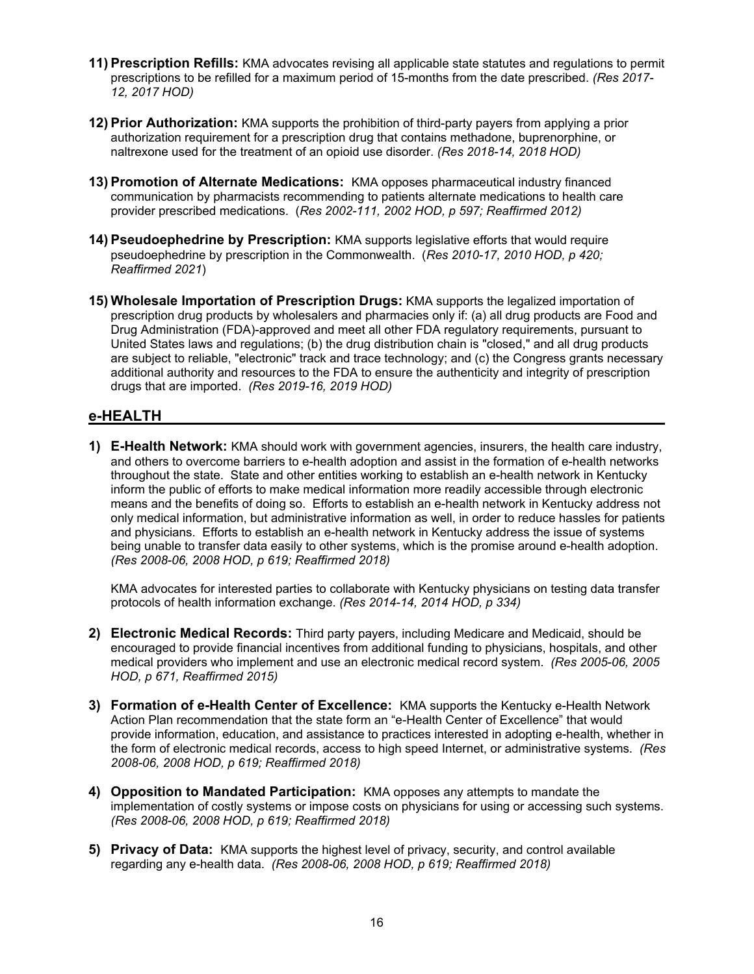- **11) Prescription Refills:** KMA advocates revising all applicable state statutes and regulations to permit prescriptions to be refilled for a maximum period of 15-months from the date prescribed. *(Res 2017- 12, 2017 HOD)*
- **12) Prior Authorization:** KMA supports the prohibition of third-party payers from applying a prior authorization requirement for a prescription drug that contains methadone, buprenorphine, or naltrexone used for the treatment of an opioid use disorder. *(Res 2018-14, 2018 HOD)*
- **13) Promotion of Alternate Medications:** KMA opposes pharmaceutical industry financed communication by pharmacists recommending to patients alternate medications to health care provider prescribed medications. (*Res 2002-111, 2002 HOD, p 597; Reaffirmed 2012)*
- **14) Pseudoephedrine by Prescription:** KMA supports legislative efforts that would require pseudoephedrine by prescription in the Commonwealth. (*Res 2010-17, 2010 HOD, p 420; Reaffirmed 2021*)
- **15) Wholesale Importation of Prescription Drugs:** KMA supports the legalized importation of prescription drug products by wholesalers and pharmacies only if: (a) all drug products are Food and Drug Administration (FDA)-approved and meet all other FDA regulatory requirements, pursuant to United States laws and regulations; (b) the drug distribution chain is "closed," and all drug products are subject to reliable, "electronic" track and trace technology; and (c) the Congress grants necessary additional authority and resources to the FDA to ensure the authenticity and integrity of prescription drugs that are imported. *(Res 2019-16, 2019 HOD)*

#### **e-HEALTH**

**1) E-Health Network:** KMA should work with government agencies, insurers, the health care industry, and others to overcome barriers to e-health adoption and assist in the formation of e-health networks throughout the state. State and other entities working to establish an e-health network in Kentucky inform the public of efforts to make medical information more readily accessible through electronic means and the benefits of doing so. Efforts to establish an e-health network in Kentucky address not only medical information, but administrative information as well, in order to reduce hassles for patients and physicians. Efforts to establish an e-health network in Kentucky address the issue of systems being unable to transfer data easily to other systems, which is the promise around e-health adoption. *(Res 2008-06, 2008 HOD, p 619; Reaffirmed 2018)* 

KMA advocates for interested parties to collaborate with Kentucky physicians on testing data transfer protocols of health information exchange. *(Res 2014-14, 2014 HOD, p 334)*

- **2) Electronic Medical Records:** Third party payers, including Medicare and Medicaid, should be encouraged to provide financial incentives from additional funding to physicians, hospitals, and other medical providers who implement and use an electronic medical record system. *(Res 2005-06, 2005 HOD, p 671, Reaffirmed 2015)*
- **3) Formation of e-Health Center of Excellence:** KMA supports the Kentucky e-Health Network Action Plan recommendation that the state form an "e-Health Center of Excellence" that would provide information, education, and assistance to practices interested in adopting e-health, whether in the form of electronic medical records, access to high speed Internet, or administrative systems. *(Res 2008-06, 2008 HOD, p 619; Reaffirmed 2018)*
- **4) Opposition to Mandated Participation:** KMA opposes any attempts to mandate the implementation of costly systems or impose costs on physicians for using or accessing such systems. *(Res 2008-06, 2008 HOD, p 619; Reaffirmed 2018)*
- **5) Privacy of Data:** KMA supports the highest level of privacy, security, and control available regarding any e-health data. *(Res 2008-06, 2008 HOD, p 619; Reaffirmed 2018)*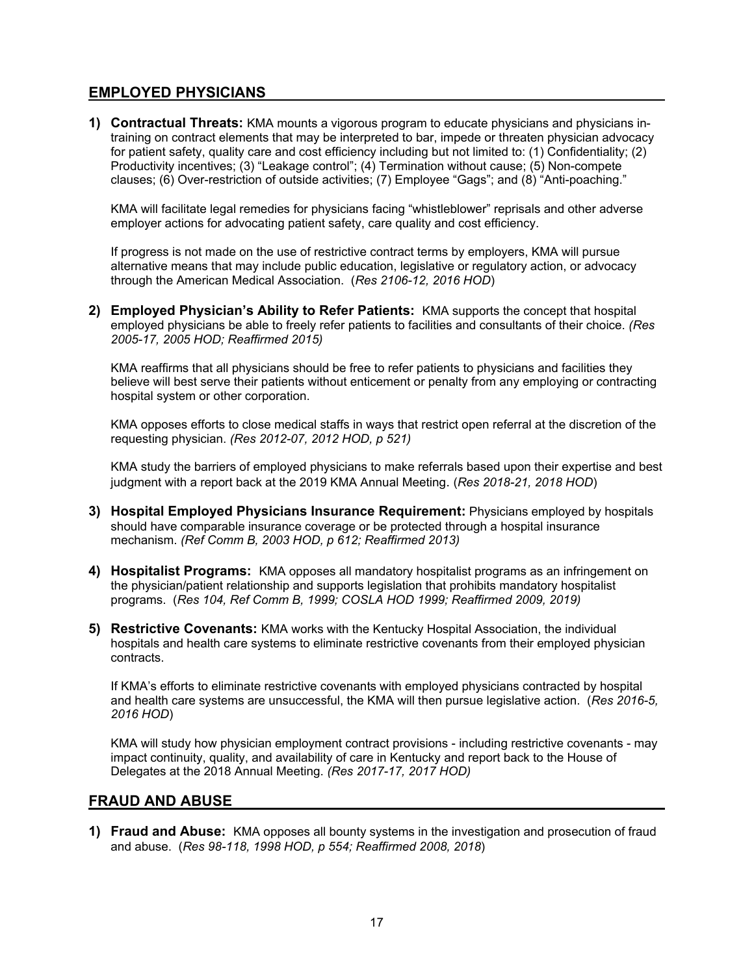## **EMPLOYED PHYSICIANS**

**1) Contractual Threats:** KMA mounts a vigorous program to educate physicians and physicians intraining on contract elements that may be interpreted to bar, impede or threaten physician advocacy for patient safety, quality care and cost efficiency including but not limited to: (1) Confidentiality; (2) Productivity incentives; (3) "Leakage control"; (4) Termination without cause; (5) Non-compete clauses; (6) Over-restriction of outside activities; (7) Employee "Gags"; and (8) "Anti-poaching."

KMA will facilitate legal remedies for physicians facing "whistleblower" reprisals and other adverse employer actions for advocating patient safety, care quality and cost efficiency.

If progress is not made on the use of restrictive contract terms by employers, KMA will pursue alternative means that may include public education, legislative or regulatory action, or advocacy through the American Medical Association. (*Res 2106-12, 2016 HOD*)

**2) Employed Physician's Ability to Refer Patients:** KMA supports the concept that hospital employed physicians be able to freely refer patients to facilities and consultants of their choice. *(Res 2005-17, 2005 HOD; Reaffirmed 2015)* 

KMA reaffirms that all physicians should be free to refer patients to physicians and facilities they believe will best serve their patients without enticement or penalty from any employing or contracting hospital system or other corporation.

KMA opposes efforts to close medical staffs in ways that restrict open referral at the discretion of the requesting physician. *(Res 2012-07, 2012 HOD, p 521)* 

KMA study the barriers of employed physicians to make referrals based upon their expertise and best judgment with a report back at the 2019 KMA Annual Meeting. (*Res 2018-21, 2018 HOD*)

- **3) Hospital Employed Physicians Insurance Requirement:** Physicians employed by hospitals should have comparable insurance coverage or be protected through a hospital insurance mechanism. *(Ref Comm B, 2003 HOD, p 612; Reaffirmed 2013)*
- **4) Hospitalist Programs:** KMA opposes all mandatory hospitalist programs as an infringement on the physician/patient relationship and supports legislation that prohibits mandatory hospitalist programs. (*Res 104, Ref Comm B, 1999; COSLA HOD 1999; Reaffirmed 2009, 2019)*
- **5) Restrictive Covenants:** KMA works with the Kentucky Hospital Association, the individual hospitals and health care systems to eliminate restrictive covenants from their employed physician contracts.

If KMA's efforts to eliminate restrictive covenants with employed physicians contracted by hospital and health care systems are unsuccessful, the KMA will then pursue legislative action. (*Res 2016-5, 2016 HOD*)

KMA will study how physician employment contract provisions - including restrictive covenants - may impact continuity, quality, and availability of care in Kentucky and report back to the House of Delegates at the 2018 Annual Meeting. *(Res 2017-17, 2017 HOD)*

#### **FRAUD AND ABUSE**

**1) Fraud and Abuse:** KMA opposes all bounty systems in the investigation and prosecution of fraud and abuse. (*Res 98-118, 1998 HOD, p 554; Reaffirmed 2008, 2018*)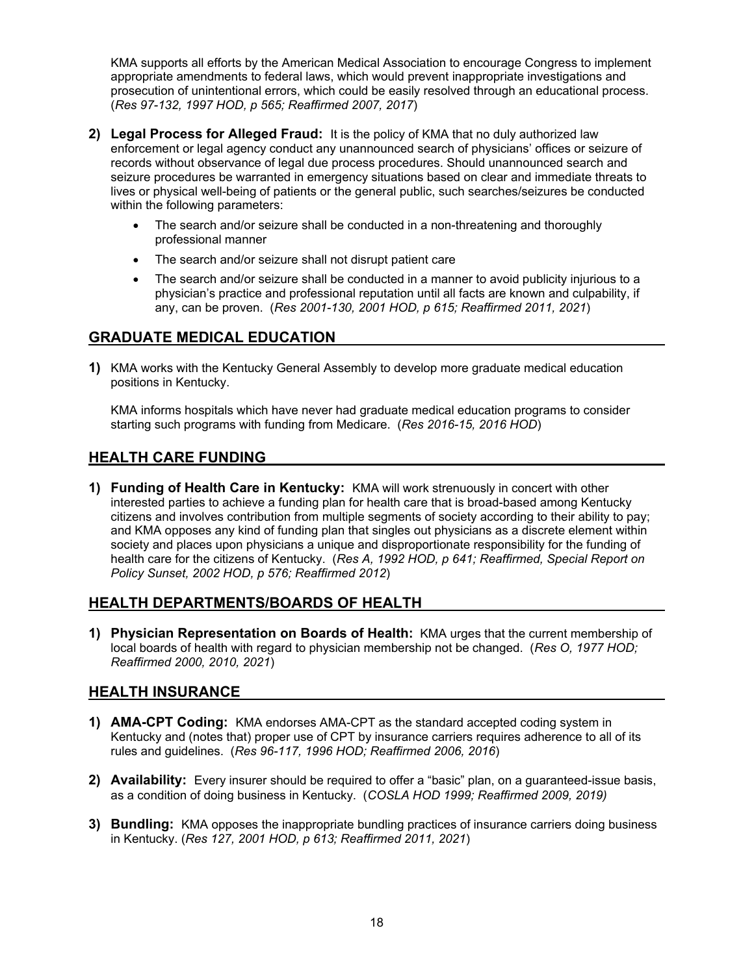KMA supports all efforts by the American Medical Association to encourage Congress to implement appropriate amendments to federal laws, which would prevent inappropriate investigations and prosecution of unintentional errors, which could be easily resolved through an educational process. (*Res 97-132, 1997 HOD, p 565; Reaffirmed 2007, 2017*)

- **2) Legal Process for Alleged Fraud:** It is the policy of KMA that no duly authorized law enforcement or legal agency conduct any unannounced search of physicians' offices or seizure of records without observance of legal due process procedures. Should unannounced search and seizure procedures be warranted in emergency situations based on clear and immediate threats to lives or physical well-being of patients or the general public, such searches/seizures be conducted within the following parameters:
	- The search and/or seizure shall be conducted in a non-threatening and thoroughly professional manner
	- The search and/or seizure shall not disrupt patient care
	- The search and/or seizure shall be conducted in a manner to avoid publicity injurious to a physician's practice and professional reputation until all facts are known and culpability, if any, can be proven. (*Res 2001-130, 2001 HOD, p 615; Reaffirmed 2011, 2021*)

## **GRADUATE MEDICAL EDUCATION**

**1)** KMA works with the Kentucky General Assembly to develop more graduate medical education positions in Kentucky.

KMA informs hospitals which have never had graduate medical education programs to consider starting such programs with funding from Medicare. (*Res 2016-15, 2016 HOD*)

## **HEALTH CARE FUNDING**

**1) Funding of Health Care in Kentucky:** KMA will work strenuously in concert with other interested parties to achieve a funding plan for health care that is broad-based among Kentucky citizens and involves contribution from multiple segments of society according to their ability to pay; and KMA opposes any kind of funding plan that singles out physicians as a discrete element within society and places upon physicians a unique and disproportionate responsibility for the funding of health care for the citizens of Kentucky. (*Res A, 1992 HOD, p 641; Reaffirmed, Special Report on Policy Sunset, 2002 HOD, p 576; Reaffirmed 2012*)

# **HEALTH DEPARTMENTS/BOARDS OF HEALTH**

**1) Physician Representation on Boards of Health:** KMA urges that the current membership of local boards of health with regard to physician membership not be changed. (*Res O, 1977 HOD; Reaffirmed 2000, 2010, 2021*)

#### **HEALTH INSURANCE**

- **1) AMA-CPT Coding:** KMA endorses AMA-CPT as the standard accepted coding system in Kentucky and (notes that) proper use of CPT by insurance carriers requires adherence to all of its rules and guidelines. (*Res 96-117, 1996 HOD; Reaffirmed 2006, 2016*)
- **2) Availability:** Every insurer should be required to offer a "basic" plan, on a guaranteed-issue basis, as a condition of doing business in Kentucky. (*COSLA HOD 1999; Reaffirmed 2009, 2019)*
- **3) Bundling:** KMA opposes the inappropriate bundling practices of insurance carriers doing business in Kentucky. (*Res 127, 2001 HOD, p 613; Reaffirmed 2011, 2021*)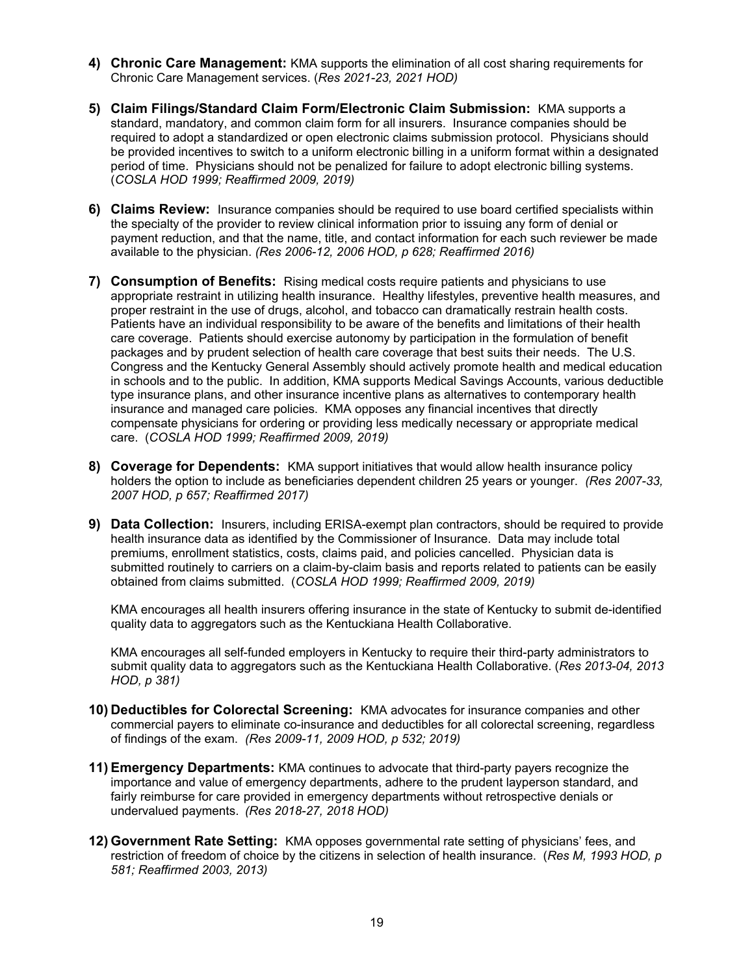- **4) Chronic Care Management:** KMA supports the elimination of all cost sharing requirements for Chronic Care Management services. (*Res 2021-23, 2021 HOD)*
- **5) Claim Filings/Standard Claim Form/Electronic Claim Submission:** KMA supports a standard, mandatory, and common claim form for all insurers. Insurance companies should be required to adopt a standardized or open electronic claims submission protocol. Physicians should be provided incentives to switch to a uniform electronic billing in a uniform format within a designated period of time. Physicians should not be penalized for failure to adopt electronic billing systems. (*COSLA HOD 1999; Reaffirmed 2009, 2019)*
- **6) Claims Review:** Insurance companies should be required to use board certified specialists within the specialty of the provider to review clinical information prior to issuing any form of denial or payment reduction, and that the name, title, and contact information for each such reviewer be made available to the physician. *(Res 2006-12, 2006 HOD, p 628; Reaffirmed 2016)*
- **7) Consumption of Benefits:** Rising medical costs require patients and physicians to use appropriate restraint in utilizing health insurance. Healthy lifestyles, preventive health measures, and proper restraint in the use of drugs, alcohol, and tobacco can dramatically restrain health costs. Patients have an individual responsibility to be aware of the benefits and limitations of their health care coverage. Patients should exercise autonomy by participation in the formulation of benefit packages and by prudent selection of health care coverage that best suits their needs. The U.S. Congress and the Kentucky General Assembly should actively promote health and medical education in schools and to the public. In addition, KMA supports Medical Savings Accounts, various deductible type insurance plans, and other insurance incentive plans as alternatives to contemporary health insurance and managed care policies. KMA opposes any financial incentives that directly compensate physicians for ordering or providing less medically necessary or appropriate medical care. (*COSLA HOD 1999; Reaffirmed 2009, 2019)*
- **8) Coverage for Dependents:** KMA support initiatives that would allow health insurance policy holders the option to include as beneficiaries dependent children 25 years or younger. *(Res 2007-33, 2007 HOD, p 657; Reaffirmed 2017)*
- **9) Data Collection:** Insurers, including ERISA-exempt plan contractors, should be required to provide health insurance data as identified by the Commissioner of Insurance. Data may include total premiums, enrollment statistics, costs, claims paid, and policies cancelled. Physician data is submitted routinely to carriers on a claim-by-claim basis and reports related to patients can be easily obtained from claims submitted. (*COSLA HOD 1999; Reaffirmed 2009, 2019)*

KMA encourages all health insurers offering insurance in the state of Kentucky to submit de-identified quality data to aggregators such as the Kentuckiana Health Collaborative.

KMA encourages all self-funded employers in Kentucky to require their third-party administrators to submit quality data to aggregators such as the Kentuckiana Health Collaborative. (*Res 2013-04, 2013 HOD, p 381)* 

- **10) Deductibles for Colorectal Screening:** KMA advocates for insurance companies and other commercial payers to eliminate co-insurance and deductibles for all colorectal screening, regardless of findings of the exam. *(Res 2009-11, 2009 HOD, p 532; 2019)*
- **11) Emergency Departments:** KMA continues to advocate that third-party payers recognize the importance and value of emergency departments, adhere to the prudent layperson standard, and fairly reimburse for care provided in emergency departments without retrospective denials or undervalued payments. *(Res 2018-27, 2018 HOD)*
- **12) Government Rate Setting:** KMA opposes governmental rate setting of physicians' fees, and restriction of freedom of choice by the citizens in selection of health insurance. (*Res M, 1993 HOD, p 581; Reaffirmed 2003, 2013)*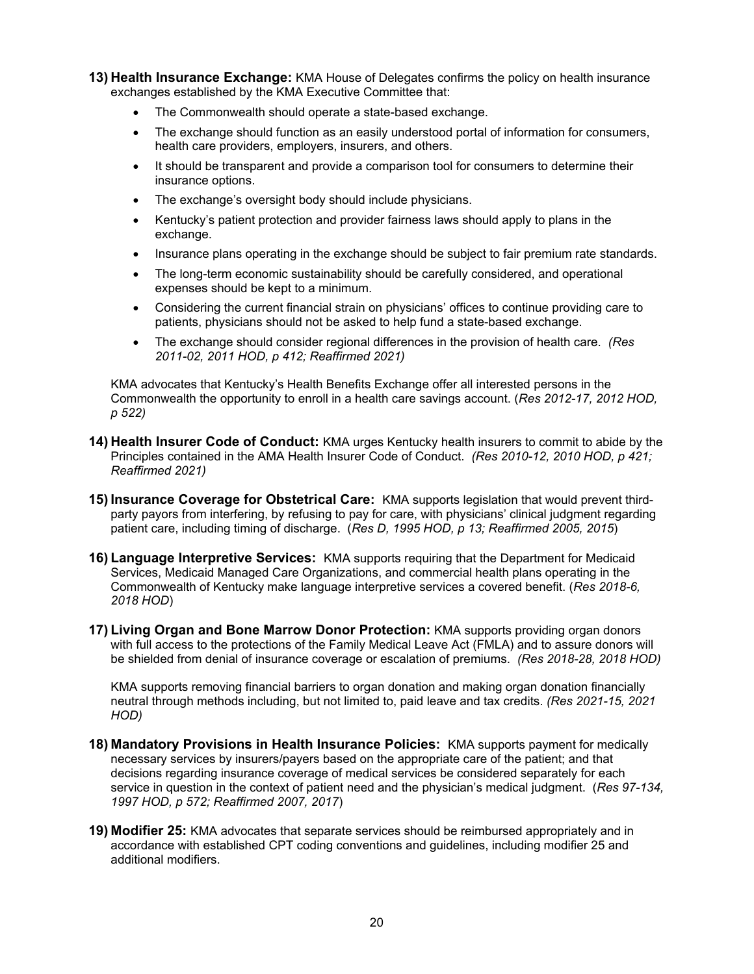- **13) Health Insurance Exchange:** KMA House of Delegates confirms the policy on health insurance exchanges established by the KMA Executive Committee that:
	- The Commonwealth should operate a state-based exchange.
	- The exchange should function as an easily understood portal of information for consumers, health care providers, employers, insurers, and others.
	- It should be transparent and provide a comparison tool for consumers to determine their insurance options.
	- The exchange's oversight body should include physicians.
	- Kentucky's patient protection and provider fairness laws should apply to plans in the exchange.
	- Insurance plans operating in the exchange should be subject to fair premium rate standards.
	- The long-term economic sustainability should be carefully considered, and operational expenses should be kept to a minimum.
	- Considering the current financial strain on physicians' offices to continue providing care to patients, physicians should not be asked to help fund a state-based exchange.
	- The exchange should consider regional differences in the provision of health care. *(Res 2011-02, 2011 HOD, p 412; Reaffirmed 2021)*

KMA advocates that Kentucky's Health Benefits Exchange offer all interested persons in the Commonwealth the opportunity to enroll in a health care savings account. (*Res 2012-17, 2012 HOD, p 522)* 

- **14) Health Insurer Code of Conduct:** KMA urges Kentucky health insurers to commit to abide by the Principles contained in the AMA Health Insurer Code of Conduct. *(Res 2010-12, 2010 HOD, p 421; Reaffirmed 2021)*
- **15) Insurance Coverage for Obstetrical Care:** KMA supports legislation that would prevent thirdparty payors from interfering, by refusing to pay for care, with physicians' clinical judgment regarding patient care, including timing of discharge. (*Res D, 1995 HOD, p 13; Reaffirmed 2005, 2015*)
- **16) Language Interpretive Services:** KMA supports requiring that the Department for Medicaid Services, Medicaid Managed Care Organizations, and commercial health plans operating in the Commonwealth of Kentucky make language interpretive services a covered benefit. (*Res 2018-6, 2018 HOD*)
- **17) Living Organ and Bone Marrow Donor Protection:** KMA supports providing organ donors with full access to the protections of the Family Medical Leave Act (FMLA) and to assure donors will be shielded from denial of insurance coverage or escalation of premiums. *(Res 2018-28, 2018 HOD)*

KMA supports removing financial barriers to organ donation and making organ donation financially neutral through methods including, but not limited to, paid leave and tax credits. *(Res 2021-15, 2021 HOD)*

- **18) Mandatory Provisions in Health Insurance Policies:** KMA supports payment for medically necessary services by insurers/payers based on the appropriate care of the patient; and that decisions regarding insurance coverage of medical services be considered separately for each service in question in the context of patient need and the physician's medical judgment. (*Res 97-134, 1997 HOD, p 572; Reaffirmed 2007, 2017*)
- **19) Modifier 25:** KMA advocates that separate services should be reimbursed appropriately and in accordance with established CPT coding conventions and guidelines, including modifier 25 and additional modifiers.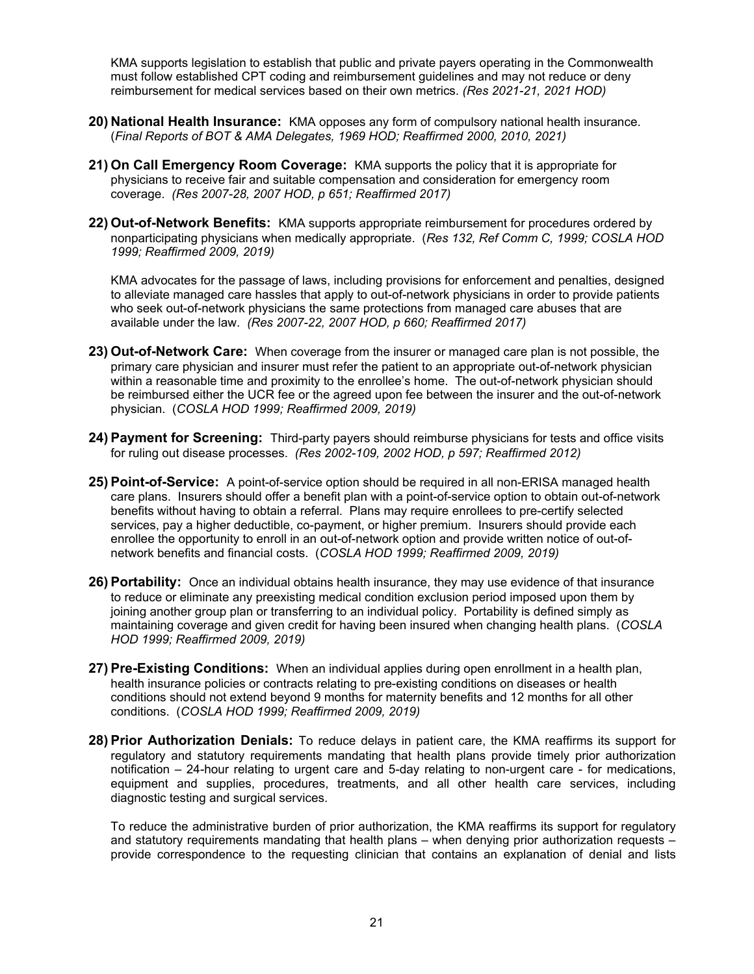KMA supports legislation to establish that public and private payers operating in the Commonwealth must follow established CPT coding and reimbursement guidelines and may not reduce or deny reimbursement for medical services based on their own metrics. *(Res 2021-21, 2021 HOD)*

- **20) National Health Insurance:** KMA opposes any form of compulsory national health insurance. (*Final Reports of BOT & AMA Delegates, 1969 HOD; Reaffirmed 2000, 2010, 2021)*
- **21) On Call Emergency Room Coverage:** KMA supports the policy that it is appropriate for physicians to receive fair and suitable compensation and consideration for emergency room coverage. *(Res 2007-28, 2007 HOD, p 651; Reaffirmed 2017)*
- **22) Out-of-Network Benefits:** KMA supports appropriate reimbursement for procedures ordered by nonparticipating physicians when medically appropriate. (*Res 132, Ref Comm C, 1999; COSLA HOD 1999; Reaffirmed 2009, 2019)*

KMA advocates for the passage of laws, including provisions for enforcement and penalties, designed to alleviate managed care hassles that apply to out-of-network physicians in order to provide patients who seek out-of-network physicians the same protections from managed care abuses that are available under the law. *(Res 2007-22, 2007 HOD, p 660; Reaffirmed 2017)*

- **23) Out-of-Network Care:** When coverage from the insurer or managed care plan is not possible, the primary care physician and insurer must refer the patient to an appropriate out-of-network physician within a reasonable time and proximity to the enrollee's home. The out-of-network physician should be reimbursed either the UCR fee or the agreed upon fee between the insurer and the out-of-network physician. (*COSLA HOD 1999; Reaffirmed 2009, 2019)*
- **24) Payment for Screening:** Third-party payers should reimburse physicians for tests and office visits for ruling out disease processes. *(Res 2002-109, 2002 HOD, p 597; Reaffirmed 2012)*
- **25) Point-of-Service:** A point-of-service option should be required in all non-ERISA managed health care plans. Insurers should offer a benefit plan with a point-of-service option to obtain out-of-network benefits without having to obtain a referral. Plans may require enrollees to pre-certify selected services, pay a higher deductible, co-payment, or higher premium. Insurers should provide each enrollee the opportunity to enroll in an out-of-network option and provide written notice of out-ofnetwork benefits and financial costs. (*COSLA HOD 1999; Reaffirmed 2009, 2019)*
- **26) Portability:** Once an individual obtains health insurance, they may use evidence of that insurance to reduce or eliminate any preexisting medical condition exclusion period imposed upon them by joining another group plan or transferring to an individual policy. Portability is defined simply as maintaining coverage and given credit for having been insured when changing health plans. (*COSLA HOD 1999; Reaffirmed 2009, 2019)*
- **27) Pre-Existing Conditions:** When an individual applies during open enrollment in a health plan, health insurance policies or contracts relating to pre-existing conditions on diseases or health conditions should not extend beyond 9 months for maternity benefits and 12 months for all other conditions. (*COSLA HOD 1999; Reaffirmed 2009, 2019)*
- **28) Prior Authorization Denials:** To reduce delays in patient care, the KMA reaffirms its support for regulatory and statutory requirements mandating that health plans provide timely prior authorization notification – 24-hour relating to urgent care and 5-day relating to non-urgent care - for medications, equipment and supplies, procedures, treatments, and all other health care services, including diagnostic testing and surgical services.

To reduce the administrative burden of prior authorization, the KMA reaffirms its support for regulatory and statutory requirements mandating that health plans – when denying prior authorization requests – provide correspondence to the requesting clinician that contains an explanation of denial and lists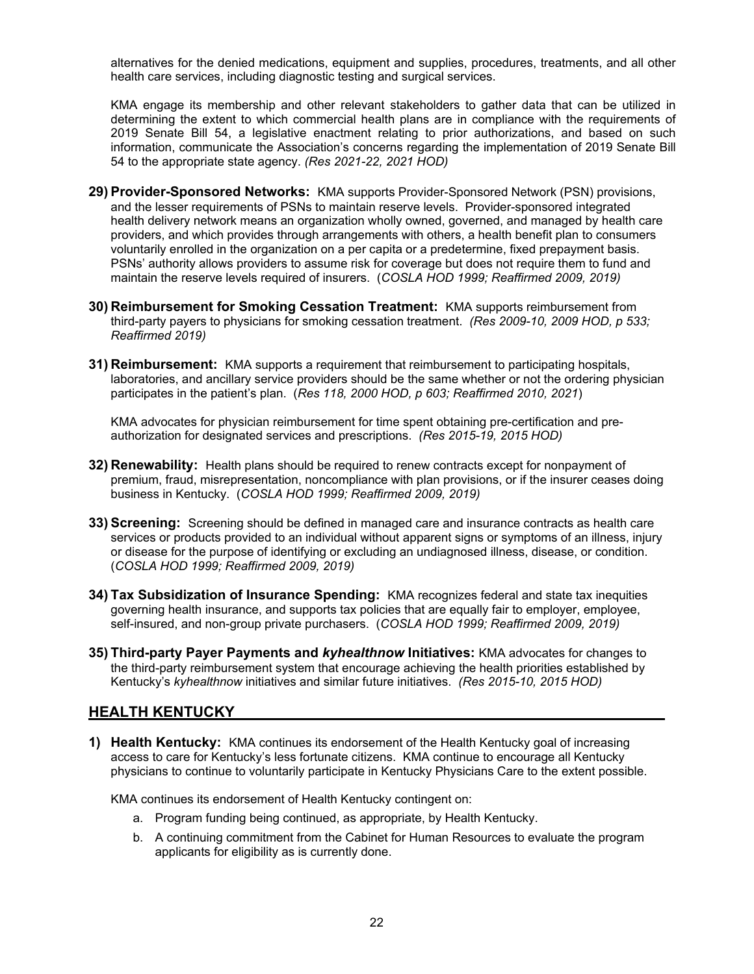alternatives for the denied medications, equipment and supplies, procedures, treatments, and all other health care services, including diagnostic testing and surgical services.

KMA engage its membership and other relevant stakeholders to gather data that can be utilized in determining the extent to which commercial health plans are in compliance with the requirements of 2019 Senate Bill 54, a legislative enactment relating to prior authorizations, and based on such information, communicate the Association's concerns regarding the implementation of 2019 Senate Bill 54 to the appropriate state agency. *(Res 2021-22, 2021 HOD)*

- **29) Provider-Sponsored Networks:** KMA supports Provider-Sponsored Network (PSN) provisions, and the lesser requirements of PSNs to maintain reserve levels. Provider-sponsored integrated health delivery network means an organization wholly owned, governed, and managed by health care providers, and which provides through arrangements with others, a health benefit plan to consumers voluntarily enrolled in the organization on a per capita or a predetermine, fixed prepayment basis. PSNs' authority allows providers to assume risk for coverage but does not require them to fund and maintain the reserve levels required of insurers. (*COSLA HOD 1999; Reaffirmed 2009, 2019)*
- **30) Reimbursement for Smoking Cessation Treatment:** KMA supports reimbursement from third-party payers to physicians for smoking cessation treatment. *(Res 2009-10, 2009 HOD, p 533; Reaffirmed 2019)*
- **31) Reimbursement:** KMA supports a requirement that reimbursement to participating hospitals, laboratories, and ancillary service providers should be the same whether or not the ordering physician participates in the patient's plan. (*Res 118, 2000 HOD, p 603; Reaffirmed 2010, 2021*)

KMA advocates for physician reimbursement for time spent obtaining pre-certification and preauthorization for designated services and prescriptions. *(Res 2015-19, 2015 HOD)*

- **32) Renewability:** Health plans should be required to renew contracts except for nonpayment of premium, fraud, misrepresentation, noncompliance with plan provisions, or if the insurer ceases doing business in Kentucky. (*COSLA HOD 1999; Reaffirmed 2009, 2019)*
- **33) Screening:** Screening should be defined in managed care and insurance contracts as health care services or products provided to an individual without apparent signs or symptoms of an illness, injury or disease for the purpose of identifying or excluding an undiagnosed illness, disease, or condition. (*COSLA HOD 1999; Reaffirmed 2009, 2019)*
- **34) Tax Subsidization of Insurance Spending:** KMA recognizes federal and state tax inequities governing health insurance, and supports tax policies that are equally fair to employer, employee, self-insured, and non-group private purchasers. (*COSLA HOD 1999; Reaffirmed 2009, 2019)*
- **35) Third-party Payer Payments and** *kyhealthnow* **Initiatives:** KMA advocates for changes to the third-party reimbursement system that encourage achieving the health priorities established by Kentucky's *kyhealthnow* initiatives and similar future initiatives. *(Res 2015-10, 2015 HOD)*

#### **HEALTH KENTUCKY**

**1) Health Kentucky:** KMA continues its endorsement of the Health Kentucky goal of increasing access to care for Kentucky's less fortunate citizens. KMA continue to encourage all Kentucky physicians to continue to voluntarily participate in Kentucky Physicians Care to the extent possible.

KMA continues its endorsement of Health Kentucky contingent on:

- a. Program funding being continued, as appropriate, by Health Kentucky.
- b. A continuing commitment from the Cabinet for Human Resources to evaluate the program applicants for eligibility as is currently done.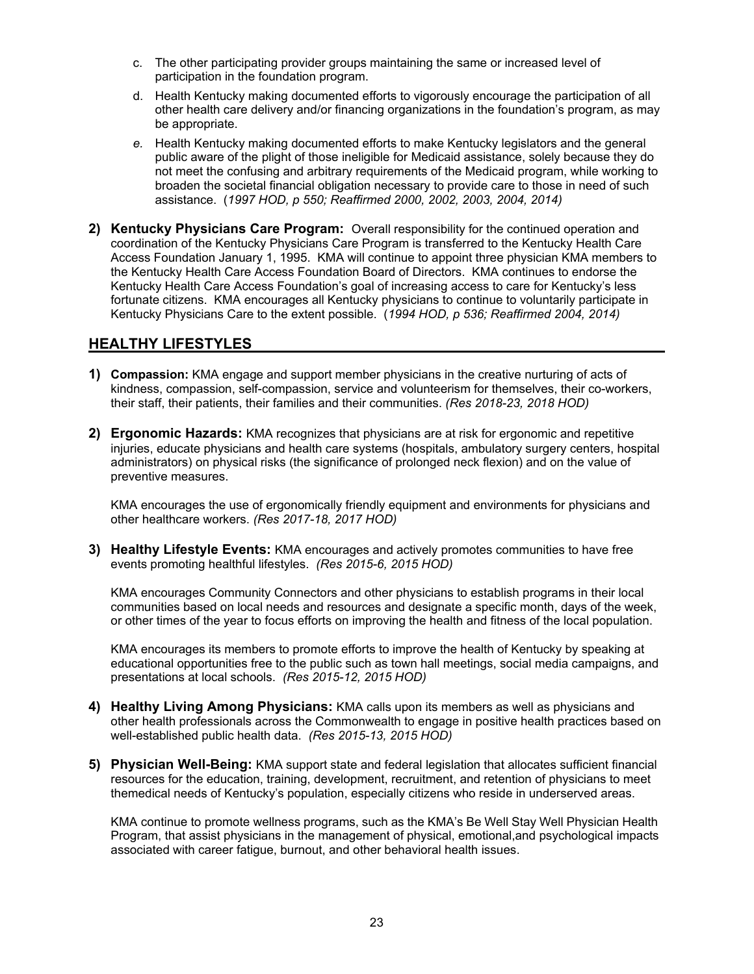- c. The other participating provider groups maintaining the same or increased level of participation in the foundation program.
- d. Health Kentucky making documented efforts to vigorously encourage the participation of all other health care delivery and/or financing organizations in the foundation's program, as may be appropriate.
- *e.* Health Kentucky making documented efforts to make Kentucky legislators and the general public aware of the plight of those ineligible for Medicaid assistance, solely because they do not meet the confusing and arbitrary requirements of the Medicaid program, while working to broaden the societal financial obligation necessary to provide care to those in need of such assistance. (*1997 HOD, p 550; Reaffirmed 2000, 2002, 2003, 2004, 2014)*
- **2) Kentucky Physicians Care Program:** Overall responsibility for the continued operation and coordination of the Kentucky Physicians Care Program is transferred to the Kentucky Health Care Access Foundation January 1, 1995. KMA will continue to appoint three physician KMA members to the Kentucky Health Care Access Foundation Board of Directors. KMA continues to endorse the Kentucky Health Care Access Foundation's goal of increasing access to care for Kentucky's less fortunate citizens. KMA encourages all Kentucky physicians to continue to voluntarily participate in Kentucky Physicians Care to the extent possible. (*1994 HOD, p 536; Reaffirmed 2004, 2014)*

# **HEALTHY LIFESTYLES**

- **1) Compassion:** KMA engage and support member physicians in the creative nurturing of acts of kindness, compassion, self-compassion, service and volunteerism for themselves, their co-workers, their staff, their patients, their families and their communities. *(Res 2018-23, 2018 HOD)*
- **2) Ergonomic Hazards:** KMA recognizes that physicians are at risk for ergonomic and repetitive injuries, educate physicians and health care systems (hospitals, ambulatory surgery centers, hospital administrators) on physical risks (the significance of prolonged neck flexion) and on the value of preventive measures.

KMA encourages the use of ergonomically friendly equipment and environments for physicians and other healthcare workers. *(Res 2017-18, 2017 HOD)* 

**3) Healthy Lifestyle Events:** KMA encourages and actively promotes communities to have free events promoting healthful lifestyles. *(Res 2015-6, 2015 HOD)* 

KMA encourages Community Connectors and other physicians to establish programs in their local communities based on local needs and resources and designate a specific month, days of the week, or other times of the year to focus efforts on improving the health and fitness of the local population.

KMA encourages its members to promote efforts to improve the health of Kentucky by speaking at educational opportunities free to the public such as town hall meetings, social media campaigns, and presentations at local schools. *(Res 2015-12, 2015 HOD)*

- **4) Healthy Living Among Physicians:** KMA calls upon its members as well as physicians and other health professionals across the Commonwealth to engage in positive health practices based on well-established public health data. *(Res 2015-13, 2015 HOD)*
- **5) Physician Well-Being:** KMA support state and federal legislation that allocates sufficient financial resources for the education, training, development, recruitment, and retention of physicians to meet the medical needs of Kentucky's population, especially citizens who reside in underserved areas.

KMA continue to promote wellness programs, such as the KMA's Be Well Stay Well Physician Health Program, that assist physicians in the management of physical, emotional, and psychological impacts associated with career fatigue, burnout, and other behavioral health issues.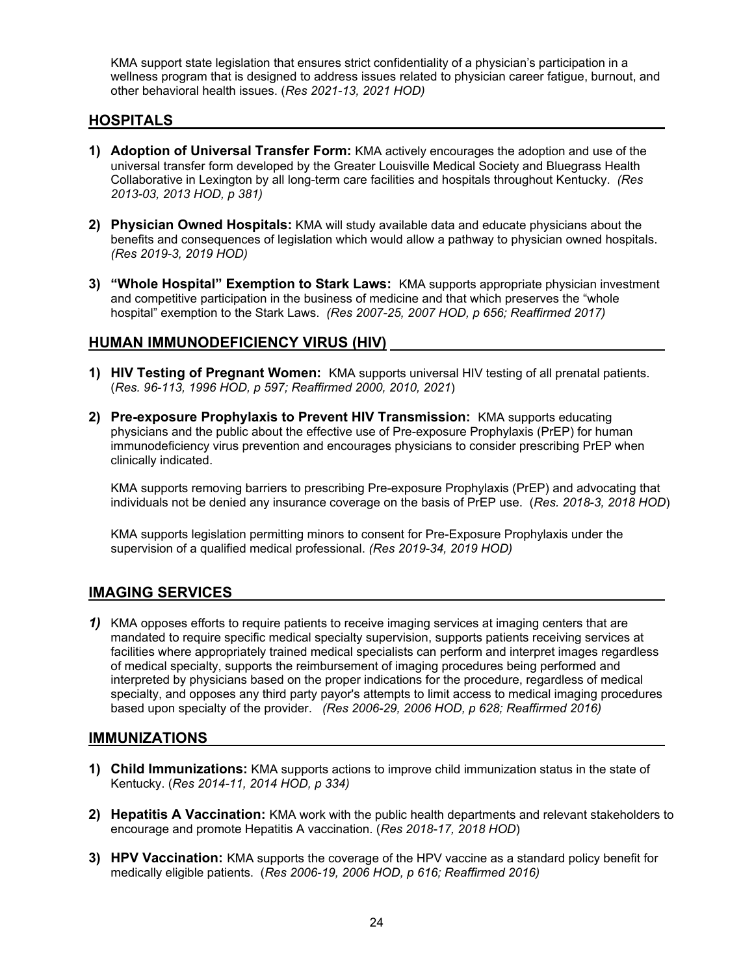KMA support state legislation that ensures strict confidentiality of a physician's participation in a wellness program that is designed to address issues related to physician career fatigue, burnout, and other behavioral health issues. (*Res 2021-13, 2021 HOD)*

## **HOSPITALS**

- **1) Adoption of Universal Transfer Form:** KMA actively encourages the adoption and use of the universal transfer form developed by the Greater Louisville Medical Society and Bluegrass Health Collaborative in Lexington by all long-term care facilities and hospitals throughout Kentucky. *(Res 2013-03, 2013 HOD, p 381)*
- **2) Physician Owned Hospitals:** KMA will study available data and educate physicians about the benefits and consequences of legislation which would allow a pathway to physician owned hospitals. *(Res 2019-3, 2019 HOD)*
- **3) "Whole Hospital" Exemption to Stark Laws:** KMA supports appropriate physician investment and competitive participation in the business of medicine and that which preserves the "whole hospital" exemption to the Stark Laws. *(Res 2007-25, 2007 HOD, p 656; Reaffirmed 2017)*

#### **HUMAN IMMUNODEFICIENCY VIRUS (HIV)**

- **1) HIV Testing of Pregnant Women:** KMA supports universal HIV testing of all prenatal patients. (*Res. 96-113, 1996 HOD, p 597; Reaffirmed 2000, 2010, 2021*)
- **2) Pre-exposure Prophylaxis to Prevent HIV Transmission:** KMA supports educating physicians and the public about the effective use of Pre-exposure Prophylaxis (PrEP) for human immunodeficiency virus prevention and encourages physicians to consider prescribing PrEP when clinically indicated.

KMA supports removing barriers to prescribing Pre-exposure Prophylaxis (PrEP) and advocating that individuals not be denied any insurance coverage on the basis of PrEP use. (*Res. 2018-3, 2018 HOD*)

KMA supports legislation permitting minors to consent for Pre-Exposure Prophylaxis under the supervision of a qualified medical professional. *(Res 2019-34, 2019 HOD)* 

# **IMAGING SERVICES**

*1)* KMA opposes efforts to require patients to receive imaging services at imaging centers that are mandated to require specific medical specialty supervision, supports patients receiving services at facilities where appropriately trained medical specialists can perform and interpret images regardless of medical specialty, supports the reimbursement of imaging procedures being performed and interpreted by physicians based on the proper indications for the procedure, regardless of medical specialty, and opposes any third party payor's attempts to limit access to medical imaging procedures based upon specialty of the provider. *(Res 2006-29, 2006 HOD, p 628; Reaffirmed 2016)* 

#### **IMMUNIZATIONS**

- **1) Child Immunizations:** KMA supports actions to improve child immunization status in the state of Kentucky. (*Res 2014-11, 2014 HOD, p 334)*
- **2) Hepatitis A Vaccination:** KMA work with the public health departments and relevant stakeholders to encourage and promote Hepatitis A vaccination. (*Res 2018-17, 2018 HOD*)
- **3) HPV Vaccination:** KMA supports the coverage of the HPV vaccine as a standard policy benefit for medically eligible patients. (*Res 2006-19, 2006 HOD, p 616; Reaffirmed 2016)*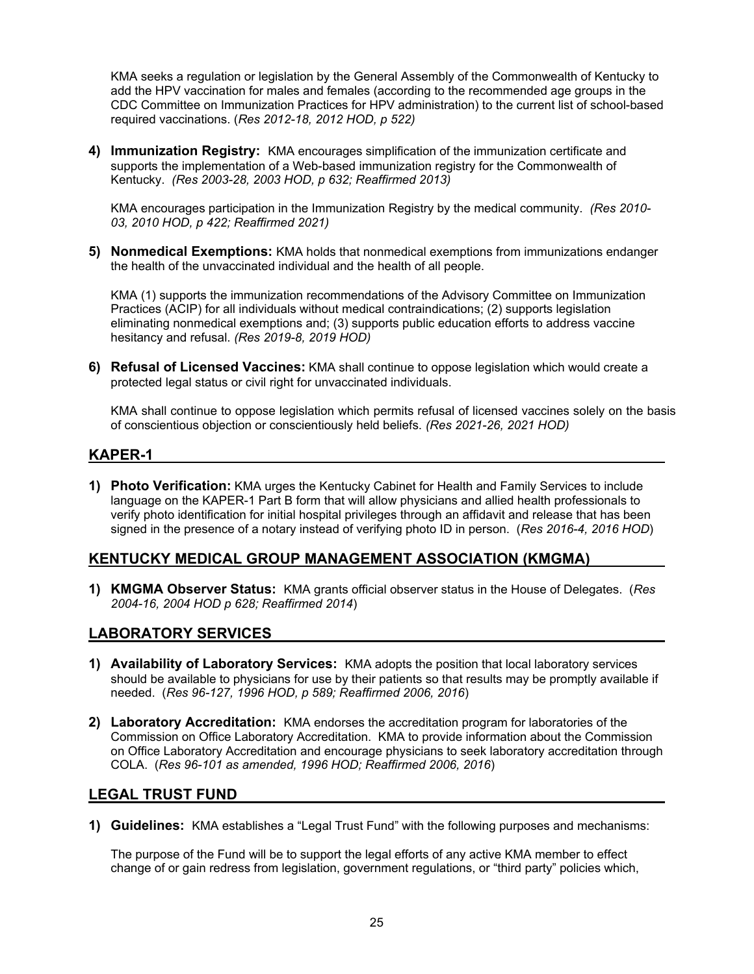KMA seeks a regulation or legislation by the General Assembly of the Commonwealth of Kentucky to add the HPV vaccination for males and females (according to the recommended age groups in the CDC Committee on Immunization Practices for HPV administration) to the current list of school-based required vaccinations. (*Res 2012-18, 2012 HOD, p 522)* 

**4) Immunization Registry:** KMA encourages simplification of the immunization certificate and supports the implementation of a Web-based immunization registry for the Commonwealth of Kentucky. *(Res 2003-28, 2003 HOD, p 632; Reaffirmed 2013)* 

KMA encourages participation in the Immunization Registry by the medical community. *(Res 2010- 03, 2010 HOD, p 422; Reaffirmed 2021)* 

**5) Nonmedical Exemptions:** KMA holds that nonmedical exemptions from immunizations endanger the health of the unvaccinated individual and the health of all people.

KMA (1) supports the immunization recommendations of the Advisory Committee on Immunization Practices (ACIP) for all individuals without medical contraindications; (2) supports legislation eliminating nonmedical exemptions and; (3) supports public education efforts to address vaccine hesitancy and refusal. *(Res 2019-8, 2019 HOD)*

**6) Refusal of Licensed Vaccines:** KMA shall continue to oppose legislation which would create a protected legal status or civil right for unvaccinated individuals.

KMA shall continue to oppose legislation which permits refusal of licensed vaccines solely on the basis of conscientious objection or conscientiously held beliefs. *(Res 2021-26, 2021 HOD)* 

#### **KAPER-1**

**1) Photo Verification:** KMA urges the Kentucky Cabinet for Health and Family Services to include language on the KAPER-1 Part B form that will allow physicians and allied health professionals to verify photo identification for initial hospital privileges through an affidavit and release that has been signed in the presence of a notary instead of verifying photo ID in person. (*Res 2016-4, 2016 HOD*)

#### **KENTUCKY MEDICAL GROUP MANAGEMENT ASSOCIATION (KMGMA)**

**1) KMGMA Observer Status:** KMA grants official observer status in the House of Delegates. (*Res 2004-16, 2004 HOD p 628; Reaffirmed 2014*)

#### **LABORATORY SERVICES**

- **1) Availability of Laboratory Services:** KMA adopts the position that local laboratory services should be available to physicians for use by their patients so that results may be promptly available if needed. (*Res 96-127, 1996 HOD, p 589; Reaffirmed 2006, 2016*)
- **2) Laboratory Accreditation:** KMA endorses the accreditation program for laboratories of the Commission on Office Laboratory Accreditation. KMA to provide information about the Commission on Office Laboratory Accreditation and encourage physicians to seek laboratory accreditation through COLA. (*Res 96-101 as amended, 1996 HOD; Reaffirmed 2006, 2016*)

#### **LEGAL TRUST FUND**

**1) Guidelines:** KMA establishes a "Legal Trust Fund" with the following purposes and mechanisms:

The purpose of the Fund will be to support the legal efforts of any active KMA member to effect change of or gain redress from legislation, government regulations, or "third party" policies which,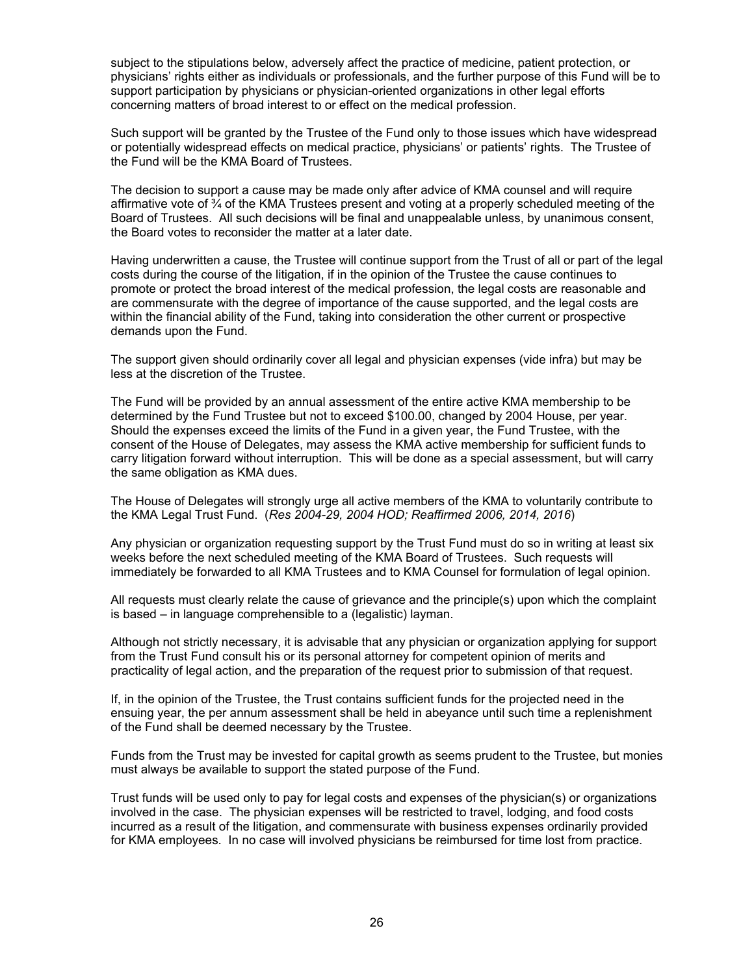subject to the stipulations below, adversely affect the practice of medicine, patient protection, or physicians' rights either as individuals or professionals, and the further purpose of this Fund will be to support participation by physicians or physician-oriented organizations in other legal efforts concerning matters of broad interest to or effect on the medical profession.

Such support will be granted by the Trustee of the Fund only to those issues which have widespread or potentially widespread effects on medical practice, physicians' or patients' rights. The Trustee of the Fund will be the KMA Board of Trustees.

The decision to support a cause may be made only after advice of KMA counsel and will require affirmative vote of ¾ of the KMA Trustees present and voting at a properly scheduled meeting of the Board of Trustees. All such decisions will be final and unappealable unless, by unanimous consent, the Board votes to reconsider the matter at a later date.

Having underwritten a cause, the Trustee will continue support from the Trust of all or part of the legal costs during the course of the litigation, if in the opinion of the Trustee the cause continues to promote or protect the broad interest of the medical profession, the legal costs are reasonable and are commensurate with the degree of importance of the cause supported, and the legal costs are within the financial ability of the Fund, taking into consideration the other current or prospective demands upon the Fund.

The support given should ordinarily cover all legal and physician expenses (vide infra) but may be less at the discretion of the Trustee.

The Fund will be provided by an annual assessment of the entire active KMA membership to be determined by the Fund Trustee but not to exceed \$100.00, changed by 2004 House, per year. Should the expenses exceed the limits of the Fund in a given year, the Fund Trustee, with the consent of the House of Delegates, may assess the KMA active membership for sufficient funds to carry litigation forward without interruption. This will be done as a special assessment, but will carry the same obligation as KMA dues.

The House of Delegates will strongly urge all active members of the KMA to voluntarily contribute to the KMA Legal Trust Fund. (*Res 2004-29, 2004 HOD; Reaffirmed 2006, 2014, 2016*)

Any physician or organization requesting support by the Trust Fund must do so in writing at least six weeks before the next scheduled meeting of the KMA Board of Trustees. Such requests will immediately be forwarded to all KMA Trustees and to KMA Counsel for formulation of legal opinion.

All requests must clearly relate the cause of grievance and the principle(s) upon which the complaint is based – in language comprehensible to a (legalistic) layman.

Although not strictly necessary, it is advisable that any physician or organization applying for support from the Trust Fund consult his or its personal attorney for competent opinion of merits and practicality of legal action, and the preparation of the request prior to submission of that request.

If, in the opinion of the Trustee, the Trust contains sufficient funds for the projected need in the ensuing year, the per annum assessment shall be held in abeyance until such time a replenishment of the Fund shall be deemed necessary by the Trustee.

Funds from the Trust may be invested for capital growth as seems prudent to the Trustee, but monies must always be available to support the stated purpose of the Fund.

Trust funds will be used only to pay for legal costs and expenses of the physician(s) or organizations involved in the case. The physician expenses will be restricted to travel, lodging, and food costs incurred as a result of the litigation, and commensurate with business expenses ordinarily provided for KMA employees. In no case will involved physicians be reimbursed for time lost from practice.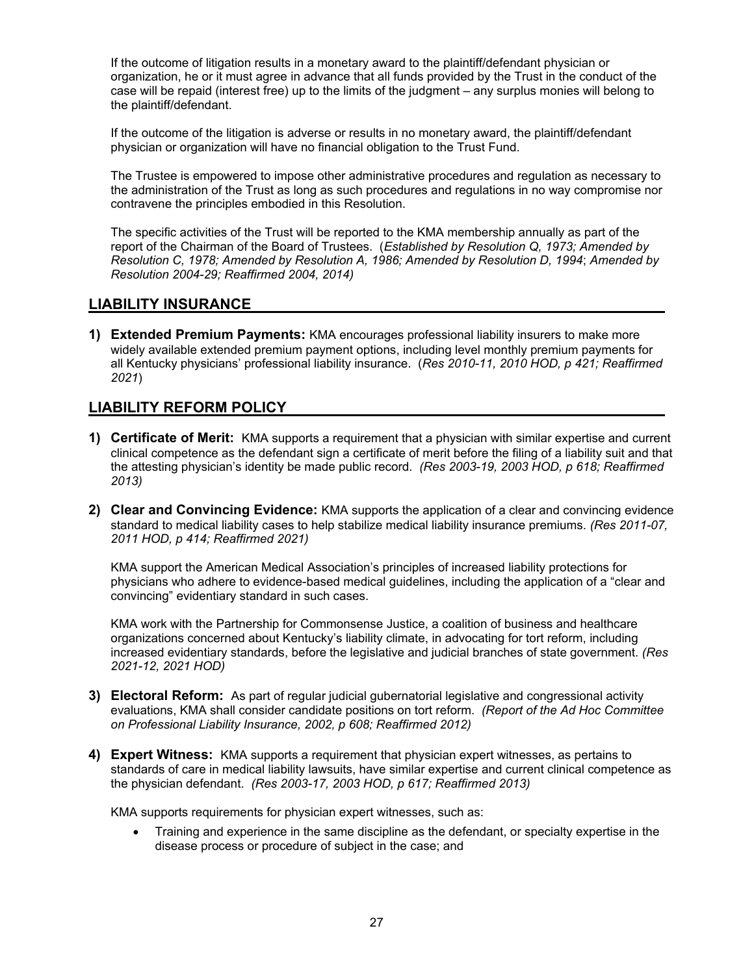If the outcome of litigation results in a monetary award to the plaintiff/defendant physician or organization, he or it must agree in advance that all funds provided by the Trust in the conduct of the case will be repaid (interest free) up to the limits of the judgment – any surplus monies will belong to the plaintiff/defendant.

If the outcome of the litigation is adverse or results in no monetary award, the plaintiff/defendant physician or organization will have no financial obligation to the Trust Fund.

The Trustee is empowered to impose other administrative procedures and regulation as necessary to the administration of the Trust as long as such procedures and regulations in no way compromise nor contravene the principles embodied in this Resolution.

The specific activities of the Trust will be reported to the KMA membership annually as part of the report of the Chairman of the Board of Trustees. (*Established by Resolution Q, 1973; Amended by Resolution C, 1978; Amended by Resolution A, 1986; Amended by Resolution D, 1994*; *Amended by Resolution 2004-29; Reaffirmed 2004, 2014)* 

#### **LIABILITY INSURANCE**

**1) Extended Premium Payments:** KMA encourages professional liability insurers to make more widely available extended premium payment options, including level monthly premium payments for all Kentucky physicians' professional liability insurance. (*Res 2010-11, 2010 HOD, p 421; Reaffirmed 2021*)

## **LIABILITY REFORM POLICY**

- **1) Certificate of Merit:** KMA supports a requirement that a physician with similar expertise and current clinical competence as the defendant sign a certificate of merit before the filing of a liability suit and that the attesting physician's identity be made public record. *(Res 2003-19, 2003 HOD, p 618; Reaffirmed 2013)*
- **2) Clear and Convincing Evidence:** KMA supports the application of a clear and convincing evidence standard to medical liability cases to help stabilize medical liability insurance premiums. *(Res 2011-07, 2011 HOD, p 414; Reaffirmed 2021)*

KMA support the American Medical Association's principles of increased liability protections for physicians who adhere to evidence-based medical guidelines, including the application of a "clear and convincing" evidentiary standard in such cases.

KMA work with the Partnership for Commonsense Justice, a coalition of business and healthcare organizations concerned about Kentucky's liability climate, in advocating for tort reform, including increased evidentiary standards, before the legislative and judicial branches of state government. *(Res 2021-12, 2021 HOD)*

- **3) Electoral Reform:** As part of regular judicial gubernatorial legislative and congressional activity evaluations, KMA shall consider candidate positions on tort reform. *(Report of the Ad Hoc Committee on Professional Liability Insurance, 2002, p 608; Reaffirmed 2012)*
- **4) Expert Witness:** KMA supports a requirement that physician expert witnesses, as pertains to standards of care in medical liability lawsuits, have similar expertise and current clinical competence as the physician defendant. *(Res 2003-17, 2003 HOD, p 617; Reaffirmed 2013)*

KMA supports requirements for physician expert witnesses, such as:

 Training and experience in the same discipline as the defendant, or specialty expertise in the disease process or procedure of subject in the case; and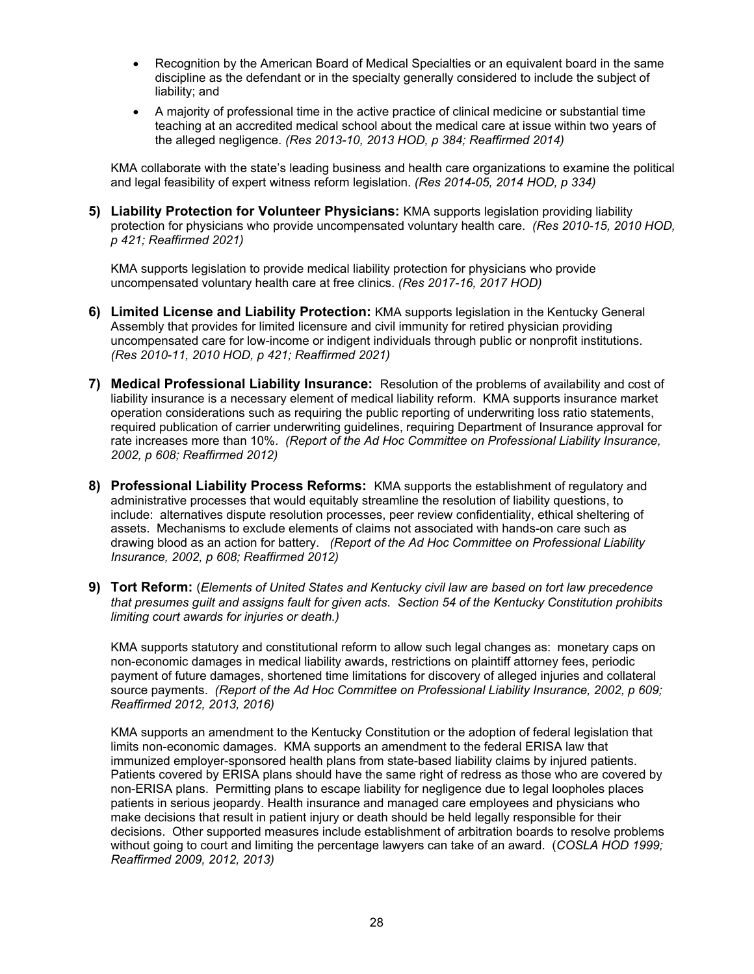- Recognition by the American Board of Medical Specialties or an equivalent board in the same discipline as the defendant or in the specialty generally considered to include the subject of liability; and
- A majority of professional time in the active practice of clinical medicine or substantial time teaching at an accredited medical school about the medical care at issue within two years of the alleged negligence. *(Res 2013-10, 2013 HOD, p 384; Reaffirmed 2014)*

KMA collaborate with the state's leading business and health care organizations to examine the political and legal feasibility of expert witness reform legislation. *(Res 2014-05, 2014 HOD, p 334)*

**5) Liability Protection for Volunteer Physicians:** KMA supports legislation providing liability protection for physicians who provide uncompensated voluntary health care. *(Res 2010-15, 2010 HOD, p 421; Reaffirmed 2021)* 

KMA supports legislation to provide medical liability protection for physicians who provide uncompensated voluntary health care at free clinics. *(Res 2017-16, 2017 HOD)*

- **6) Limited License and Liability Protection:** KMA supports legislation in the Kentucky General Assembly that provides for limited licensure and civil immunity for retired physician providing uncompensated care for low-income or indigent individuals through public or nonprofit institutions. *(Res 2010-11, 2010 HOD, p 421; Reaffirmed 2021)*
- **7) Medical Professional Liability Insurance:** Resolution of the problems of availability and cost of liability insurance is a necessary element of medical liability reform. KMA supports insurance market operation considerations such as requiring the public reporting of underwriting loss ratio statements, required publication of carrier underwriting guidelines, requiring Department of Insurance approval for rate increases more than 10%. *(Report of the Ad Hoc Committee on Professional Liability Insurance, 2002, p 608; Reaffirmed 2012)*
- **8) Professional Liability Process Reforms:** KMA supports the establishment of regulatory and administrative processes that would equitably streamline the resolution of liability questions, to include: alternatives dispute resolution processes, peer review confidentiality, ethical sheltering of assets. Mechanisms to exclude elements of claims not associated with hands-on care such as drawing blood as an action for battery. *(Report of the Ad Hoc Committee on Professional Liability Insurance, 2002, p 608; Reaffirmed 2012)*
- **9) Tort Reform:** (*Elements of United States and Kentucky civil law are based on tort law precedence that presumes guilt and assigns fault for given acts. Section 54 of the Kentucky Constitution prohibits limiting court awards for injuries or death.)*

KMA supports statutory and constitutional reform to allow such legal changes as: monetary caps on non-economic damages in medical liability awards, restrictions on plaintiff attorney fees, periodic payment of future damages, shortened time limitations for discovery of alleged injuries and collateral source payments. *(Report of the Ad Hoc Committee on Professional Liability Insurance, 2002, p 609; Reaffirmed 2012, 2013, 2016)* 

KMA supports an amendment to the Kentucky Constitution or the adoption of federal legislation that limits non-economic damages. KMA supports an amendment to the federal ERISA law that immunized employer-sponsored health plans from state-based liability claims by injured patients. Patients covered by ERISA plans should have the same right of redress as those who are covered by non-ERISA plans. Permitting plans to escape liability for negligence due to legal loopholes places patients in serious jeopardy. Health insurance and managed care employees and physicians who make decisions that result in patient injury or death should be held legally responsible for their decisions. Other supported measures include establishment of arbitration boards to resolve problems without going to court and limiting the percentage lawyers can take of an award. (*COSLA HOD 1999; Reaffirmed 2009, 2012, 2013)*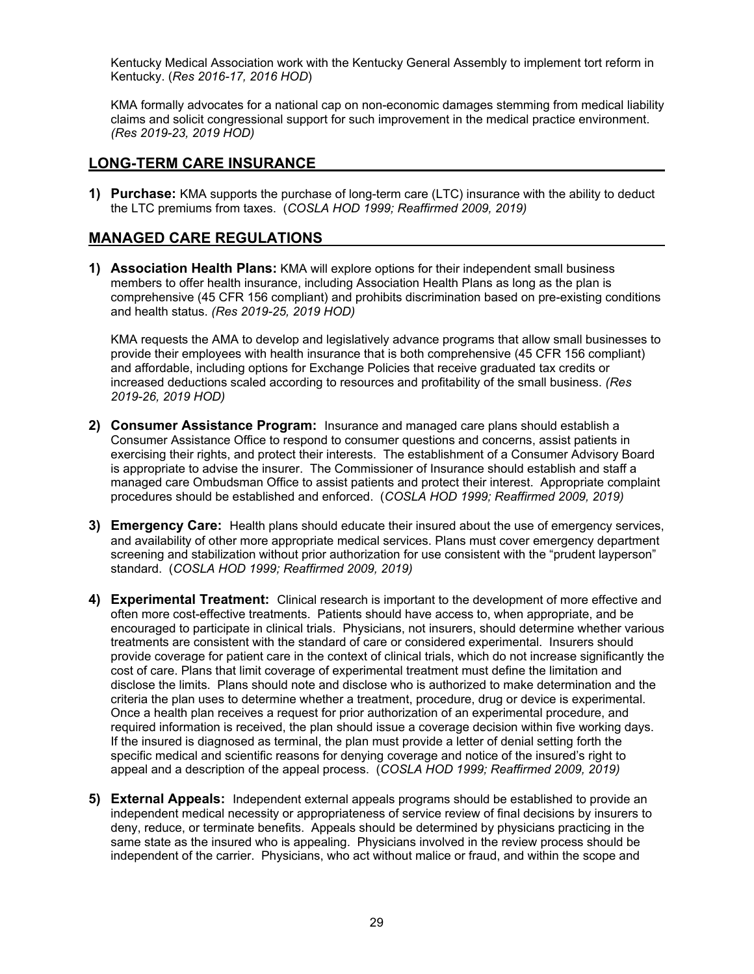Kentucky Medical Association work with the Kentucky General Assembly to implement tort reform in Kentucky. (*Res 2016-17, 2016 HOD*)

KMA formally advocates for a national cap on non-economic damages stemming from medical liability claims and solicit congressional support for such improvement in the medical practice environment. *(Res 2019-23, 2019 HOD)*

#### **LONG-TERM CARE INSURANCE**

**1) Purchase:** KMA supports the purchase of long-term care (LTC) insurance with the ability to deduct the LTC premiums from taxes. (*COSLA HOD 1999; Reaffirmed 2009, 2019)* 

# **MANAGED CARE REGULATIONS**

**1) Association Health Plans:** KMA will explore options for their independent small business members to offer health insurance, including Association Health Plans as long as the plan is comprehensive (45 CFR 156 compliant) and prohibits discrimination based on pre-existing conditions and health status. *(Res 2019-25, 2019 HOD)*

KMA requests the AMA to develop and legislatively advance programs that allow small businesses to provide their employees with health insurance that is both comprehensive (45 CFR 156 compliant) and affordable, including options for Exchange Policies that receive graduated tax credits or increased deductions scaled according to resources and profitability of the small business. *(Res 2019-26, 2019 HOD)*

- **2) Consumer Assistance Program:** Insurance and managed care plans should establish a Consumer Assistance Office to respond to consumer questions and concerns, assist patients in exercising their rights, and protect their interests. The establishment of a Consumer Advisory Board is appropriate to advise the insurer. The Commissioner of Insurance should establish and staff a managed care Ombudsman Office to assist patients and protect their interest. Appropriate complaint procedures should be established and enforced. (*COSLA HOD 1999; Reaffirmed 2009, 2019)*
- **3) Emergency Care:** Health plans should educate their insured about the use of emergency services, and availability of other more appropriate medical services. Plans must cover emergency department screening and stabilization without prior authorization for use consistent with the "prudent layperson" standard. (*COSLA HOD 1999; Reaffirmed 2009, 2019)*
- **4) Experimental Treatment:** Clinical research is important to the development of more effective and often more cost-effective treatments. Patients should have access to, when appropriate, and be encouraged to participate in clinical trials. Physicians, not insurers, should determine whether various treatments are consistent with the standard of care or considered experimental. Insurers should provide coverage for patient care in the context of clinical trials, which do not increase significantly the cost of care. Plans that limit coverage of experimental treatment must define the limitation and disclose the limits. Plans should note and disclose who is authorized to make determination and the criteria the plan uses to determine whether a treatment, procedure, drug or device is experimental. Once a health plan receives a request for prior authorization of an experimental procedure, and required information is received, the plan should issue a coverage decision within five working days. If the insured is diagnosed as terminal, the plan must provide a letter of denial setting forth the specific medical and scientific reasons for denying coverage and notice of the insured's right to appeal and a description of the appeal process. (*COSLA HOD 1999; Reaffirmed 2009, 2019)*
- **5) External Appeals:** Independent external appeals programs should be established to provide an independent medical necessity or appropriateness of service review of final decisions by insurers to deny, reduce, or terminate benefits. Appeals should be determined by physicians practicing in the same state as the insured who is appealing. Physicians involved in the review process should be independent of the carrier. Physicians, who act without malice or fraud, and within the scope and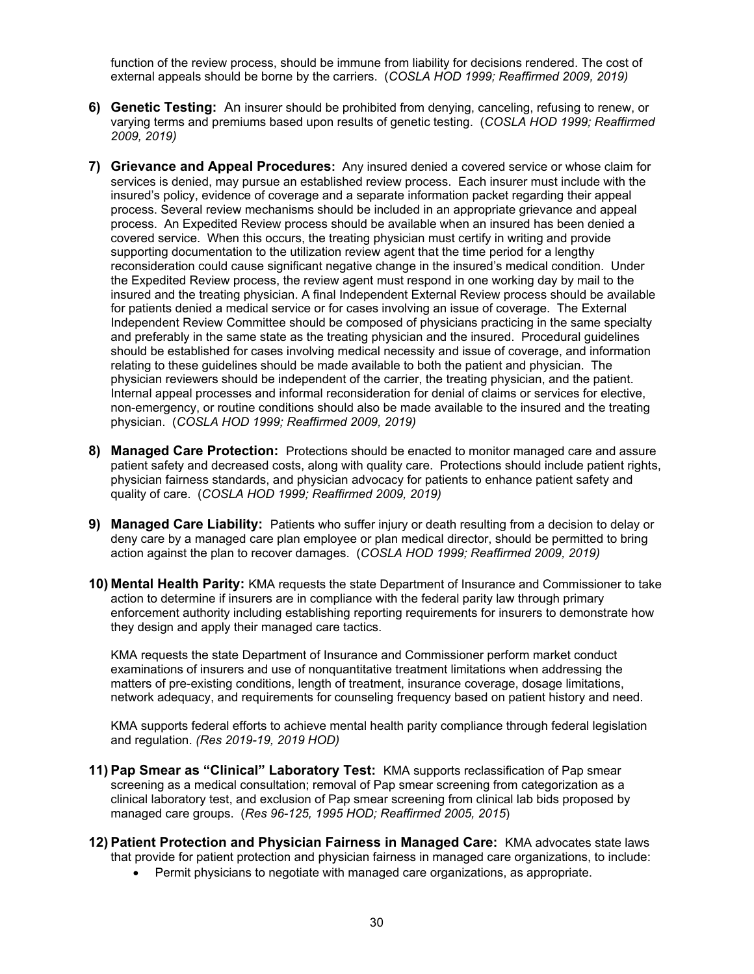function of the review process, should be immune from liability for decisions rendered. The cost of external appeals should be borne by the carriers. (*COSLA HOD 1999; Reaffirmed 2009, 2019)*

- **6) Genetic Testing:** An insurer should be prohibited from denying, canceling, refusing to renew, or varying terms and premiums based upon results of genetic testing. (*COSLA HOD 1999; Reaffirmed 2009, 2019)*
- **7) Grievance and Appeal Procedures:** Any insured denied a covered service or whose claim for services is denied, may pursue an established review process. Each insurer must include with the insured's policy, evidence of coverage and a separate information packet regarding their appeal process. Several review mechanisms should be included in an appropriate grievance and appeal process. An Expedited Review process should be available when an insured has been denied a covered service. When this occurs, the treating physician must certify in writing and provide supporting documentation to the utilization review agent that the time period for a lengthy reconsideration could cause significant negative change in the insured's medical condition. Under the Expedited Review process, the review agent must respond in one working day by mail to the insured and the treating physician. A final Independent External Review process should be available for patients denied a medical service or for cases involving an issue of coverage. The External Independent Review Committee should be composed of physicians practicing in the same specialty and preferably in the same state as the treating physician and the insured. Procedural guidelines should be established for cases involving medical necessity and issue of coverage, and information relating to these guidelines should be made available to both the patient and physician. The physician reviewers should be independent of the carrier, the treating physician, and the patient. Internal appeal processes and informal reconsideration for denial of claims or services for elective, non-emergency, or routine conditions should also be made available to the insured and the treating physician. (*COSLA HOD 1999; Reaffirmed 2009, 2019)*
- **8) Managed Care Protection:** Protections should be enacted to monitor managed care and assure patient safety and decreased costs, along with quality care. Protections should include patient rights, physician fairness standards, and physician advocacy for patients to enhance patient safety and quality of care. (*COSLA HOD 1999; Reaffirmed 2009, 2019)*
- **9) Managed Care Liability:** Patients who suffer injury or death resulting from a decision to delay or deny care by a managed care plan employee or plan medical director, should be permitted to bring action against the plan to recover damages. (*COSLA HOD 1999; Reaffirmed 2009, 2019)*
- **10) Mental Health Parity:** KMA requests the state Department of Insurance and Commissioner to take action to determine if insurers are in compliance with the federal parity law through primary enforcement authority including establishing reporting requirements for insurers to demonstrate how they design and apply their managed care tactics.

KMA requests the state Department of Insurance and Commissioner perform market conduct examinations of insurers and use of nonquantitative treatment limitations when addressing the matters of pre-existing conditions, length of treatment, insurance coverage, dosage limitations, network adequacy, and requirements for counseling frequency based on patient history and need.

KMA supports federal efforts to achieve mental health parity compliance through federal legislation and regulation. *(Res 2019-19, 2019 HOD)*

- **11) Pap Smear as "Clinical" Laboratory Test:** KMA supports reclassification of Pap smear screening as a medical consultation; removal of Pap smear screening from categorization as a clinical laboratory test, and exclusion of Pap smear screening from clinical lab bids proposed by managed care groups. (*Res 96-125, 1995 HOD; Reaffirmed 2005, 2015*)
- **12) Patient Protection and Physician Fairness in Managed Care:** KMA advocates state laws that provide for patient protection and physician fairness in managed care organizations, to include:
	- Permit physicians to negotiate with managed care organizations, as appropriate.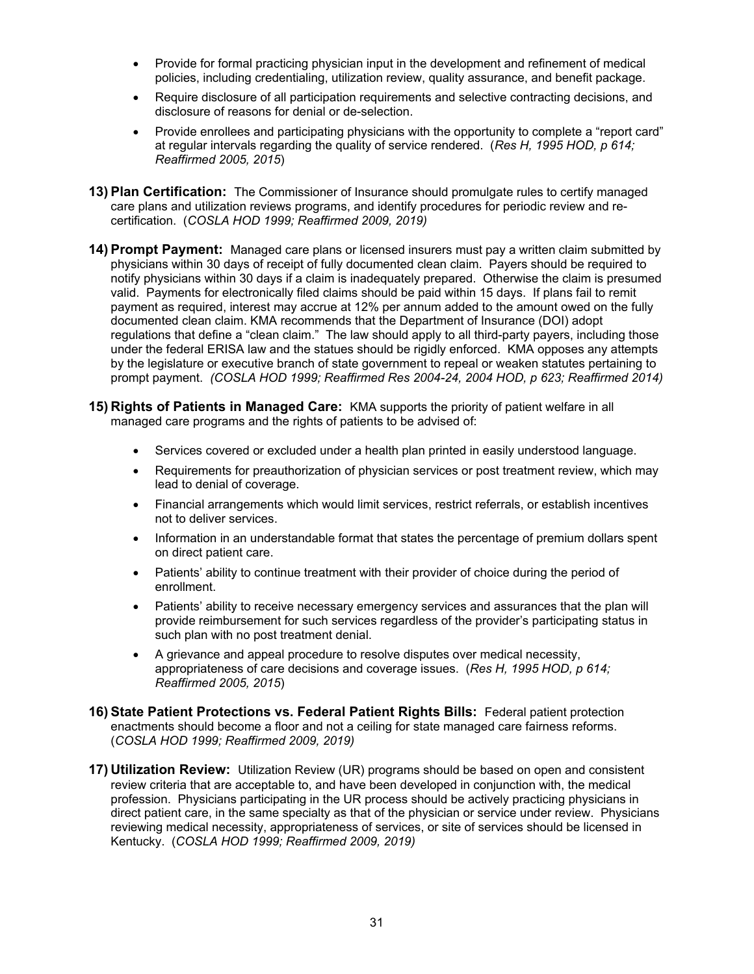- Provide for formal practicing physician input in the development and refinement of medical policies, including credentialing, utilization review, quality assurance, and benefit package.
- Require disclosure of all participation requirements and selective contracting decisions, and disclosure of reasons for denial or de-selection.
- Provide enrollees and participating physicians with the opportunity to complete a "report card" at regular intervals regarding the quality of service rendered. (*Res H, 1995 HOD, p 614; Reaffirmed 2005, 2015*)
- **13) Plan Certification:** The Commissioner of Insurance should promulgate rules to certify managed care plans and utilization reviews programs, and identify procedures for periodic review and recertification. (*COSLA HOD 1999; Reaffirmed 2009, 2019)*
- **14) Prompt Payment:** Managed care plans or licensed insurers must pay a written claim submitted by physicians within 30 days of receipt of fully documented clean claim. Payers should be required to notify physicians within 30 days if a claim is inadequately prepared. Otherwise the claim is presumed valid. Payments for electronically filed claims should be paid within 15 days. If plans fail to remit payment as required, interest may accrue at 12% per annum added to the amount owed on the fully documented clean claim. KMA recommends that the Department of Insurance (DOI) adopt regulations that define a "clean claim." The law should apply to all third-party payers, including those under the federal ERISA law and the statues should be rigidly enforced. KMA opposes any attempts by the legislature or executive branch of state government to repeal or weaken statutes pertaining to prompt payment. *(COSLA HOD 1999; Reaffirmed Res 2004-24, 2004 HOD, p 623; Reaffirmed 2014)*
- **15) Rights of Patients in Managed Care:** KMA supports the priority of patient welfare in all managed care programs and the rights of patients to be advised of:
	- Services covered or excluded under a health plan printed in easily understood language.
	- Requirements for preauthorization of physician services or post treatment review, which may lead to denial of coverage.
	- Financial arrangements which would limit services, restrict referrals, or establish incentives not to deliver services.
	- Information in an understandable format that states the percentage of premium dollars spent on direct patient care.
	- Patients' ability to continue treatment with their provider of choice during the period of enrollment.
	- Patients' ability to receive necessary emergency services and assurances that the plan will provide reimbursement for such services regardless of the provider's participating status in such plan with no post treatment denial.
	- A grievance and appeal procedure to resolve disputes over medical necessity, appropriateness of care decisions and coverage issues. (*Res H, 1995 HOD, p 614; Reaffirmed 2005, 2015*)
- **16) State Patient Protections vs. Federal Patient Rights Bills:** Federal patient protection enactments should become a floor and not a ceiling for state managed care fairness reforms. (*COSLA HOD 1999; Reaffirmed 2009, 2019)*
- **17) Utilization Review:** Utilization Review (UR) programs should be based on open and consistent review criteria that are acceptable to, and have been developed in conjunction with, the medical profession. Physicians participating in the UR process should be actively practicing physicians in direct patient care, in the same specialty as that of the physician or service under review. Physicians reviewing medical necessity, appropriateness of services, or site of services should be licensed in Kentucky. (*COSLA HOD 1999; Reaffirmed 2009, 2019)*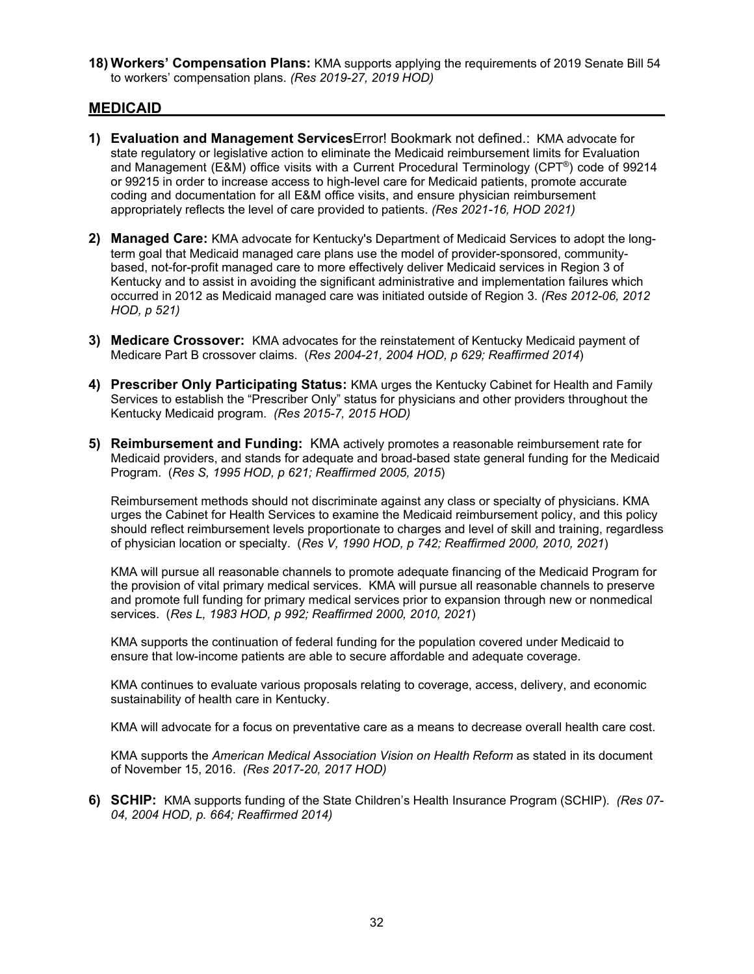**18) Workers' Compensation Plans:** KMA supports applying the requirements of 2019 Senate Bill 54 to workers' compensation plans. *(Res 2019-27, 2019 HOD)*

#### **MEDICAID**

- **1) Evaluation and Management Services**Error! Bookmark not defined.: KMA advocate for state regulatory or legislative action to eliminate the Medicaid reimbursement limits for Evaluation and Management (E&M) office visits with a Current Procedural Terminology (CPT®) code of 99214 or 99215 in order to increase access to high-level care for Medicaid patients, promote accurate coding and documentation for all E&M office visits, and ensure physician reimbursement appropriately reflects the level of care provided to patients. *(Res 2021-16, HOD 2021)*
- **2) Managed Care:** KMA advocate for Kentucky's Department of Medicaid Services to adopt the longterm goal that Medicaid managed care plans use the model of provider-sponsored, communitybased, not-for-profit managed care to more effectively deliver Medicaid services in Region 3 of Kentucky and to assist in avoiding the significant administrative and implementation failures which occurred in 2012 as Medicaid managed care was initiated outside of Region 3. *(Res 2012-06, 2012 HOD, p 521)*
- **3) Medicare Crossover:** KMA advocates for the reinstatement of Kentucky Medicaid payment of Medicare Part B crossover claims. (*Res 2004-21, 2004 HOD, p 629; Reaffirmed 2014*)
- **4) Prescriber Only Participating Status:** KMA urges the Kentucky Cabinet for Health and Family Services to establish the "Prescriber Only" status for physicians and other providers throughout the Kentucky Medicaid program. *(Res 2015-7, 2015 HOD)*
- **5) Reimbursement and Funding:** KMA actively promotes a reasonable reimbursement rate for Medicaid providers, and stands for adequate and broad-based state general funding for the Medicaid Program. (*Res S, 1995 HOD, p 621; Reaffirmed 2005, 2015*)

Reimbursement methods should not discriminate against any class or specialty of physicians. KMA urges the Cabinet for Health Services to examine the Medicaid reimbursement policy, and this policy should reflect reimbursement levels proportionate to charges and level of skill and training, regardless of physician location or specialty. (*Res V, 1990 HOD, p 742; Reaffirmed 2000, 2010, 2021*)

KMA will pursue all reasonable channels to promote adequate financing of the Medicaid Program for the provision of vital primary medical services. KMA will pursue all reasonable channels to preserve and promote full funding for primary medical services prior to expansion through new or nonmedical services. (*Res L, 1983 HOD, p 992; Reaffirmed 2000, 2010, 2021*)

KMA supports the continuation of federal funding for the population covered under Medicaid to ensure that low-income patients are able to secure affordable and adequate coverage.

KMA continues to evaluate various proposals relating to coverage, access, delivery, and economic sustainability of health care in Kentucky.

KMA will advocate for a focus on preventative care as a means to decrease overall health care cost.

KMA supports the *American Medical Association Vision on Health Reform* as stated in its document of November 15, 2016. *(Res 2017-20, 2017 HOD)*

**6) SCHIP:** KMA supports funding of the State Children's Health Insurance Program (SCHIP). *(Res 07- 04, 2004 HOD, p. 664; Reaffirmed 2014)*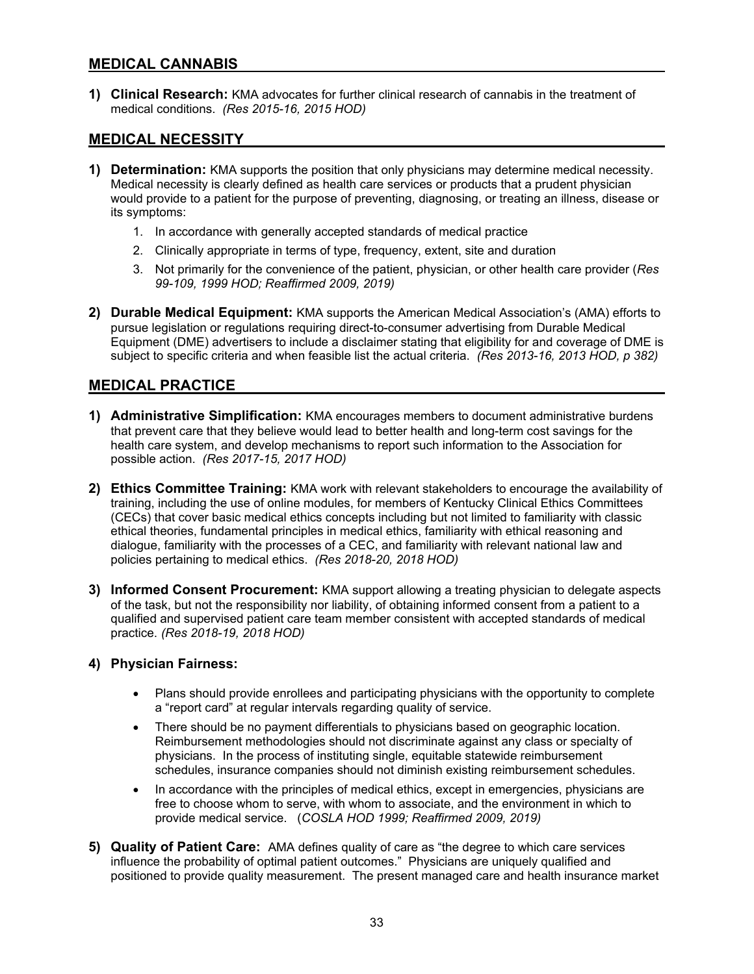#### **MEDICAL CANNABIS**

**1) Clinical Research:** KMA advocates for further clinical research of cannabis in the treatment of medical conditions. *(Res 2015-16, 2015 HOD)* 

# **MEDICAL NECESSITY**

- **1) Determination:** KMA supports the position that only physicians may determine medical necessity. Medical necessity is clearly defined as health care services or products that a prudent physician would provide to a patient for the purpose of preventing, diagnosing, or treating an illness, disease or its symptoms:
	- 1. In accordance with generally accepted standards of medical practice
	- 2. Clinically appropriate in terms of type, frequency, extent, site and duration
	- 3. Not primarily for the convenience of the patient, physician, or other health care provider (*Res 99-109, 1999 HOD; Reaffirmed 2009, 2019)*
- **2) Durable Medical Equipment:** KMA supports the American Medical Association's (AMA) efforts to pursue legislation or regulations requiring direct-to-consumer advertising from Durable Medical Equipment (DME) advertisers to include a disclaimer stating that eligibility for and coverage of DME is subject to specific criteria and when feasible list the actual criteria. *(Res 2013-16, 2013 HOD, p 382)*

# **MEDICAL PRACTICE**

- **1) Administrative Simplification:** KMA encourages members to document administrative burdens that prevent care that they believe would lead to better health and long-term cost savings for the health care system, and develop mechanisms to report such information to the Association for possible action. *(Res 2017-15, 2017 HOD)*
- **2) Ethics Committee Training:** KMA work with relevant stakeholders to encourage the availability of training, including the use of online modules, for members of Kentucky Clinical Ethics Committees (CECs) that cover basic medical ethics concepts including but not limited to familiarity with classic ethical theories, fundamental principles in medical ethics, familiarity with ethical reasoning and dialogue, familiarity with the processes of a CEC, and familiarity with relevant national law and policies pertaining to medical ethics. *(Res 2018-20, 2018 HOD)*
- **3) Informed Consent Procurement:** KMA support allowing a treating physician to delegate aspects of the task, but not the responsibility nor liability, of obtaining informed consent from a patient to a qualified and supervised patient care team member consistent with accepted standards of medical practice. *(Res 2018-19, 2018 HOD)*

#### **4) Physician Fairness:**

- Plans should provide enrollees and participating physicians with the opportunity to complete a "report card" at regular intervals regarding quality of service.
- There should be no payment differentials to physicians based on geographic location. Reimbursement methodologies should not discriminate against any class or specialty of physicians. In the process of instituting single, equitable statewide reimbursement schedules, insurance companies should not diminish existing reimbursement schedules.
- In accordance with the principles of medical ethics, except in emergencies, physicians are free to choose whom to serve, with whom to associate, and the environment in which to provide medical service. (*COSLA HOD 1999; Reaffirmed 2009, 2019)*
- **5) Quality of Patient Care:** AMA defines quality of care as "the degree to which care services influence the probability of optimal patient outcomes." Physicians are uniquely qualified and positioned to provide quality measurement. The present managed care and health insurance market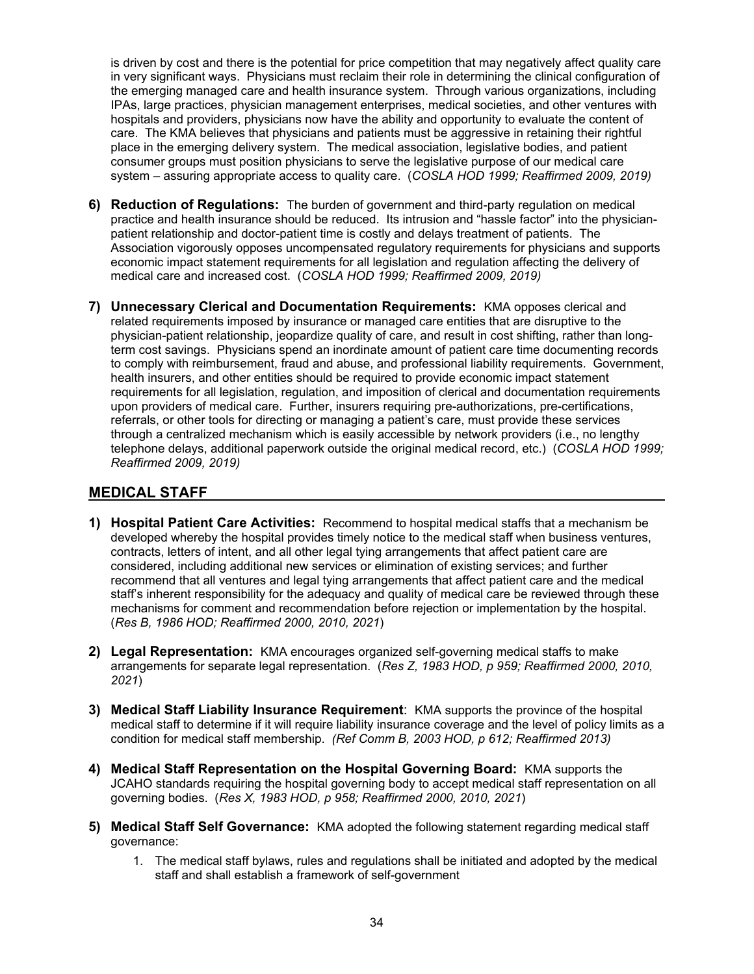is driven by cost and there is the potential for price competition that may negatively affect quality care in very significant ways. Physicians must reclaim their role in determining the clinical configuration of the emerging managed care and health insurance system. Through various organizations, including IPAs, large practices, physician management enterprises, medical societies, and other ventures with hospitals and providers, physicians now have the ability and opportunity to evaluate the content of care. The KMA believes that physicians and patients must be aggressive in retaining their rightful place in the emerging delivery system. The medical association, legislative bodies, and patient consumer groups must position physicians to serve the legislative purpose of our medical care system – assuring appropriate access to quality care. (*COSLA HOD 1999; Reaffirmed 2009, 2019)*

- **6) Reduction of Regulations:** The burden of government and third-party regulation on medical practice and health insurance should be reduced. Its intrusion and "hassle factor" into the physicianpatient relationship and doctor-patient time is costly and delays treatment of patients. The Association vigorously opposes uncompensated regulatory requirements for physicians and supports economic impact statement requirements for all legislation and regulation affecting the delivery of medical care and increased cost. (*COSLA HOD 1999; Reaffirmed 2009, 2019)*
- **7) Unnecessary Clerical and Documentation Requirements:** KMA opposes clerical and related requirements imposed by insurance or managed care entities that are disruptive to the physician-patient relationship, jeopardize quality of care, and result in cost shifting, rather than longterm cost savings. Physicians spend an inordinate amount of patient care time documenting records to comply with reimbursement, fraud and abuse, and professional liability requirements. Government, health insurers, and other entities should be required to provide economic impact statement requirements for all legislation, regulation, and imposition of clerical and documentation requirements upon providers of medical care. Further, insurers requiring pre-authorizations, pre-certifications, referrals, or other tools for directing or managing a patient's care, must provide these services through a centralized mechanism which is easily accessible by network providers (i.e., no lengthy telephone delays, additional paperwork outside the original medical record, etc.) (*COSLA HOD 1999; Reaffirmed 2009, 2019)*

## **MEDICAL STAFF**

- **1) Hospital Patient Care Activities:** Recommend to hospital medical staffs that a mechanism be developed whereby the hospital provides timely notice to the medical staff when business ventures, contracts, letters of intent, and all other legal tying arrangements that affect patient care are considered, including additional new services or elimination of existing services; and further recommend that all ventures and legal tying arrangements that affect patient care and the medical staff's inherent responsibility for the adequacy and quality of medical care be reviewed through these mechanisms for comment and recommendation before rejection or implementation by the hospital. (*Res B, 1986 HOD; Reaffirmed 2000, 2010, 2021*)
- **2) Legal Representation:** KMA encourages organized self-governing medical staffs to make arrangements for separate legal representation. (*Res Z, 1983 HOD, p 959; Reaffirmed 2000, 2010, 2021*)
- **3) Medical Staff Liability Insurance Requirement**: KMA supports the province of the hospital medical staff to determine if it will require liability insurance coverage and the level of policy limits as a condition for medical staff membership. *(Ref Comm B, 2003 HOD, p 612; Reaffirmed 2013)*
- **4) Medical Staff Representation on the Hospital Governing Board:** KMA supports the JCAHO standards requiring the hospital governing body to accept medical staff representation on all governing bodies. (*Res X, 1983 HOD, p 958; Reaffirmed 2000, 2010, 2021*)
- **5) Medical Staff Self Governance:** KMA adopted the following statement regarding medical staff governance:
	- 1. The medical staff bylaws, rules and regulations shall be initiated and adopted by the medical staff and shall establish a framework of self-government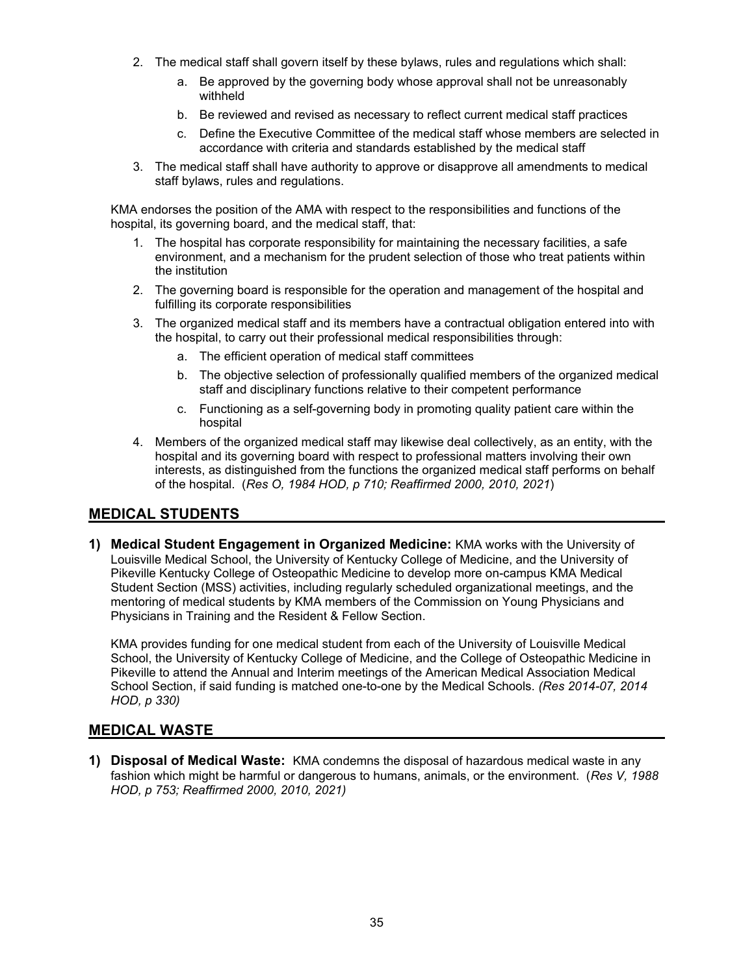- 2. The medical staff shall govern itself by these bylaws, rules and regulations which shall:
	- a. Be approved by the governing body whose approval shall not be unreasonably withheld
	- b. Be reviewed and revised as necessary to reflect current medical staff practices
	- c. Define the Executive Committee of the medical staff whose members are selected in accordance with criteria and standards established by the medical staff
- 3. The medical staff shall have authority to approve or disapprove all amendments to medical staff bylaws, rules and regulations.

KMA endorses the position of the AMA with respect to the responsibilities and functions of the hospital, its governing board, and the medical staff, that:

- 1. The hospital has corporate responsibility for maintaining the necessary facilities, a safe environment, and a mechanism for the prudent selection of those who treat patients within the institution
- 2. The governing board is responsible for the operation and management of the hospital and fulfilling its corporate responsibilities
- 3. The organized medical staff and its members have a contractual obligation entered into with the hospital, to carry out their professional medical responsibilities through:
	- a. The efficient operation of medical staff committees
	- b. The objective selection of professionally qualified members of the organized medical staff and disciplinary functions relative to their competent performance
	- c. Functioning as a self-governing body in promoting quality patient care within the hospital
- 4. Members of the organized medical staff may likewise deal collectively, as an entity, with the hospital and its governing board with respect to professional matters involving their own interests, as distinguished from the functions the organized medical staff performs on behalf of the hospital. (*Res O, 1984 HOD, p 710; Reaffirmed 2000, 2010, 2021*)

#### **MEDICAL STUDENTS**

**1) Medical Student Engagement in Organized Medicine:** KMA works with the University of Louisville Medical School, the University of Kentucky College of Medicine, and the University of Pikeville Kentucky College of Osteopathic Medicine to develop more on-campus KMA Medical Student Section (MSS) activities, including regularly scheduled organizational meetings, and the mentoring of medical students by KMA members of the Commission on Young Physicians and Physicians in Training and the Resident & Fellow Section.

KMA provides funding for one medical student from each of the University of Louisville Medical School, the University of Kentucky College of Medicine, and the College of Osteopathic Medicine in Pikeville to attend the Annual and Interim meetings of the American Medical Association Medical School Section, if said funding is matched one-to-one by the Medical Schools. *(Res 2014-07, 2014 HOD, p 330)* 

#### **MEDICAL WASTE**

**1) Disposal of Medical Waste:** KMA condemns the disposal of hazardous medical waste in any fashion which might be harmful or dangerous to humans, animals, or the environment. (*Res V, 1988 HOD, p 753; Reaffirmed 2000, 2010, 2021)*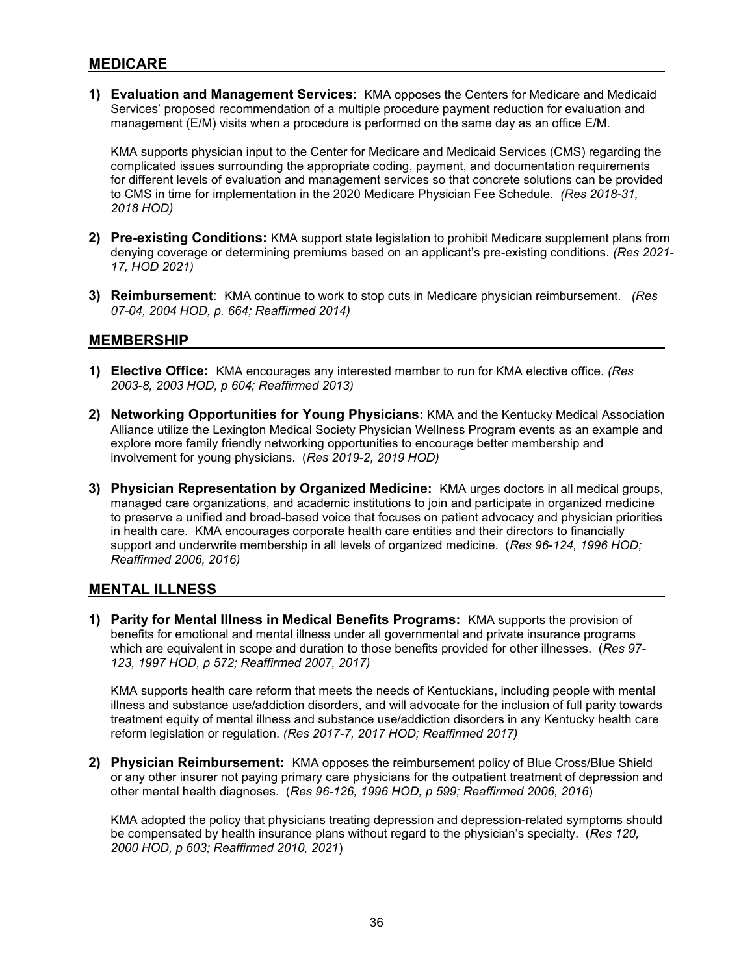#### **MEDICARE**

**1) Evaluation and Management Services**: KMA opposes the Centers for Medicare and Medicaid Services' proposed recommendation of a multiple procedure payment reduction for evaluation and management (E/M) visits when a procedure is performed on the same day as an office E/M.

KMA supports physician input to the Center for Medicare and Medicaid Services (CMS) regarding the complicated issues surrounding the appropriate coding, payment, and documentation requirements for different levels of evaluation and management services so that concrete solutions can be provided to CMS in time for implementation in the 2020 Medicare Physician Fee Schedule. *(Res 2018-31, 2018 HOD)*

- **2) Pre-existing Conditions:** KMA support state legislation to prohibit Medicare supplement plans from denying coverage or determining premiums based on an applicant's pre-existing conditions. *(Res 2021- 17, HOD 2021)*
- **3) Reimbursement**: KMA continue to work to stop cuts in Medicare physician reimbursement. *(Res 07-04, 2004 HOD, p. 664; Reaffirmed 2014)*

#### **MEMBERSHIP**

- **1) Elective Office:** KMA encourages any interested member to run for KMA elective office. *(Res 2003-8, 2003 HOD, p 604; Reaffirmed 2013)*
- **2) Networking Opportunities for Young Physicians:** KMA and the Kentucky Medical Association Alliance utilize the Lexington Medical Society Physician Wellness Program events as an example and explore more family friendly networking opportunities to encourage better membership and involvement for young physicians. (*Res 2019-2, 2019 HOD)*
- **3) Physician Representation by Organized Medicine:** KMA urges doctors in all medical groups, managed care organizations, and academic institutions to join and participate in organized medicine to preserve a unified and broad-based voice that focuses on patient advocacy and physician priorities in health care. KMA encourages corporate health care entities and their directors to financially support and underwrite membership in all levels of organized medicine. (*Res 96-124, 1996 HOD; Reaffirmed 2006, 2016)*

#### **MENTAL ILLNESS**

**1) Parity for Mental Illness in Medical Benefits Programs:** KMA supports the provision of benefits for emotional and mental illness under all governmental and private insurance programs which are equivalent in scope and duration to those benefits provided for other illnesses. (*Res 97- 123, 1997 HOD, p 572; Reaffirmed 2007, 2017)* 

KMA supports health care reform that meets the needs of Kentuckians, including people with mental illness and substance use/addiction disorders, and will advocate for the inclusion of full parity towards treatment equity of mental illness and substance use/addiction disorders in any Kentucky health care reform legislation or regulation. *(Res 2017-7, 2017 HOD; Reaffirmed 2017)* 

**2) Physician Reimbursement:** KMA opposes the reimbursement policy of Blue Cross/Blue Shield or any other insurer not paying primary care physicians for the outpatient treatment of depression and other mental health diagnoses. (*Res 96-126, 1996 HOD, p 599; Reaffirmed 2006, 2016*)

KMA adopted the policy that physicians treating depression and depression-related symptoms should be compensated by health insurance plans without regard to the physician's specialty. (*Res 120, 2000 HOD, p 603; Reaffirmed 2010, 2021*)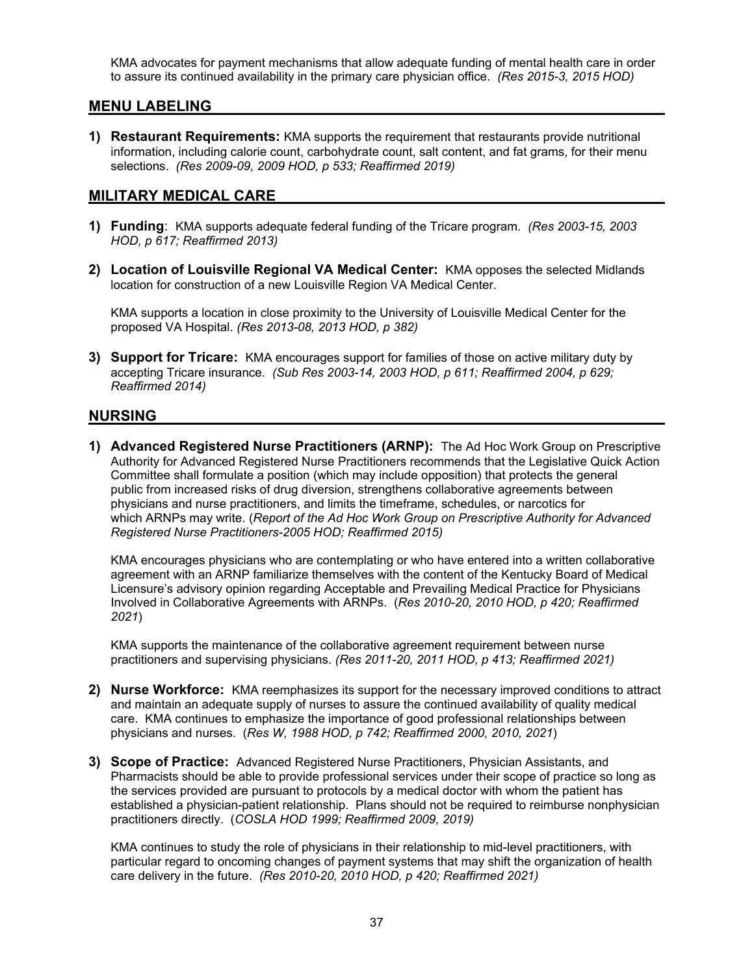KMA advocates for payment mechanisms that allow adequate funding of mental health care in order to assure its continued availability in the primary care physician office. *(Res 2015-3, 2015 HOD)*

#### **MENU LABELING**

**1) Restaurant Requirements:** KMA supports the requirement that restaurants provide nutritional information, including calorie count, carbohydrate count, salt content, and fat grams, for their menu selections. *(Res 2009-09, 2009 HOD, p 533; Reaffirmed 2019)* 

#### **MILITARY MEDICAL CARE**

- **1) Funding**: KMA supports adequate federal funding of the Tricare program. *(Res 2003-15, 2003 HOD, p 617; Reaffirmed 2013)*
- **2) Location of Louisville Regional VA Medical Center:** KMA opposes the selected Midlands location for construction of a new Louisville Region VA Medical Center.

KMA supports a location in close proximity to the University of Louisville Medical Center for the proposed VA Hospital. *(Res 2013-08, 2013 HOD, p 382)* 

**3) Support for Tricare:** KMA encourages support for families of those on active military duty by accepting Tricare insurance. *(Sub Res 2003-14, 2003 HOD, p 611; Reaffirmed 2004, p 629; Reaffirmed 2014)* 

#### **NURSING**

**1) Advanced Registered Nurse Practitioners (ARNP):** The Ad Hoc Work Group on Prescriptive Authority for Advanced Registered Nurse Practitioners recommends that the Legislative Quick Action Committee shall formulate a position (which may include opposition) that protects the general public from increased risks of drug diversion, strengthens collaborative agreements between physicians and nurse practitioners, and limits the timeframe, schedules, or narcotics for which ARNPs may write. (*Report of the Ad Hoc Work Group on Prescriptive Authority for Advanced Registered Nurse Practitioners-2005 HOD; Reaffirmed 2015)* 

KMA encourages physicians who are contemplating or who have entered into a written collaborative agreement with an ARNP familiarize themselves with the content of the Kentucky Board of Medical Licensure's advisory opinion regarding Acceptable and Prevailing Medical Practice for Physicians Involved in Collaborative Agreements with ARNPs. (*Res 2010-20, 2010 HOD, p 420; Reaffirmed 2021*)

KMA supports the maintenance of the collaborative agreement requirement between nurse practitioners and supervising physicians. *(Res 2011-20, 2011 HOD, p 413; Reaffirmed 2021)*

- **2) Nurse Workforce:** KMA reemphasizes its support for the necessary improved conditions to attract and maintain an adequate supply of nurses to assure the continued availability of quality medical care. KMA continues to emphasize the importance of good professional relationships between physicians and nurses. (*Res W, 1988 HOD, p 742; Reaffirmed 2000, 2010, 2021*)
- **3) Scope of Practice:** Advanced Registered Nurse Practitioners, Physician Assistants, and Pharmacists should be able to provide professional services under their scope of practice so long as the services provided are pursuant to protocols by a medical doctor with whom the patient has established a physician-patient relationship. Plans should not be required to reimburse nonphysician practitioners directly. (*COSLA HOD 1999; Reaffirmed 2009, 2019)*

KMA continues to study the role of physicians in their relationship to mid-level practitioners, with particular regard to oncoming changes of payment systems that may shift the organization of health care delivery in the future. *(Res 2010-20, 2010 HOD, p 420; Reaffirmed 2021)*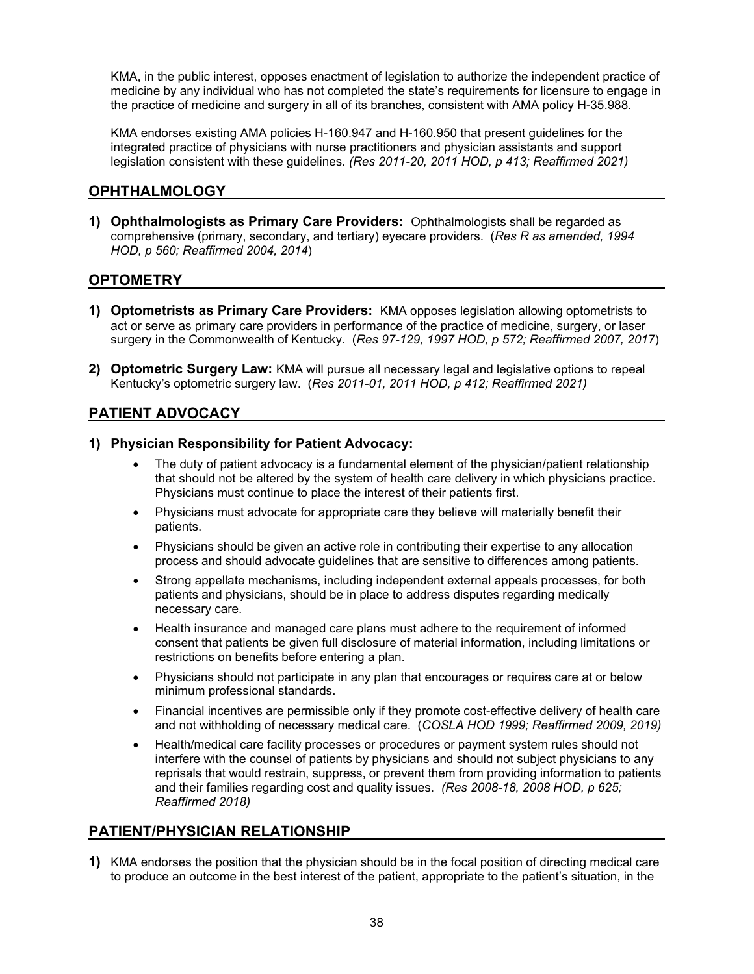KMA, in the public interest, opposes enactment of legislation to authorize the independent practice of medicine by any individual who has not completed the state's requirements for licensure to engage in the practice of medicine and surgery in all of its branches, consistent with AMA policy H-35.988.

KMA endorses existing AMA policies H-160.947 and H-160.950 that present guidelines for the integrated practice of physicians with nurse practitioners and physician assistants and support legislation consistent with these guidelines. *(Res 2011-20, 2011 HOD, p 413; Reaffirmed 2021)*

## **OPHTHALMOLOGY**

**1) Ophthalmologists as Primary Care Providers:** Ophthalmologists shall be regarded as comprehensive (primary, secondary, and tertiary) eyecare providers. (*Res R as amended, 1994 HOD, p 560; Reaffirmed 2004, 2014*)

#### **OPTOMETRY**

- **1) Optometrists as Primary Care Providers:** KMA opposes legislation allowing optometrists to act or serve as primary care providers in performance of the practice of medicine, surgery, or laser surgery in the Commonwealth of Kentucky. (*Res 97-129, 1997 HOD, p 572; Reaffirmed 2007, 2017*)
- **2) Optometric Surgery Law:** KMA will pursue all necessary legal and legislative options to repeal Kentucky's optometric surgery law. (*Res 2011-01, 2011 HOD, p 412; Reaffirmed 2021)*

## **PATIENT ADVOCACY**

#### **1) Physician Responsibility for Patient Advocacy:**

- The duty of patient advocacy is a fundamental element of the physician/patient relationship that should not be altered by the system of health care delivery in which physicians practice. Physicians must continue to place the interest of their patients first.
- Physicians must advocate for appropriate care they believe will materially benefit their patients.
- Physicians should be given an active role in contributing their expertise to any allocation process and should advocate guidelines that are sensitive to differences among patients.
- Strong appellate mechanisms, including independent external appeals processes, for both patients and physicians, should be in place to address disputes regarding medically necessary care.
- Health insurance and managed care plans must adhere to the requirement of informed consent that patients be given full disclosure of material information, including limitations or restrictions on benefits before entering a plan.
- Physicians should not participate in any plan that encourages or requires care at or below minimum professional standards.
- Financial incentives are permissible only if they promote cost-effective delivery of health care and not withholding of necessary medical care. (*COSLA HOD 1999; Reaffirmed 2009, 2019)*
- Health/medical care facility processes or procedures or payment system rules should not interfere with the counsel of patients by physicians and should not subject physicians to any reprisals that would restrain, suppress, or prevent them from providing information to patients and their families regarding cost and quality issues. *(Res 2008-18, 2008 HOD, p 625; Reaffirmed 2018)*

# **PATIENT/PHYSICIAN RELATIONSHIP**

**1)** KMA endorses the position that the physician should be in the focal position of directing medical care to produce an outcome in the best interest of the patient, appropriate to the patient's situation, in the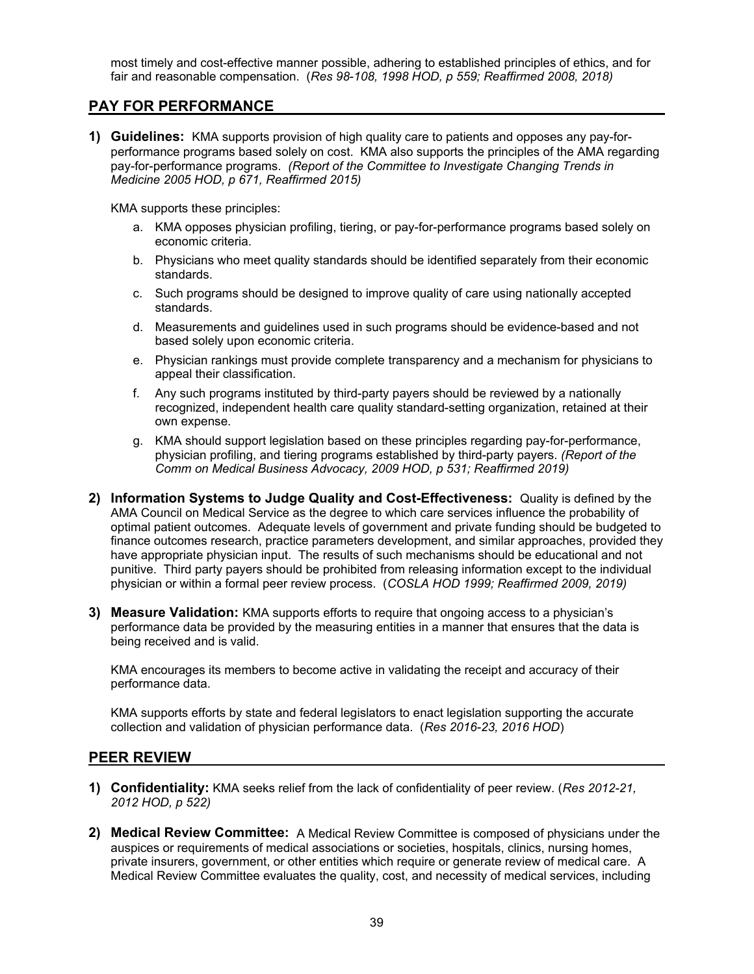most timely and cost-effective manner possible, adhering to established principles of ethics, and for fair and reasonable compensation. (*Res 98*-*108, 1998 HOD, p 559; Reaffirmed 2008, 2018)* 

#### **PAY FOR PERFORMANCE**

**1) Guidelines:** KMA supports provision of high quality care to patients and opposes any pay-forperformance programs based solely on cost. KMA also supports the principles of the AMA regarding pay-for-performance programs. *(Report of the Committee to Investigate Changing Trends in Medicine 2005 HOD, p 671, Reaffirmed 2015)* 

KMA supports these principles:

- a. KMA opposes physician profiling, tiering, or pay-for-performance programs based solely on economic criteria.
- b. Physicians who meet quality standards should be identified separately from their economic standards.
- c. Such programs should be designed to improve quality of care using nationally accepted standards.
- d. Measurements and guidelines used in such programs should be evidence-based and not based solely upon economic criteria.
- e. Physician rankings must provide complete transparency and a mechanism for physicians to appeal their classification.
- f. Any such programs instituted by third-party payers should be reviewed by a nationally recognized, independent health care quality standard-setting organization, retained at their own expense.
- g. KMA should support legislation based on these principles regarding pay-for-performance, physician profiling, and tiering programs established by third-party payers. *(Report of the Comm on Medical Business Advocacy, 2009 HOD, p 531; Reaffirmed 2019)*
- **2) Information Systems to Judge Quality and Cost-Effectiveness:** Quality is defined by the AMA Council on Medical Service as the degree to which care services influence the probability of optimal patient outcomes. Adequate levels of government and private funding should be budgeted to finance outcomes research, practice parameters development, and similar approaches, provided they have appropriate physician input. The results of such mechanisms should be educational and not punitive. Third party payers should be prohibited from releasing information except to the individual physician or within a formal peer review process. (*COSLA HOD 1999; Reaffirmed 2009, 2019)*
- **3) Measure Validation:** KMA supports efforts to require that ongoing access to a physician's performance data be provided by the measuring entities in a manner that ensures that the data is being received and is valid.

KMA encourages its members to become active in validating the receipt and accuracy of their performance data.

KMA supports efforts by state and federal legislators to enact legislation supporting the accurate collection and validation of physician performance data. (*Res 2016-23, 2016 HOD*)

#### **PEER REVIEW**

- **1) Confidentiality:** KMA seeks relief from the lack of confidentiality of peer review. (*Res 2012-21, 2012 HOD, p 522)*
- **2) Medical Review Committee:** A Medical Review Committee is composed of physicians under the auspices or requirements of medical associations or societies, hospitals, clinics, nursing homes, private insurers, government, or other entities which require or generate review of medical care. A Medical Review Committee evaluates the quality, cost, and necessity of medical services, including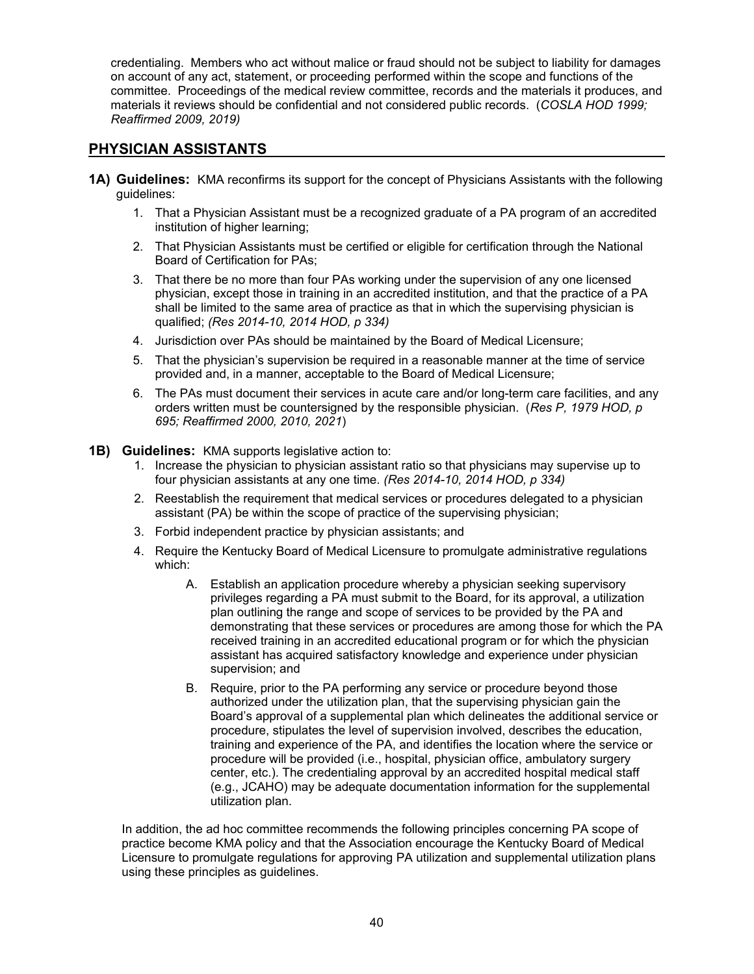credentialing. Members who act without malice or fraud should not be subject to liability for damages on account of any act, statement, or proceeding performed within the scope and functions of the committee. Proceedings of the medical review committee, records and the materials it produces, and materials it reviews should be confidential and not considered public records. (*COSLA HOD 1999; Reaffirmed 2009, 2019)* 

## **PHYSICIAN ASSISTANTS**

- **1A) Guidelines:** KMA reconfirms its support for the concept of Physicians Assistants with the following guidelines:
	- 1. That a Physician Assistant must be a recognized graduate of a PA program of an accredited institution of higher learning;
	- 2. That Physician Assistants must be certified or eligible for certification through the National Board of Certification for PAs;
	- 3. That there be no more than four PAs working under the supervision of any one licensed physician, except those in training in an accredited institution, and that the practice of a PA shall be limited to the same area of practice as that in which the supervising physician is qualified; *(Res 2014-10, 2014 HOD, p 334)*
	- 4. Jurisdiction over PAs should be maintained by the Board of Medical Licensure;
	- 5. That the physician's supervision be required in a reasonable manner at the time of service provided and, in a manner, acceptable to the Board of Medical Licensure;
	- 6. The PAs must document their services in acute care and/or long-term care facilities, and any orders written must be countersigned by the responsible physician. (*Res P, 1979 HOD, p 695; Reaffirmed 2000, 2010, 2021*)
- **1B) Guidelines:** KMA supports legislative action to:
	- 1. Increase the physician to physician assistant ratio so that physicians may supervise up to four physician assistants at any one time. *(Res 2014-10, 2014 HOD, p 334)*
	- 2. Reestablish the requirement that medical services or procedures delegated to a physician assistant (PA) be within the scope of practice of the supervising physician;
	- 3. Forbid independent practice by physician assistants; and
	- 4. Require the Kentucky Board of Medical Licensure to promulgate administrative regulations which:
		- A. Establish an application procedure whereby a physician seeking supervisory privileges regarding a PA must submit to the Board, for its approval, a utilization plan outlining the range and scope of services to be provided by the PA and demonstrating that these services or procedures are among those for which the PA received training in an accredited educational program or for which the physician assistant has acquired satisfactory knowledge and experience under physician supervision; and
		- B. Require, prior to the PA performing any service or procedure beyond those authorized under the utilization plan, that the supervising physician gain the Board's approval of a supplemental plan which delineates the additional service or procedure, stipulates the level of supervision involved, describes the education, training and experience of the PA, and identifies the location where the service or procedure will be provided (i.e., hospital, physician office, ambulatory surgery center, etc.). The credentialing approval by an accredited hospital medical staff (e.g., JCAHO) may be adequate documentation information for the supplemental utilization plan.

In addition, the ad hoc committee recommends the following principles concerning PA scope of practice become KMA policy and that the Association encourage the Kentucky Board of Medical Licensure to promulgate regulations for approving PA utilization and supplemental utilization plans using these principles as guidelines.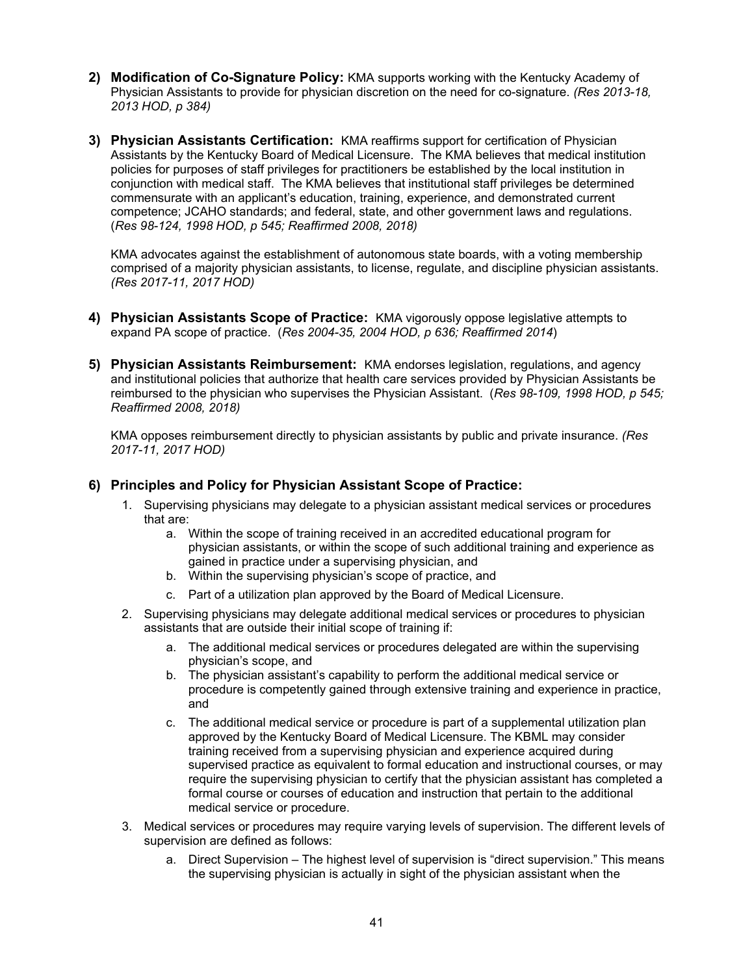- **2) Modification of Co-Signature Policy:** KMA supports working with the Kentucky Academy of Physician Assistants to provide for physician discretion on the need for co-signature. *(Res 2013-18, 2013 HOD, p 384)*
- **3) Physician Assistants Certification:** KMA reaffirms support for certification of Physician Assistants by the Kentucky Board of Medical Licensure. The KMA believes that medical institution policies for purposes of staff privileges for practitioners be established by the local institution in conjunction with medical staff. The KMA believes that institutional staff privileges be determined commensurate with an applicant's education, training, experience, and demonstrated current competence; JCAHO standards; and federal, state, and other government laws and regulations. (*Res 98-124, 1998 HOD, p 545; Reaffirmed 2008, 2018)*

KMA advocates against the establishment of autonomous state boards, with a voting membership comprised of a majority physician assistants, to license, regulate, and discipline physician assistants. *(Res 2017-11, 2017 HOD)*

- **4) Physician Assistants Scope of Practice:** KMA vigorously oppose legislative attempts to expand PA scope of practice. (*Res 2004-35, 2004 HOD, p 636; Reaffirmed 2014*)
- **5) Physician Assistants Reimbursement:** KMA endorses legislation, regulations, and agency and institutional policies that authorize that health care services provided by Physician Assistants be reimbursed to the physician who supervises the Physician Assistant. (*Res 98-109, 1998 HOD, p 545; Reaffirmed 2008, 2018)*

KMA opposes reimbursement directly to physician assistants by public and private insurance. *(Res 2017-11, 2017 HOD)* 

#### **6) Principles and Policy for Physician Assistant Scope of Practice:**

- 1. Supervising physicians may delegate to a physician assistant medical services or procedures that are:
	- a. Within the scope of training received in an accredited educational program for physician assistants, or within the scope of such additional training and experience as gained in practice under a supervising physician, and
	- b. Within the supervising physician's scope of practice, and
	- c. Part of a utilization plan approved by the Board of Medical Licensure.
- 2. Supervising physicians may delegate additional medical services or procedures to physician assistants that are outside their initial scope of training if:
	- a. The additional medical services or procedures delegated are within the supervising physician's scope, and
	- b. The physician assistant's capability to perform the additional medical service or procedure is competently gained through extensive training and experience in practice, and
	- c. The additional medical service or procedure is part of a supplemental utilization plan approved by the Kentucky Board of Medical Licensure. The KBML may consider training received from a supervising physician and experience acquired during supervised practice as equivalent to formal education and instructional courses, or may require the supervising physician to certify that the physician assistant has completed a formal course or courses of education and instruction that pertain to the additional medical service or procedure.
- 3. Medical services or procedures may require varying levels of supervision. The different levels of supervision are defined as follows:
	- a. Direct Supervision The highest level of supervision is "direct supervision." This means the supervising physician is actually in sight of the physician assistant when the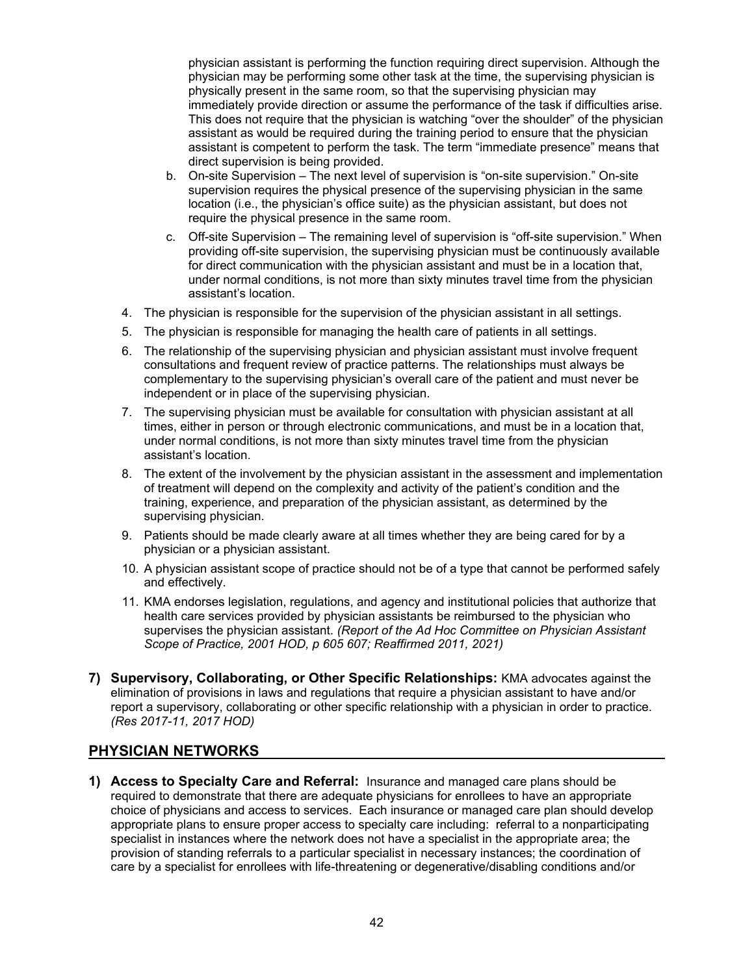physician assistant is performing the function requiring direct supervision. Although the physician may be performing some other task at the time, the supervising physician is physically present in the same room, so that the supervising physician may immediately provide direction or assume the performance of the task if difficulties arise. This does not require that the physician is watching "over the shoulder" of the physician assistant as would be required during the training period to ensure that the physician assistant is competent to perform the task. The term "immediate presence" means that direct supervision is being provided.

- b. On-site Supervision The next level of supervision is "on-site supervision." On-site supervision requires the physical presence of the supervising physician in the same location (i.e., the physician's office suite) as the physician assistant, but does not require the physical presence in the same room.
- c. Off-site Supervision The remaining level of supervision is "off-site supervision." When providing off-site supervision, the supervising physician must be continuously available for direct communication with the physician assistant and must be in a location that, under normal conditions, is not more than sixty minutes travel time from the physician assistant's location.
- 4. The physician is responsible for the supervision of the physician assistant in all settings.
- 5. The physician is responsible for managing the health care of patients in all settings.
- 6. The relationship of the supervising physician and physician assistant must involve frequent consultations and frequent review of practice patterns. The relationships must always be complementary to the supervising physician's overall care of the patient and must never be independent or in place of the supervising physician.
- 7. The supervising physician must be available for consultation with physician assistant at all times, either in person or through electronic communications, and must be in a location that, under normal conditions, is not more than sixty minutes travel time from the physician assistant's location.
- 8. The extent of the involvement by the physician assistant in the assessment and implementation of treatment will depend on the complexity and activity of the patient's condition and the training, experience, and preparation of the physician assistant, as determined by the supervising physician.
- 9. Patients should be made clearly aware at all times whether they are being cared for by a physician or a physician assistant.
- 10. A physician assistant scope of practice should not be of a type that cannot be performed safely and effectively.
- 11. KMA endorses legislation, regulations, and agency and institutional policies that authorize that health care services provided by physician assistants be reimbursed to the physician who supervises the physician assistant. *(Report of the Ad Hoc Committee on Physician Assistant Scope of Practice, 2001 HOD, p 605 607; Reaffirmed 2011, 2021)*
- **7) Supervisory, Collaborating, or Other Specific Relationships:** KMA advocates against the elimination of provisions in laws and regulations that require a physician assistant to have and/or report a supervisory, collaborating or other specific relationship with a physician in order to practice. *(Res 2017-11, 2017 HOD)*

#### **PHYSICIAN NETWORKS**

**1) Access to Specialty Care and Referral:** Insurance and managed care plans should be required to demonstrate that there are adequate physicians for enrollees to have an appropriate choice of physicians and access to services. Each insurance or managed care plan should develop appropriate plans to ensure proper access to specialty care including: referral to a nonparticipating specialist in instances where the network does not have a specialist in the appropriate area; the provision of standing referrals to a particular specialist in necessary instances; the coordination of care by a specialist for enrollees with life-threatening or degenerative/disabling conditions and/or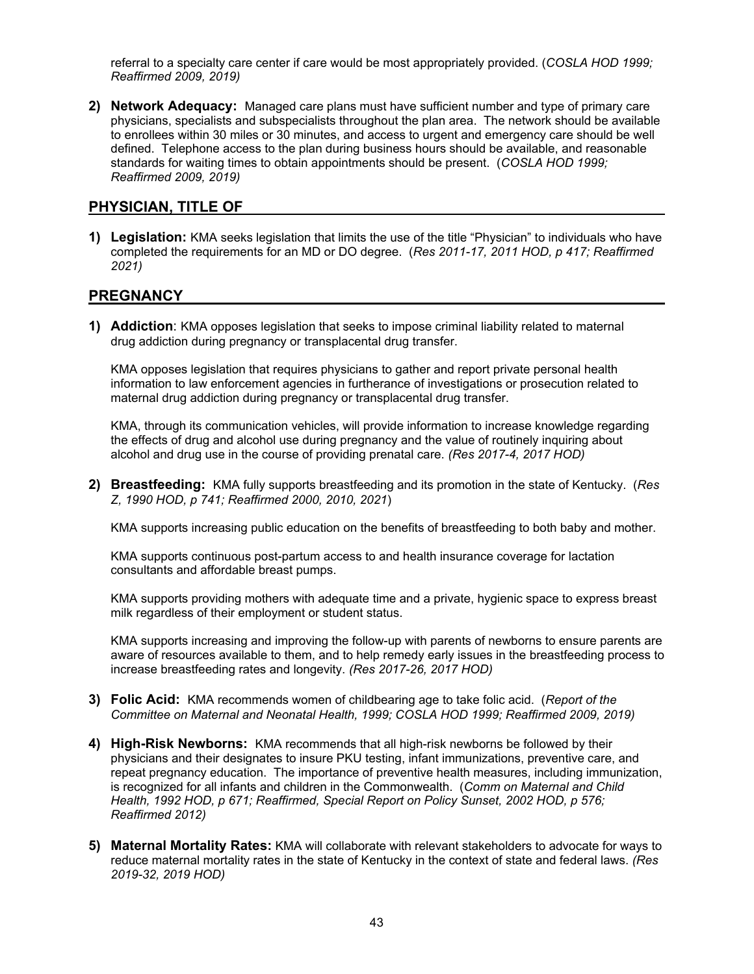referral to a specialty care center if care would be most appropriately provided. (*COSLA HOD 1999; Reaffirmed 2009, 2019)*

**2) Network Adequacy:** Managed care plans must have sufficient number and type of primary care physicians, specialists and subspecialists throughout the plan area. The network should be available to enrollees within 30 miles or 30 minutes, and access to urgent and emergency care should be well defined. Telephone access to the plan during business hours should be available, and reasonable standards for waiting times to obtain appointments should be present. (*COSLA HOD 1999; Reaffirmed 2009, 2019)* 

#### **PHYSICIAN, TITLE OF**

**1) Legislation:** KMA seeks legislation that limits the use of the title "Physician" to individuals who have completed the requirements for an MD or DO degree. (*Res 2011-17, 2011 HOD, p 417; Reaffirmed 2021)*

#### **PREGNANCY**

**1) Addiction**: KMA opposes legislation that seeks to impose criminal liability related to maternal drug addiction during pregnancy or transplacental drug transfer.

KMA opposes legislation that requires physicians to gather and report private personal health information to law enforcement agencies in furtherance of investigations or prosecution related to maternal drug addiction during pregnancy or transplacental drug transfer.

KMA, through its communication vehicles, will provide information to increase knowledge regarding the effects of drug and alcohol use during pregnancy and the value of routinely inquiring about alcohol and drug use in the course of providing prenatal care. *(Res 2017-4, 2017 HOD)*

**2) Breastfeeding:** KMA fully supports breastfeeding and its promotion in the state of Kentucky. (*Res Z, 1990 HOD, p 741; Reaffirmed 2000, 2010, 2021*)

KMA supports increasing public education on the benefits of breastfeeding to both baby and mother.

KMA supports continuous post-partum access to and health insurance coverage for lactation consultants and affordable breast pumps.

KMA supports providing mothers with adequate time and a private, hygienic space to express breast milk regardless of their employment or student status.

KMA supports increasing and improving the follow-up with parents of newborns to ensure parents are aware of resources available to them, and to help remedy early issues in the breastfeeding process to increase breastfeeding rates and longevity. *(Res 2017-26, 2017 HOD)*

- **3) Folic Acid:** KMA recommends women of childbearing age to take folic acid. (*Report of the Committee on Maternal and Neonatal Health, 1999; COSLA HOD 1999; Reaffirmed 2009, 2019)*
- **4) High-Risk Newborns:** KMA recommends that all high-risk newborns be followed by their physicians and their designates to insure PKU testing, infant immunizations, preventive care, and repeat pregnancy education. The importance of preventive health measures, including immunization, is recognized for all infants and children in the Commonwealth. (*Comm on Maternal and Child Health, 1992 HOD, p 671; Reaffirmed, Special Report on Policy Sunset, 2002 HOD, p 576; Reaffirmed 2012)*
- **5) Maternal Mortality Rates:** KMA will collaborate with relevant stakeholders to advocate for ways to reduce maternal mortality rates in the state of Kentucky in the context of state and federal laws. *(Res 2019-32, 2019 HOD)*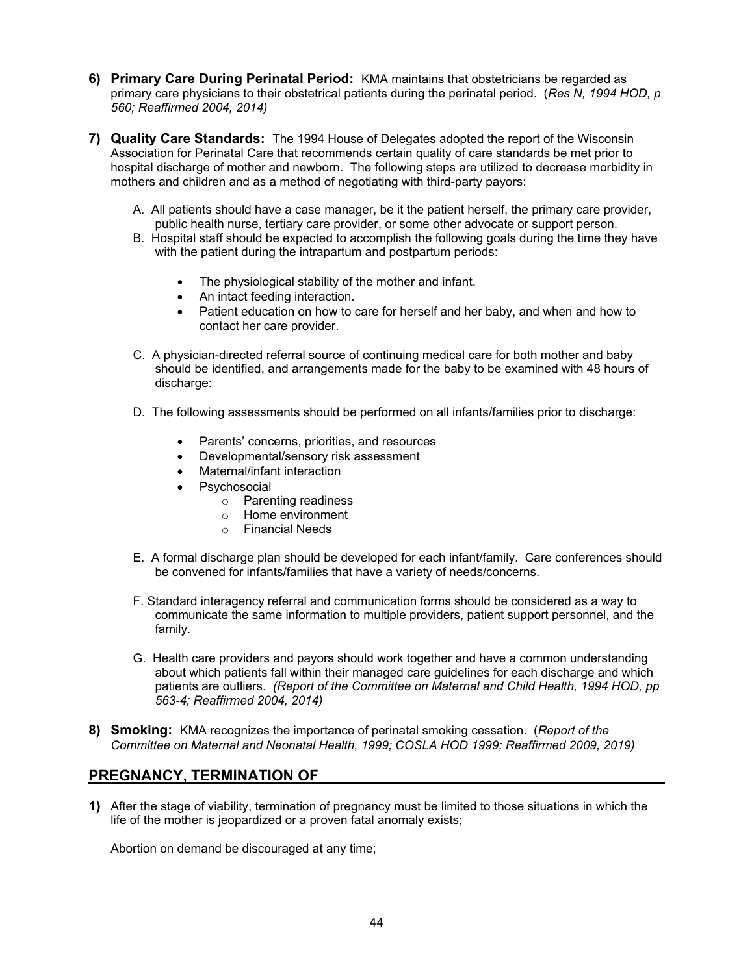- **6) Primary Care During Perinatal Period:** KMA maintains that obstetricians be regarded as primary care physicians to their obstetrical patients during the perinatal period. (*Res N, 1994 HOD, p 560; Reaffirmed 2004, 2014)*
- **7) Quality Care Standards:** The 1994 House of Delegates adopted the report of the Wisconsin Association for Perinatal Care that recommends certain quality of care standards be met prior to hospital discharge of mother and newborn. The following steps are utilized to decrease morbidity in mothers and children and as a method of negotiating with third-party payors:
	- A. All patients should have a case manager, be it the patient herself, the primary care provider, public health nurse, tertiary care provider, or some other advocate or support person.
	- B. Hospital staff should be expected to accomplish the following goals during the time they have with the patient during the intrapartum and postpartum periods:
		- The physiological stability of the mother and infant.
		- An intact feeding interaction.
		- Patient education on how to care for herself and her baby, and when and how to contact her care provider.
	- C. A physician-directed referral source of continuing medical care for both mother and baby should be identified, and arrangements made for the baby to be examined with 48 hours of discharge:
	- D. The following assessments should be performed on all infants/families prior to discharge:
		- Parents' concerns, priorities, and resources
		- Developmental/sensory risk assessment
		- Maternal/infant interaction
		- Psychosocial
			- o Parenting readiness
			- o Home environment
			- o Financial Needs
	- E. A formal discharge plan should be developed for each infant/family. Care conferences should be convened for infants/families that have a variety of needs/concerns.
	- F. Standard interagency referral and communication forms should be considered as a way to communicate the same information to multiple providers, patient support personnel, and the family.
	- G. Health care providers and payors should work together and have a common understanding about which patients fall within their managed care guidelines for each discharge and which patients are outliers. *(Report of the Committee on Maternal and Child Health, 1994 HOD, pp 563-4; Reaffirmed 2004, 2014)*
- **8) Smoking:** KMA recognizes the importance of perinatal smoking cessation. (*Report of the Committee on Maternal and Neonatal Health, 1999; COSLA HOD 1999; Reaffirmed 2009, 2019)*

#### **PREGNANCY, TERMINATION OF**

**1)** After the stage of viability, termination of pregnancy must be limited to those situations in which the life of the mother is jeopardized or a proven fatal anomaly exists;

Abortion on demand be discouraged at any time;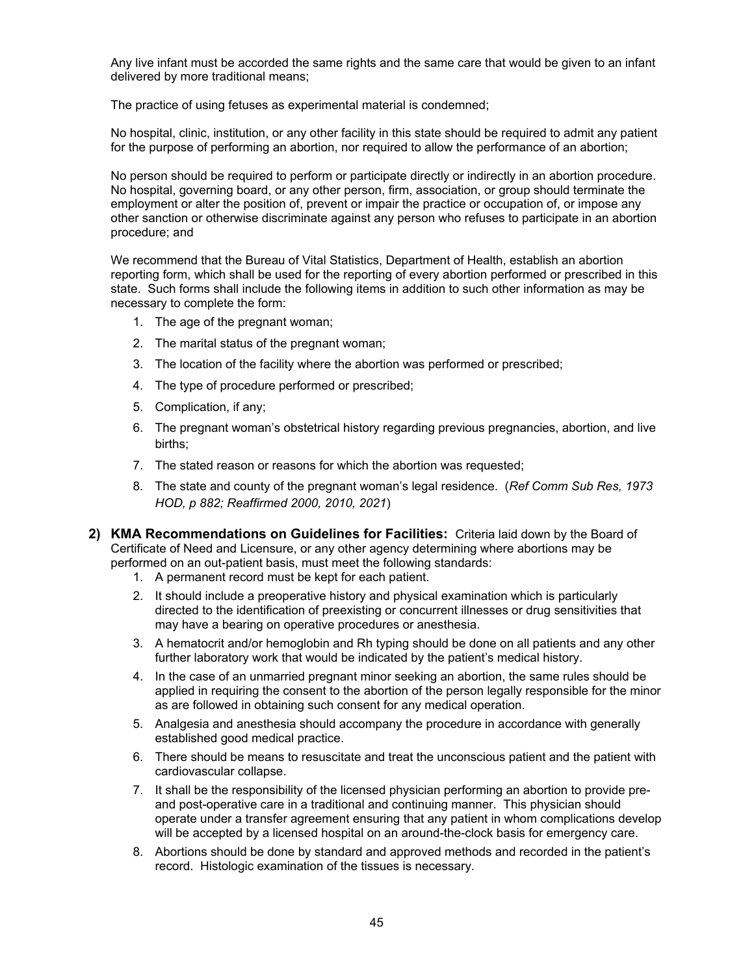Any live infant must be accorded the same rights and the same care that would be given to an infant delivered by more traditional means;

The practice of using fetuses as experimental material is condemned;

No hospital, clinic, institution, or any other facility in this state should be required to admit any patient for the purpose of performing an abortion, nor required to allow the performance of an abortion;

No person should be required to perform or participate directly or indirectly in an abortion procedure. No hospital, governing board, or any other person, firm, association, or group should terminate the employment or alter the position of, prevent or impair the practice or occupation of, or impose any other sanction or otherwise discriminate against any person who refuses to participate in an abortion procedure; and

We recommend that the Bureau of Vital Statistics, Department of Health, establish an abortion reporting form, which shall be used for the reporting of every abortion performed or prescribed in this state. Such forms shall include the following items in addition to such other information as may be necessary to complete the form:

- 1. The age of the pregnant woman;
- 2. The marital status of the pregnant woman;
- 3. The location of the facility where the abortion was performed or prescribed;
- 4. The type of procedure performed or prescribed;
- 5. Complication, if any;
- 6. The pregnant woman's obstetrical history regarding previous pregnancies, abortion, and live births;
- 7. The stated reason or reasons for which the abortion was requested;
- 8. The state and county of the pregnant woman's legal residence. (*Ref Comm Sub Res, 1973 HOD, p 882; Reaffirmed 2000, 2010, 2021*)
- **2) KMA Recommendations on Guidelines for Facilities:** Criteria laid down by the Board of Certificate of Need and Licensure, or any other agency determining where abortions may be performed on an out-patient basis, must meet the following standards:
	- 1. A permanent record must be kept for each patient.
	- 2. It should include a preoperative history and physical examination which is particularly directed to the identification of preexisting or concurrent illnesses or drug sensitivities that may have a bearing on operative procedures or anesthesia.
	- 3. A hematocrit and/or hemoglobin and Rh typing should be done on all patients and any other further laboratory work that would be indicated by the patient's medical history.
	- 4. In the case of an unmarried pregnant minor seeking an abortion, the same rules should be applied in requiring the consent to the abortion of the person legally responsible for the minor as are followed in obtaining such consent for any medical operation.
	- 5. Analgesia and anesthesia should accompany the procedure in accordance with generally established good medical practice.
	- 6. There should be means to resuscitate and treat the unconscious patient and the patient with cardiovascular collapse.
	- 7. It shall be the responsibility of the licensed physician performing an abortion to provide preand post-operative care in a traditional and continuing manner. This physician should operate under a transfer agreement ensuring that any patient in whom complications develop will be accepted by a licensed hospital on an around-the-clock basis for emergency care.
	- 8. Abortions should be done by standard and approved methods and recorded in the patient's record. Histologic examination of the tissues is necessary.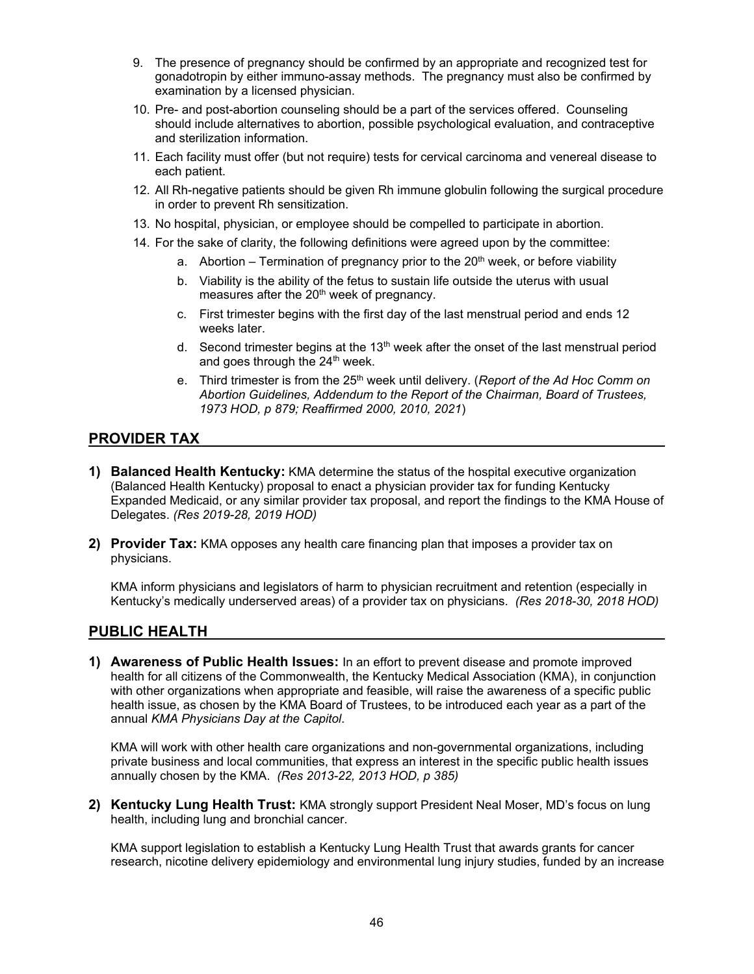- 9. The presence of pregnancy should be confirmed by an appropriate and recognized test for gonadotropin by either immuno-assay methods. The pregnancy must also be confirmed by examination by a licensed physician.
- 10. Pre- and post-abortion counseling should be a part of the services offered. Counseling should include alternatives to abortion, possible psychological evaluation, and contraceptive and sterilization information.
- 11. Each facility must offer (but not require) tests for cervical carcinoma and venereal disease to each patient.
- 12. All Rh-negative patients should be given Rh immune globulin following the surgical procedure in order to prevent Rh sensitization.
- 13. No hospital, physician, or employee should be compelled to participate in abortion.
- 14. For the sake of clarity, the following definitions were agreed upon by the committee:
	- a. Abortion Termination of pregnancy prior to the  $20<sup>th</sup>$  week, or before viability
	- b. Viability is the ability of the fetus to sustain life outside the uterus with usual measures after the 20<sup>th</sup> week of pregnancy.
	- c. First trimester begins with the first day of the last menstrual period and ends 12 weeks later.
	- d. Second trimester begins at the 13<sup>th</sup> week after the onset of the last menstrual period and goes through the 24<sup>th</sup> week.
	- e. Third trimester is from the 25th week until delivery. (*Report of the Ad Hoc Comm on Abortion Guidelines, Addendum to the Report of the Chairman, Board of Trustees, 1973 HOD, p 879; Reaffirmed 2000, 2010, 2021*)

#### **PROVIDER TAX**

- **1) Balanced Health Kentucky:** KMA determine the status of the hospital executive organization (Balanced Health Kentucky) proposal to enact a physician provider tax for funding Kentucky Expanded Medicaid, or any similar provider tax proposal, and report the findings to the KMA House of Delegates. *(Res 2019-28, 2019 HOD)*
- **2) Provider Tax:** KMA opposes any health care financing plan that imposes a provider tax on physicians.

KMA inform physicians and legislators of harm to physician recruitment and retention (especially in Kentucky's medically underserved areas) of a provider tax on physicians. *(Res 2018-30, 2018 HOD)*

#### **PUBLIC HEALTH**

**1) Awareness of Public Health Issues:** In an effort to prevent disease and promote improved health for all citizens of the Commonwealth, the Kentucky Medical Association (KMA), in conjunction with other organizations when appropriate and feasible, will raise the awareness of a specific public health issue, as chosen by the KMA Board of Trustees, to be introduced each year as a part of the annual *KMA Physicians Day at the Capitol*.

KMA will work with other health care organizations and non-governmental organizations, including private business and local communities, that express an interest in the specific public health issues annually chosen by the KMA. *(Res 2013-22, 2013 HOD, p 385)*

**2) Kentucky Lung Health Trust:** KMA strongly support President Neal Moser, MD's focus on lung health, including lung and bronchial cancer.

KMA support legislation to establish a Kentucky Lung Health Trust that awards grants for cancer research, nicotine delivery epidemiology and environmental lung injury studies, funded by an increase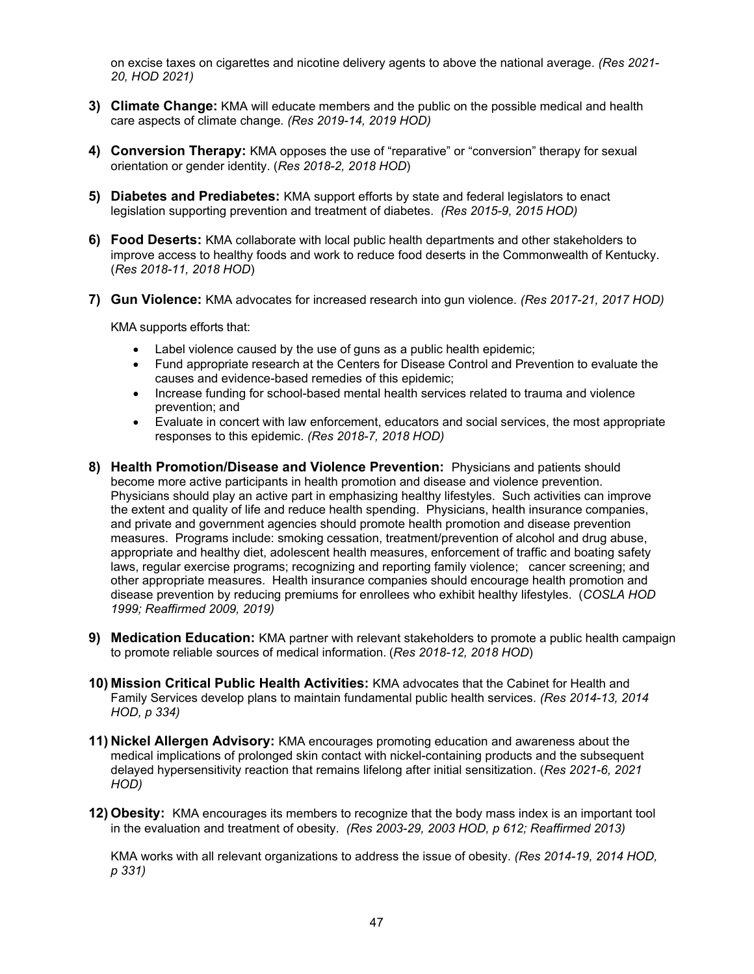on excise taxes on cigarettes and nicotine delivery agents to above the national average. *(Res 2021- 20, HOD 2021)* 

- **3) Climate Change:** KMA will educate members and the public on the possible medical and health care aspects of climate change*. (Res 2019-14, 2019 HOD)*
- **4) Conversion Therapy:** KMA opposes the use of "reparative" or "conversion" therapy for sexual orientation or gender identity. (*Res 2018-2, 2018 HOD*)
- **5) Diabetes and Prediabetes:** KMA support efforts by state and federal legislators to enact legislation supporting prevention and treatment of diabetes. *(Res 2015-9, 2015 HOD)*
- **6) Food Deserts:** KMA collaborate with local public health departments and other stakeholders to improve access to healthy foods and work to reduce food deserts in the Commonwealth of Kentucky. (*Res 2018-11, 2018 HOD*)
- **7) Gun Violence:** KMA advocates for increased research into gun violence. *(Res 2017-21, 2017 HOD)*

KMA supports efforts that:

- Label violence caused by the use of guns as a public health epidemic;
- Fund appropriate research at the Centers for Disease Control and Prevention to evaluate the causes and evidence-based remedies of this epidemic;
- Increase funding for school-based mental health services related to trauma and violence prevention; and
- Evaluate in concert with law enforcement, educators and social services, the most appropriate responses to this epidemic. *(Res 2018-7, 2018 HOD)*
- **8) Health Promotion/Disease and Violence Prevention:** Physicians and patients should become more active participants in health promotion and disease and violence prevention. Physicians should play an active part in emphasizing healthy lifestyles. Such activities can improve the extent and quality of life and reduce health spending. Physicians, health insurance companies, and private and government agencies should promote health promotion and disease prevention measures. Programs include: smoking cessation, treatment/prevention of alcohol and drug abuse, appropriate and healthy diet, adolescent health measures, enforcement of traffic and boating safety laws, regular exercise programs; recognizing and reporting family violence; cancer screening; and other appropriate measures. Health insurance companies should encourage health promotion and disease prevention by reducing premiums for enrollees who exhibit healthy lifestyles. (*COSLA HOD 1999; Reaffirmed 2009, 2019)*
- **9) Medication Education:** KMA partner with relevant stakeholders to promote a public health campaign to promote reliable sources of medical information. (*Res 2018-12, 2018 HOD*)
- **10) Mission Critical Public Health Activities:** KMA advocates that the Cabinet for Health and Family Services develop plans to maintain fundamental public health services. *(Res 2014-13, 2014 HOD, p 334)*
- **11) Nickel Allergen Advisory:** KMA encourages promoting education and awareness about the medical implications of prolonged skin contact with nickel-containing products and the subsequent delayed hypersensitivity reaction that remains lifelong after initial sensitization. (*Res 2021-6, 2021 HOD)*
- **12) Obesity:** KMA encourages its members to recognize that the body mass index is an important tool in the evaluation and treatment of obesity. *(Res 2003-29, 2003 HOD, p 612; Reaffirmed 2013)*

KMA works with all relevant organizations to address the issue of obesity. *(Res 2014-19, 2014 HOD, p 331)*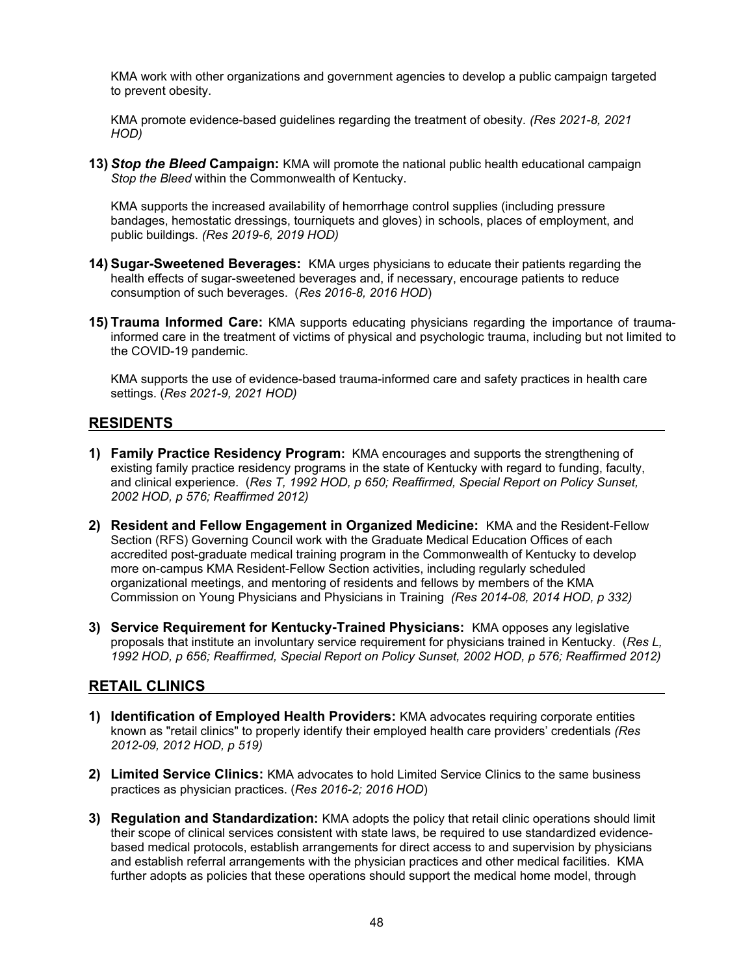KMA work with other organizations and government agencies to develop a public campaign targeted to prevent obesity.

KMA promote evidence-based guidelines regarding the treatment of obesity. *(Res 2021-8, 2021 HOD)* 

**13)** *Stop the Bleed* **Campaign:** KMA will promote the national public health educational campaign *Stop the Bleed* within the Commonwealth of Kentucky.

KMA supports the increased availability of hemorrhage control supplies (including pressure bandages, hemostatic dressings, tourniquets and gloves) in schools, places of employment, and public buildings. *(Res 2019-6, 2019 HOD)* 

- **14) Sugar-Sweetened Beverages:** KMA urges physicians to educate their patients regarding the health effects of sugar-sweetened beverages and, if necessary, encourage patients to reduce consumption of such beverages. (*Res 2016-8, 2016 HOD*)
- **15) Trauma Informed Care:** KMA supports educating physicians regarding the importance of traumainformed care in the treatment of victims of physical and psychologic trauma, including but not limited to the COVID-19 pandemic.

KMA supports the use of evidence-based trauma-informed care and safety practices in health care settings. (*Res 2021-9, 2021 HOD)* 

#### **RESIDENTS**

- **1) Family Practice Residency Program:** KMA encourages and supports the strengthening of existing family practice residency programs in the state of Kentucky with regard to funding, faculty, and clinical experience. (*Res T, 1992 HOD, p 650; Reaffirmed, Special Report on Policy Sunset, 2002 HOD, p 576; Reaffirmed 2012)*
- **2) Resident and Fellow Engagement in Organized Medicine:** KMA and the Resident-Fellow Section (RFS) Governing Council work with the Graduate Medical Education Offices of each accredited post-graduate medical training program in the Commonwealth of Kentucky to develop more on-campus KMA Resident-Fellow Section activities, including regularly scheduled organizational meetings, and mentoring of residents and fellows by members of the KMA Commission on Young Physicians and Physicians in Training *(Res 2014-08, 2014 HOD, p 332)*
- **3) Service Requirement for Kentucky-Trained Physicians:** KMA opposes any legislative proposals that institute an involuntary service requirement for physicians trained in Kentucky. (*Res L, 1992 HOD, p 656; Reaffirmed, Special Report on Policy Sunset, 2002 HOD, p 576; Reaffirmed 2012)*

#### **RETAIL CLINICS**

- **1) Identification of Employed Health Providers:** KMA advocates requiring corporate entities known as "retail clinics" to properly identify their employed health care providers' credentials *(Res 2012-09, 2012 HOD, p 519)*
- **2) Limited Service Clinics:** KMA advocates to hold Limited Service Clinics to the same business practices as physician practices. (*Res 2016-2; 2016 HOD*)
- **3) Regulation and Standardization:** KMA adopts the policy that retail clinic operations should limit their scope of clinical services consistent with state laws, be required to use standardized evidencebased medical protocols, establish arrangements for direct access to and supervision by physicians and establish referral arrangements with the physician practices and other medical facilities. KMA further adopts as policies that these operations should support the medical home model, through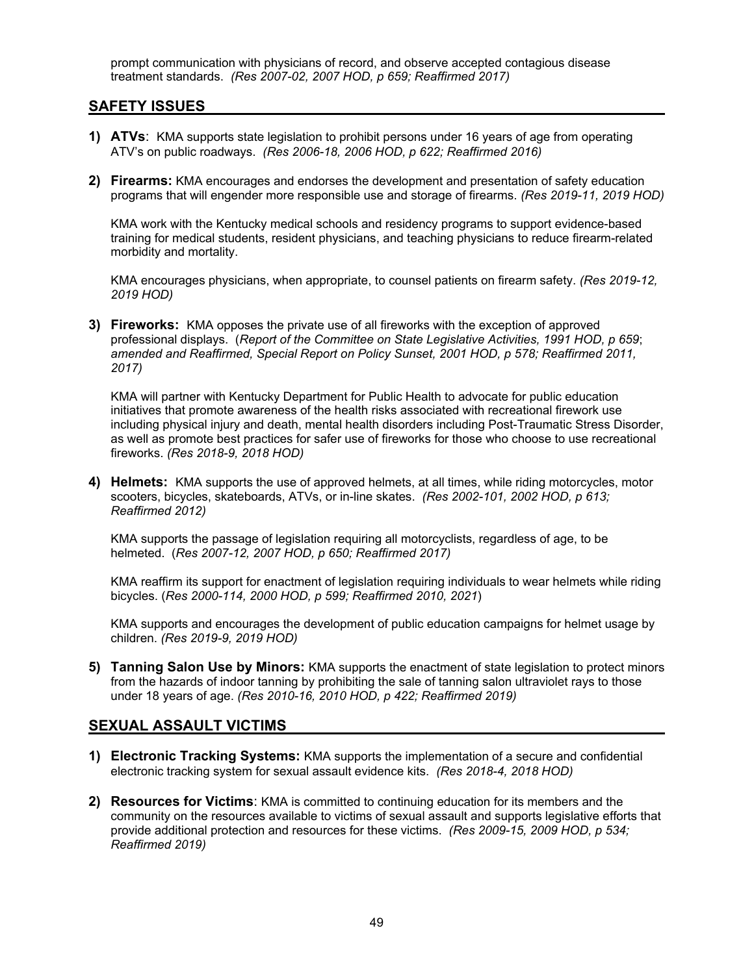prompt communication with physicians of record, and observe accepted contagious disease treatment standards. *(Res 2007-02, 2007 HOD, p 659; Reaffirmed 2017)* 

#### **SAFETY ISSUES**

- **1) ATVs**: KMA supports state legislation to prohibit persons under 16 years of age from operating ATV's on public roadways. *(Res 2006-18, 2006 HOD, p 622; Reaffirmed 2016)*
- **2) Firearms:** KMA encourages and endorses the development and presentation of safety education programs that will engender more responsible use and storage of firearms. *(Res 2019-11, 2019 HOD)*

KMA work with the Kentucky medical schools and residency programs to support evidence-based training for medical students, resident physicians, and teaching physicians to reduce firearm-related morbidity and mortality.

KMA encourages physicians, when appropriate, to counsel patients on firearm safety. *(Res 2019-12, 2019 HOD)* 

**3) Fireworks:** KMA opposes the private use of all fireworks with the exception of approved professional displays. (*Report of the Committee on State Legislative Activities, 1991 HOD, p 659*; *amended and Reaffirmed, Special Report on Policy Sunset, 2001 HOD, p 578; Reaffirmed 2011, 2017)* 

KMA will partner with Kentucky Department for Public Health to advocate for public education initiatives that promote awareness of the health risks associated with recreational firework use including physical injury and death, mental health disorders including Post-Traumatic Stress Disorder, as well as promote best practices for safer use of fireworks for those who choose to use recreational fireworks. *(Res 2018-9, 2018 HOD)*

**4) Helmets:** KMA supports the use of approved helmets, at all times, while riding motorcycles, motor scooters, bicycles, skateboards, ATVs, or in-line skates. *(Res 2002-101, 2002 HOD, p 613; Reaffirmed 2012)* 

KMA supports the passage of legislation requiring all motorcyclists, regardless of age, to be helmeted. (*Res 2007-12, 2007 HOD, p 650; Reaffirmed 2017)*

KMA reaffirm its support for enactment of legislation requiring individuals to wear helmets while riding bicycles. (*Res 2000-114, 2000 HOD, p 599; Reaffirmed 2010, 2021*)

KMA supports and encourages the development of public education campaigns for helmet usage by children. *(Res 2019-9, 2019 HOD)*

**5) Tanning Salon Use by Minors:** KMA supports the enactment of state legislation to protect minors from the hazards of indoor tanning by prohibiting the sale of tanning salon ultraviolet rays to those under 18 years of age. *(Res 2010-16, 2010 HOD, p 422; Reaffirmed 2019)*

#### **SEXUAL ASSAULT VICTIMS**

- **1) Electronic Tracking Systems:** KMA supports the implementation of a secure and confidential electronic tracking system for sexual assault evidence kits. *(Res 2018-4, 2018 HOD)*
- **2) Resources for Victims**: KMA is committed to continuing education for its members and the community on the resources available to victims of sexual assault and supports legislative efforts that provide additional protection and resources for these victims. *(Res 2009-15, 2009 HOD, p 534; Reaffirmed 2019)*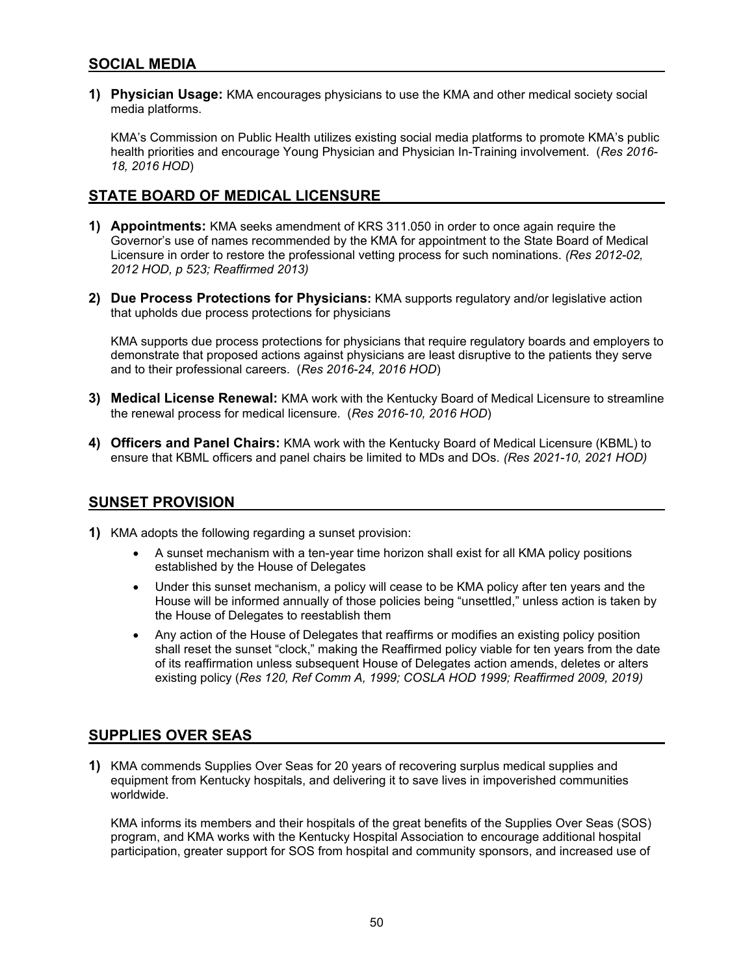## **SOCIAL MEDIA**

**1) Physician Usage:** KMA encourages physicians to use the KMA and other medical society social media platforms.

KMA's Commission on Public Health utilizes existing social media platforms to promote KMA's public health priorities and encourage Young Physician and Physician In-Training involvement. (*Res 2016- 18, 2016 HOD*)

## **STATE BOARD OF MEDICAL LICENSURE**

- **1) Appointments:** KMA seeks amendment of KRS 311.050 in order to once again require the Governor's use of names recommended by the KMA for appointment to the State Board of Medical Licensure in order to restore the professional vetting process for such nominations. *(Res 2012-02, 2012 HOD, p 523; Reaffirmed 2013)*
- **2) Due Process Protections for Physicians:** KMA supports regulatory and/or legislative action that upholds due process protections for physicians

KMA supports due process protections for physicians that require regulatory boards and employers to demonstrate that proposed actions against physicians are least disruptive to the patients they serve and to their professional careers. (*Res 2016-24, 2016 HOD*)

- **3) Medical License Renewal:** KMA work with the Kentucky Board of Medical Licensure to streamline the renewal process for medical licensure. (*Res 2016-10, 2016 HOD*)
- **4) Officers and Panel Chairs:** KMA work with the Kentucky Board of Medical Licensure (KBML) to ensure that KBML officers and panel chairs be limited to MDs and DOs. *(Res 2021-10, 2021 HOD)*

#### **SUNSET PROVISION**

- **1)** KMA adopts the following regarding a sunset provision:
	- A sunset mechanism with a ten-year time horizon shall exist for all KMA policy positions established by the House of Delegates
	- Under this sunset mechanism, a policy will cease to be KMA policy after ten years and the House will be informed annually of those policies being "unsettled," unless action is taken by the House of Delegates to reestablish them
	- Any action of the House of Delegates that reaffirms or modifies an existing policy position shall reset the sunset "clock," making the Reaffirmed policy viable for ten years from the date of its reaffirmation unless subsequent House of Delegates action amends, deletes or alters existing policy (*Res 120, Ref Comm A, 1999; COSLA HOD 1999; Reaffirmed 2009, 2019)*

# **SUPPLIES OVER SEAS**

**1)** KMA commends Supplies Over Seas for 20 years of recovering surplus medical supplies and equipment from Kentucky hospitals, and delivering it to save lives in impoverished communities worldwide.

KMA informs its members and their hospitals of the great benefits of the Supplies Over Seas (SOS) program, and KMA works with the Kentucky Hospital Association to encourage additional hospital participation, greater support for SOS from hospital and community sponsors, and increased use of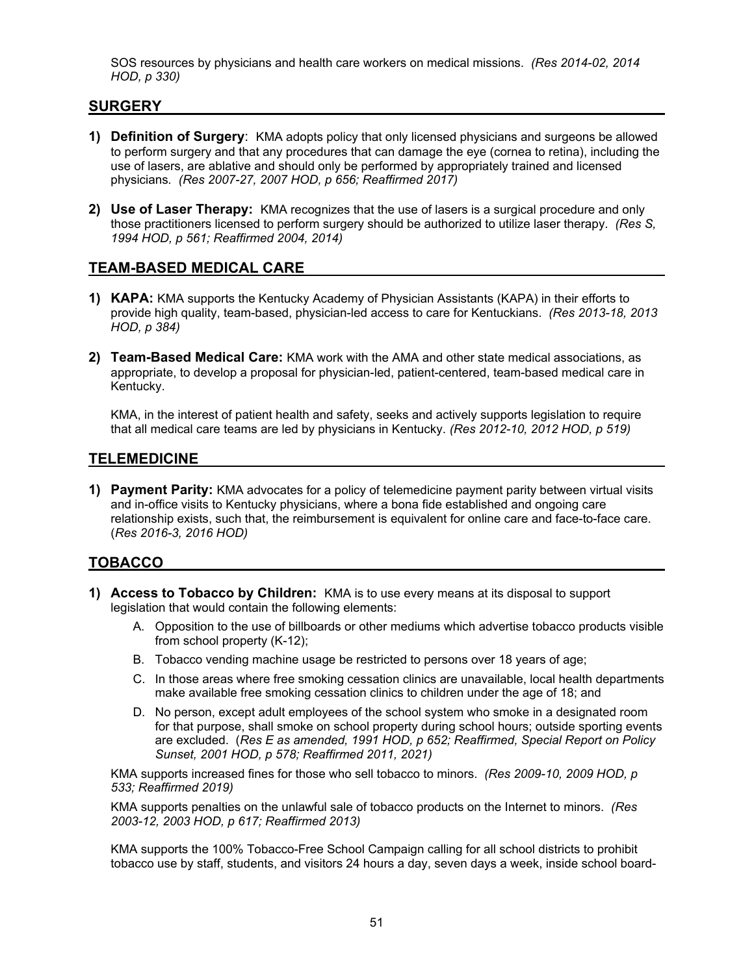SOS resources by physicians and health care workers on medical missions. *(Res 2014-02, 2014 HOD, p 330)*

#### **SURGERY**

- **1) Definition of Surgery**: KMA adopts policy that only licensed physicians and surgeons be allowed to perform surgery and that any procedures that can damage the eye (cornea to retina), including the use of lasers, are ablative and should only be performed by appropriately trained and licensed physicians*. (Res 2007-27, 2007 HOD, p 656; Reaffirmed 2017)*
- **2) Use of Laser Therapy:** KMA recognizes that the use of lasers is a surgical procedure and only those practitioners licensed to perform surgery should be authorized to utilize laser therapy. *(Res S, 1994 HOD, p 561; Reaffirmed 2004, 2014)*

#### **TEAM-BASED MEDICAL CARE**

- **1) KAPA:** KMA supports the Kentucky Academy of Physician Assistants (KAPA) in their efforts to provide high quality, team-based, physician-led access to care for Kentuckians. *(Res 2013-18, 2013 HOD, p 384)*
- **2) Team-Based Medical Care:** KMA work with the AMA and other state medical associations, as appropriate, to develop a proposal for physician-led, patient-centered, team-based medical care in Kentucky.

KMA, in the interest of patient health and safety, seeks and actively supports legislation to require that all medical care teams are led by physicians in Kentucky. *(Res 2012-10, 2012 HOD, p 519)* 

#### **TELEMEDICINE**

**1) Payment Parity:** KMA advocates for a policy of telemedicine payment parity between virtual visits and in-office visits to Kentucky physicians, where a bona fide established and ongoing care relationship exists, such that, the reimbursement is equivalent for online care and face-to-face care. (*Res 2016-3, 2016 HOD)*

#### **TOBACCO**

- **1) Access to Tobacco by Children:** KMA is to use every means at its disposal to support legislation that would contain the following elements:
	- A. Opposition to the use of billboards or other mediums which advertise tobacco products visible from school property (K-12);
	- B. Tobacco vending machine usage be restricted to persons over 18 years of age;
	- C. In those areas where free smoking cessation clinics are unavailable, local health departments make available free smoking cessation clinics to children under the age of 18; and
	- D. No person, except adult employees of the school system who smoke in a designated room for that purpose, shall smoke on school property during school hours; outside sporting events are excluded. (*Res E as amended, 1991 HOD, p 652; Reaffirmed, Special Report on Policy Sunset, 2001 HOD, p 578; Reaffirmed 2011, 2021)*

KMA supports increased fines for those who sell tobacco to minors. *(Res 2009-10, 2009 HOD, p 533; Reaffirmed 2019)*

KMA supports penalties on the unlawful sale of tobacco products on the Internet to minors. *(Res 2003-12, 2003 HOD, p 617; Reaffirmed 2013)* 

KMA supports the 100% Tobacco-Free School Campaign calling for all school districts to prohibit tobacco use by staff, students, and visitors 24 hours a day, seven days a week, inside school board-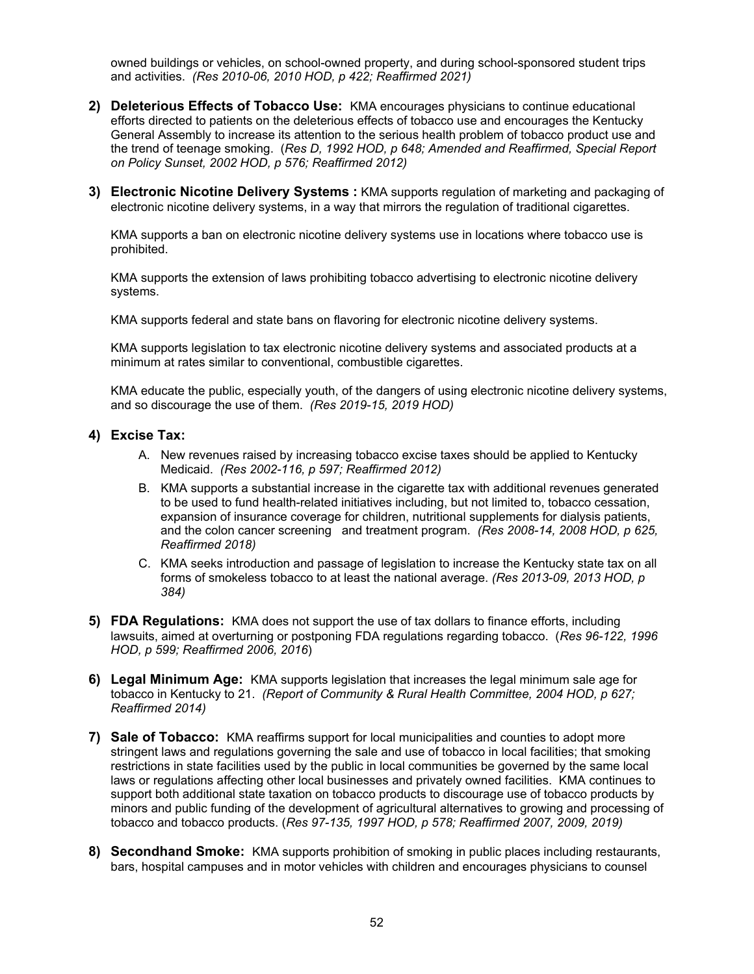owned buildings or vehicles, on school-owned property, and during school-sponsored student trips and activities. *(Res 2010-06, 2010 HOD, p 422; Reaffirmed 2021)* 

- **2) Deleterious Effects of Tobacco Use:** KMA encourages physicians to continue educational efforts directed to patients on the deleterious effects of tobacco use and encourages the Kentucky General Assembly to increase its attention to the serious health problem of tobacco product use and the trend of teenage smoking. (*Res D, 1992 HOD, p 648; Amended and Reaffirmed, Special Report on Policy Sunset, 2002 HOD, p 576; Reaffirmed 2012)*
- **3) Electronic Nicotine Delivery Systems :** KMA supports regulation of marketing and packaging of electronic nicotine delivery systems, in a way that mirrors the regulation of traditional cigarettes.

KMA supports a ban on electronic nicotine delivery systems use in locations where tobacco use is prohibited.

KMA supports the extension of laws prohibiting tobacco advertising to electronic nicotine delivery systems.

KMA supports federal and state bans on flavoring for electronic nicotine delivery systems.

KMA supports legislation to tax electronic nicotine delivery systems and associated products at a minimum at rates similar to conventional, combustible cigarettes.

KMA educate the public, especially youth, of the dangers of using electronic nicotine delivery systems, and so discourage the use of them. *(Res 2019-15, 2019 HOD)*

#### **4) Excise Tax:**

- A. New revenues raised by increasing tobacco excise taxes should be applied to Kentucky Medicaid. *(Res 2002-116, p 597; Reaffirmed 2012)*
- B. KMA supports a substantial increase in the cigarette tax with additional revenues generated to be used to fund health-related initiatives including, but not limited to, tobacco cessation, expansion of insurance coverage for children, nutritional supplements for dialysis patients, and the colon cancer screening and treatment program. *(Res 2008-14, 2008 HOD, p 625, Reaffirmed 2018)*
- C. KMA seeks introduction and passage of legislation to increase the Kentucky state tax on all forms of smokeless tobacco to at least the national average. *(Res 2013-09, 2013 HOD, p 384)*
- **5) FDA Regulations:** KMA does not support the use of tax dollars to finance efforts, including lawsuits, aimed at overturning or postponing FDA regulations regarding tobacco. (*Res 96-122, 1996 HOD, p 599; Reaffirmed 2006, 2016*)
- **6) Legal Minimum Age:** KMA supports legislation that increases the legal minimum sale age for tobacco in Kentucky to 21. *(Report of Community & Rural Health Committee, 2004 HOD, p 627; Reaffirmed 2014)*
- **7) Sale of Tobacco:** KMA reaffirms support for local municipalities and counties to adopt more stringent laws and regulations governing the sale and use of tobacco in local facilities; that smoking restrictions in state facilities used by the public in local communities be governed by the same local laws or regulations affecting other local businesses and privately owned facilities. KMA continues to support both additional state taxation on tobacco products to discourage use of tobacco products by minors and public funding of the development of agricultural alternatives to growing and processing of tobacco and tobacco products. (*Res 97-135, 1997 HOD, p 578; Reaffirmed 2007, 2009, 2019)*
- **8) Secondhand Smoke:** KMA supports prohibition of smoking in public places including restaurants, bars, hospital campuses and in motor vehicles with children and encourages physicians to counsel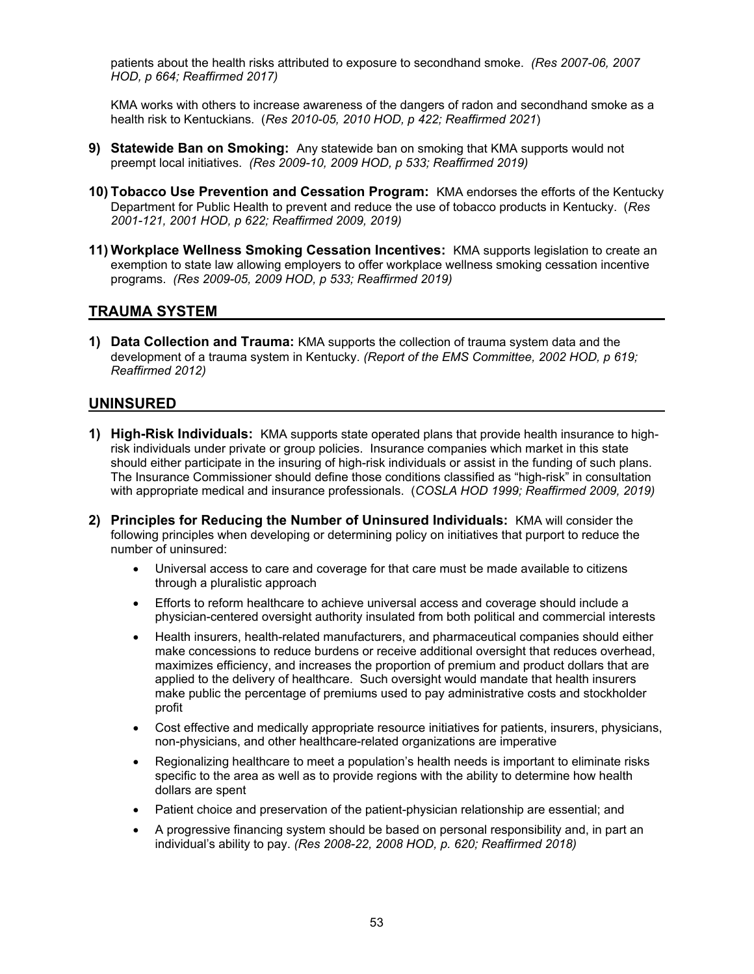patients about the health risks attributed to exposure to secondhand smoke. *(Res 2007-06, 2007 HOD, p 664; Reaffirmed 2017)*

KMA works with others to increase awareness of the dangers of radon and secondhand smoke as a health risk to Kentuckians. (*Res 2010-05, 2010 HOD, p 422; Reaffirmed 2021*)

- **9) Statewide Ban on Smoking:** Any statewide ban on smoking that KMA supports would not preempt local initiatives. *(Res 2009-10, 2009 HOD, p 533; Reaffirmed 2019)*
- **10) Tobacco Use Prevention and Cessation Program:** KMA endorses the efforts of the Kentucky Department for Public Health to prevent and reduce the use of tobacco products in Kentucky. (*Res 2001-121, 2001 HOD, p 622; Reaffirmed 2009, 2019)*
- **11) Workplace Wellness Smoking Cessation Incentives:** KMA supports legislation to create an exemption to state law allowing employers to offer workplace wellness smoking cessation incentive programs. *(Res 2009-05, 2009 HOD, p 533; Reaffirmed 2019)*

#### **TRAUMA SYSTEM**

**1) Data Collection and Trauma:** KMA supports the collection of trauma system data and the development of a trauma system in Kentucky. *(Report of the EMS Committee, 2002 HOD, p 619; Reaffirmed 2012)* 

#### **UNINSURED**

- **1) High-Risk Individuals:** KMA supports state operated plans that provide health insurance to highrisk individuals under private or group policies. Insurance companies which market in this state should either participate in the insuring of high-risk individuals or assist in the funding of such plans. The Insurance Commissioner should define those conditions classified as "high-risk" in consultation with appropriate medical and insurance professionals. (*COSLA HOD 1999; Reaffirmed 2009, 2019)*
- **2) Principles for Reducing the Number of Uninsured Individuals:** KMA will consider the following principles when developing or determining policy on initiatives that purport to reduce the number of uninsured:
	- Universal access to care and coverage for that care must be made available to citizens through a pluralistic approach
	- Efforts to reform healthcare to achieve universal access and coverage should include a physician-centered oversight authority insulated from both political and commercial interests
	- Health insurers, health-related manufacturers, and pharmaceutical companies should either make concessions to reduce burdens or receive additional oversight that reduces overhead, maximizes efficiency, and increases the proportion of premium and product dollars that are applied to the delivery of healthcare. Such oversight would mandate that health insurers make public the percentage of premiums used to pay administrative costs and stockholder profit
	- Cost effective and medically appropriate resource initiatives for patients, insurers, physicians, non-physicians, and other healthcare-related organizations are imperative
	- Regionalizing healthcare to meet a population's health needs is important to eliminate risks specific to the area as well as to provide regions with the ability to determine how health dollars are spent
	- Patient choice and preservation of the patient-physician relationship are essential; and
	- A progressive financing system should be based on personal responsibility and, in part an individual's ability to pay. *(Res 2008-22, 2008 HOD, p. 620; Reaffirmed 2018)*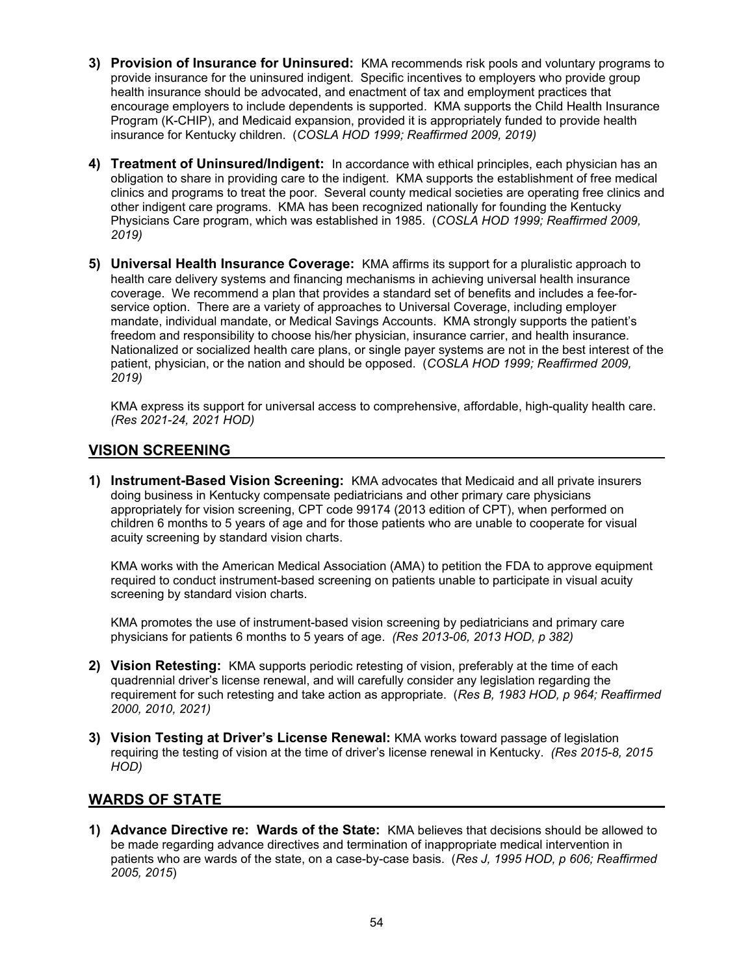- **3) Provision of Insurance for Uninsured:** KMA recommends risk pools and voluntary programs to provide insurance for the uninsured indigent. Specific incentives to employers who provide group health insurance should be advocated, and enactment of tax and employment practices that encourage employers to include dependents is supported. KMA supports the Child Health Insurance Program (K-CHIP), and Medicaid expansion, provided it is appropriately funded to provide health insurance for Kentucky children. (*COSLA HOD 1999; Reaffirmed 2009, 2019)*
- **4) Treatment of Uninsured/Indigent:** In accordance with ethical principles, each physician has an obligation to share in providing care to the indigent. KMA supports the establishment of free medical clinics and programs to treat the poor. Several county medical societies are operating free clinics and other indigent care programs. KMA has been recognized nationally for founding the Kentucky Physicians Care program, which was established in 1985. (*COSLA HOD 1999; Reaffirmed 2009, 2019)*
- **5) Universal Health Insurance Coverage:** KMA affirms its support for a pluralistic approach to health care delivery systems and financing mechanisms in achieving universal health insurance coverage. We recommend a plan that provides a standard set of benefits and includes a fee-forservice option. There are a variety of approaches to Universal Coverage, including employer mandate, individual mandate, or Medical Savings Accounts. KMA strongly supports the patient's freedom and responsibility to choose his/her physician, insurance carrier, and health insurance. Nationalized or socialized health care plans, or single payer systems are not in the best interest of the patient, physician, or the nation and should be opposed. (*COSLA HOD 1999; Reaffirmed 2009, 2019)*

KMA express its support for universal access to comprehensive, affordable, high-quality health care. *(Res 2021-24, 2021 HOD)*

## **VISION SCREENING**

**1) Instrument-Based Vision Screening:** KMA advocates that Medicaid and all private insurers doing business in Kentucky compensate pediatricians and other primary care physicians appropriately for vision screening, CPT code 99174 (2013 edition of CPT), when performed on children 6 months to 5 years of age and for those patients who are unable to cooperate for visual acuity screening by standard vision charts.

KMA works with the American Medical Association (AMA) to petition the FDA to approve equipment required to conduct instrument-based screening on patients unable to participate in visual acuity screening by standard vision charts.

KMA promotes the use of instrument-based vision screening by pediatricians and primary care physicians for patients 6 months to 5 years of age. *(Res 2013-06, 2013 HOD, p 382)* 

- **2) Vision Retesting:** KMA supports periodic retesting of vision, preferably at the time of each quadrennial driver's license renewal, and will carefully consider any legislation regarding the requirement for such retesting and take action as appropriate. (*Res B, 1983 HOD, p 964; Reaffirmed 2000, 2010, 2021)*
- **3) Vision Testing at Driver's License Renewal:** KMA works toward passage of legislation requiring the testing of vision at the time of driver's license renewal in Kentucky. *(Res 2015-8, 2015 HOD)*

# **WARDS OF STATE**

**1) Advance Directive re: Wards of the State:** KMA believes that decisions should be allowed to be made regarding advance directives and termination of inappropriate medical intervention in patients who are wards of the state, on a case-by-case basis. (*Res J, 1995 HOD, p 606; Reaffirmed 2005, 2015*)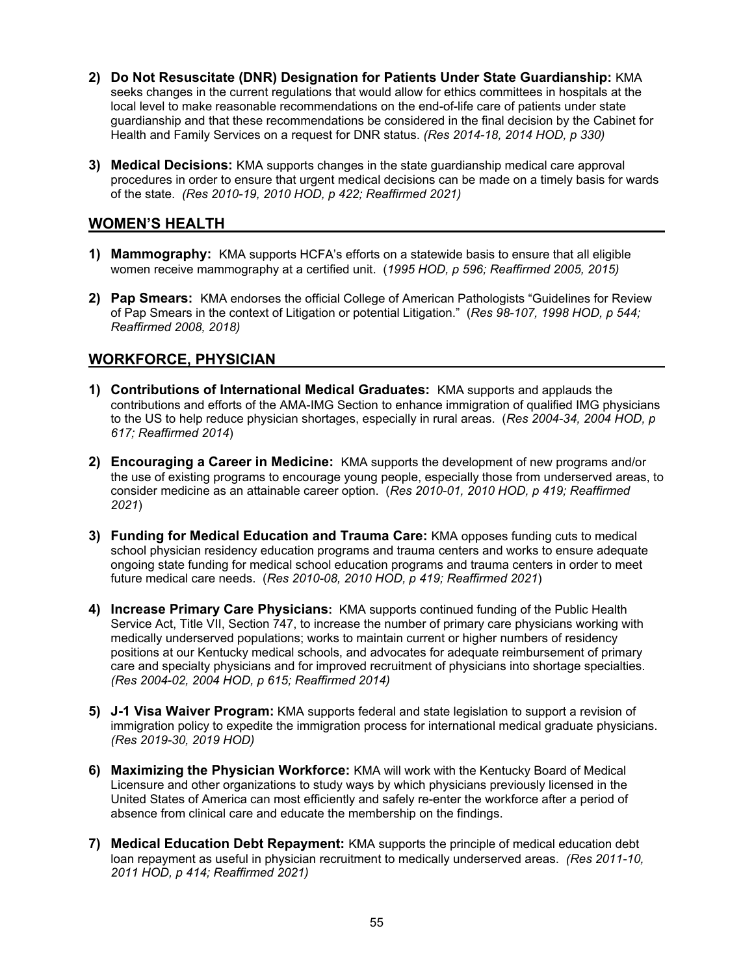- **2) Do Not Resuscitate (DNR) Designation for Patients Under State Guardianship:** KMA seeks changes in the current regulations that would allow for ethics committees in hospitals at the local level to make reasonable recommendations on the end-of-life care of patients under state guardianship and that these recommendations be considered in the final decision by the Cabinet for Health and Family Services on a request for DNR status. *(Res 2014-18, 2014 HOD, p 330)*
- **3) Medical Decisions:** KMA supports changes in the state guardianship medical care approval procedures in order to ensure that urgent medical decisions can be made on a timely basis for wards of the state. *(Res 2010-19, 2010 HOD, p 422; Reaffirmed 2021)*

## **WOMEN'S HEALTH**

- **1) Mammography:** KMA supports HCFA's efforts on a statewide basis to ensure that all eligible women receive mammography at a certified unit. (*1995 HOD, p 596; Reaffirmed 2005, 2015)*
- **2) Pap Smears:** KMA endorses the official College of American Pathologists "Guidelines for Review of Pap Smears in the context of Litigation or potential Litigation." (*Res 98-107, 1998 HOD, p 544; Reaffirmed 2008, 2018)*

# **WORKFORCE, PHYSICIAN**

- **1) Contributions of International Medical Graduates:** KMA supports and applauds the contributions and efforts of the AMA-IMG Section to enhance immigration of qualified IMG physicians to the US to help reduce physician shortages, especially in rural areas. (*Res 2004-34, 2004 HOD, p 617; Reaffirmed 2014*)
- **2) Encouraging a Career in Medicine:** KMA supports the development of new programs and/or the use of existing programs to encourage young people, especially those from underserved areas, to consider medicine as an attainable career option. (*Res 2010-01, 2010 HOD, p 419; Reaffirmed 2021*)
- **3) Funding for Medical Education and Trauma Care:** KMA opposes funding cuts to medical school physician residency education programs and trauma centers and works to ensure adequate ongoing state funding for medical school education programs and trauma centers in order to meet future medical care needs. (*Res 2010-08, 2010 HOD, p 419; Reaffirmed 2021*)
- **4) Increase Primary Care Physicians:** KMA supports continued funding of the Public Health Service Act, Title VII, Section 747, to increase the number of primary care physicians working with medically underserved populations; works to maintain current or higher numbers of residency positions at our Kentucky medical schools, and advocates for adequate reimbursement of primary care and specialty physicians and for improved recruitment of physicians into shortage specialties. *(Res 2004-02, 2004 HOD, p 615; Reaffirmed 2014)*
- **5) J-1 Visa Waiver Program:** KMA supports federal and state legislation to support a revision of immigration policy to expedite the immigration process for international medical graduate physicians. *(Res 2019-30, 2019 HOD)*
- **6) Maximizing the Physician Workforce:** KMA will work with the Kentucky Board of Medical Licensure and other organizations to study ways by which physicians previously licensed in the United States of America can most efficiently and safely re-enter the workforce after a period of absence from clinical care and educate the membership on the findings.
- **7) Medical Education Debt Repayment:** KMA supports the principle of medical education debt loan repayment as useful in physician recruitment to medically underserved areas. *(Res 2011-10, 2011 HOD, p 414; Reaffirmed 2021)*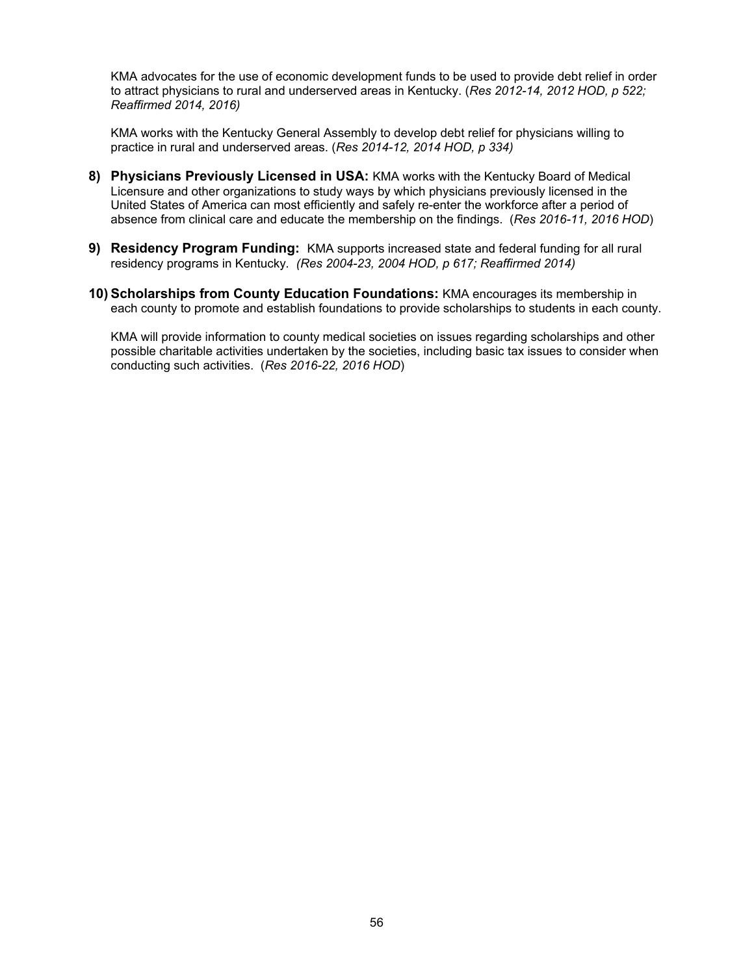KMA advocates for the use of economic development funds to be used to provide debt relief in order to attract physicians to rural and underserved areas in Kentucky. (*Res 2012-14, 2012 HOD, p 522; Reaffirmed 2014, 2016)* 

KMA works with the Kentucky General Assembly to develop debt relief for physicians willing to practice in rural and underserved areas. (*Res 2014-12, 2014 HOD, p 334)* 

- **8) Physicians Previously Licensed in USA:** KMA works with the Kentucky Board of Medical Licensure and other organizations to study ways by which physicians previously licensed in the United States of America can most efficiently and safely re-enter the workforce after a period of absence from clinical care and educate the membership on the findings. (*Res 2016-11, 2016 HOD*)
- **9) Residency Program Funding:** KMA supports increased state and federal funding for all rural residency programs in Kentucky*. (Res 2004-23, 2004 HOD, p 617; Reaffirmed 2014)*
- **10) Scholarships from County Education Foundations:** KMA encourages its membership in each county to promote and establish foundations to provide scholarships to students in each county.

KMA will provide information to county medical societies on issues regarding scholarships and other possible charitable activities undertaken by the societies, including basic tax issues to consider when conducting such activities. (*Res 2016-22, 2016 HOD*)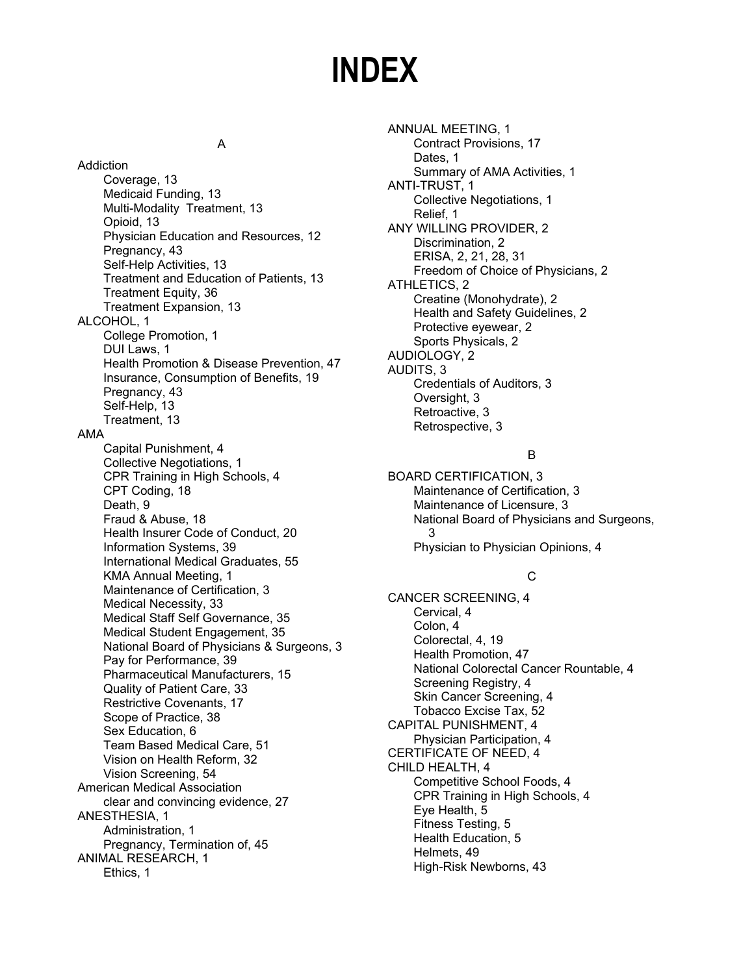# **INDEX**

#### A

Addiction Coverage, 13 Medicaid Funding, 13 Multi-Modality Treatment, 13 Opioid, 13 Physician Education and Resources, 12 Pregnancy, 43 Self-Help Activities, 13 Treatment and Education of Patients, 13 Treatment Equity, 36 Treatment Expansion, 13 ALCOHOL, 1 College Promotion, 1 DUI Laws, 1 Health Promotion & Disease Prevention, 47 Insurance, Consumption of Benefits, 19 Pregnancy, 43 Self-Help, 13 Treatment, 13 AMA Capital Punishment, 4 Collective Negotiations, 1 CPR Training in High Schools, 4 CPT Coding, 18 Death, 9 Fraud & Abuse, 18 Health Insurer Code of Conduct, 20 Information Systems, 39 International Medical Graduates, 55 KMA Annual Meeting, 1 Maintenance of Certification, 3 Medical Necessity, 33 Medical Staff Self Governance, 35 Medical Student Engagement, 35 National Board of Physicians & Surgeons, 3 Pay for Performance, 39 Pharmaceutical Manufacturers, 15 Quality of Patient Care, 33 Restrictive Covenants, 17 Scope of Practice, 38 Sex Education, 6 Team Based Medical Care, 51 Vision on Health Reform, 32 Vision Screening, 54 American Medical Association clear and convincing evidence, 27 ANESTHESIA, 1 Administration, 1 Pregnancy, Termination of, 45 ANIMAL RESEARCH, 1 Ethics, 1

ANNUAL MEETING, 1 Contract Provisions, 17 Dates, 1 Summary of AMA Activities, 1 ANTI-TRUST, 1 Collective Negotiations, 1 Relief, 1 ANY WILLING PROVIDER, 2 Discrimination, 2 ERISA, 2, 21, 28, 31 Freedom of Choice of Physicians, 2 ATHLETICS, 2 Creatine (Monohydrate), 2 Health and Safety Guidelines, 2 Protective eyewear, 2 Sports Physicals, 2 AUDIOLOGY, 2 AUDITS, 3 Credentials of Auditors, 3 Oversight, 3 Retroactive, 3 Retrospective, 3

#### B

BOARD CERTIFICATION, 3 Maintenance of Certification, 3 Maintenance of Licensure, 3 National Board of Physicians and Surgeons, 3 Physician to Physician Opinions, 4

## C

CANCER SCREENING, 4 Cervical, 4 Colon, 4 Colorectal, 4, 19 Health Promotion, 47 National Colorectal Cancer Rountable, 4 Screening Registry, 4 Skin Cancer Screening, 4 Tobacco Excise Tax, 52 CAPITAL PUNISHMENT, 4 Physician Participation, 4 CERTIFICATE OF NEED, 4 CHILD HEALTH, 4 Competitive School Foods, 4 CPR Training in High Schools, 4 Eye Health, 5 Fitness Testing, 5 Health Education, 5 Helmets, 49 High-Risk Newborns, 43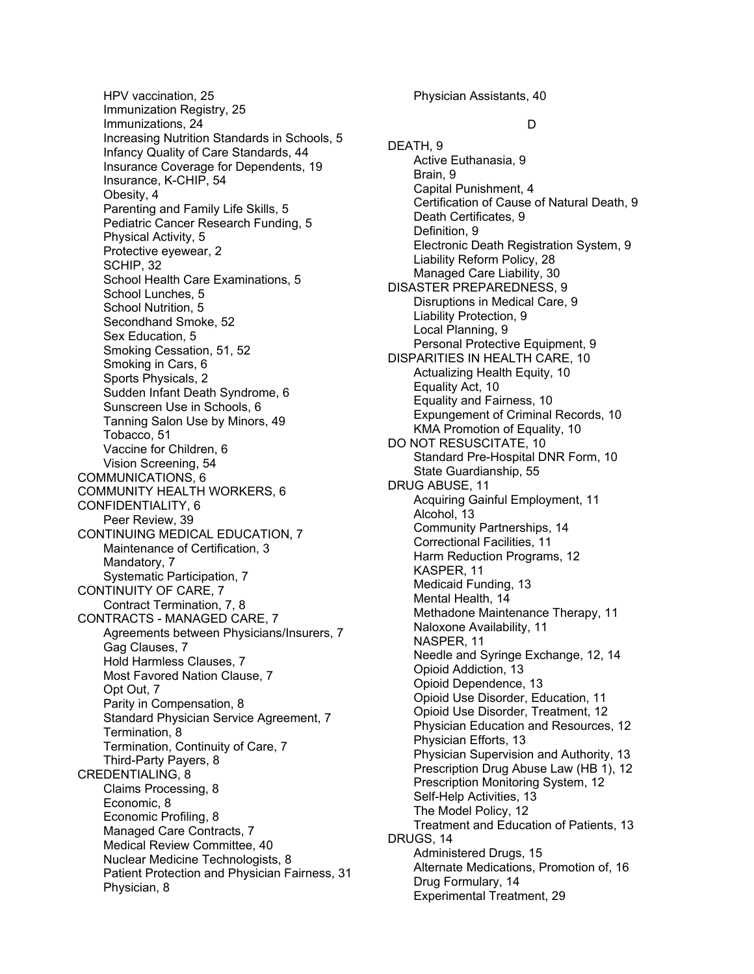HPV vaccination, 25 Immunization Registry, 25 Immunizations, 24 Increasing Nutrition Standards in Schools, 5 Infancy Quality of Care Standards, 44 Insurance Coverage for Dependents, 19 Insurance, K-CHIP, 54 Obesity, 4 Parenting and Family Life Skills, 5 Pediatric Cancer Research Funding, 5 Physical Activity, 5 Protective eyewear, 2 SCHIP, 32 School Health Care Examinations, 5 School Lunches, 5 School Nutrition, 5 Secondhand Smoke, 52 Sex Education, 5 Smoking Cessation, 51, 52 Smoking in Cars, 6 Sports Physicals, 2 Sudden Infant Death Syndrome, 6 Sunscreen Use in Schools, 6 Tanning Salon Use by Minors, 49 Tobacco, 51 Vaccine for Children, 6 Vision Screening, 54 COMMUNICATIONS, 6 COMMUNITY HEALTH WORKERS, 6 CONFIDENTIALITY, 6 Peer Review, 39 CONTINUING MEDICAL EDUCATION, 7 Maintenance of Certification, 3 Mandatory, 7 Systematic Participation, 7 CONTINUITY OF CARE, 7 Contract Termination, 7, 8 CONTRACTS - MANAGED CARE, 7 Agreements between Physicians/Insurers, 7 Gag Clauses, 7 Hold Harmless Clauses, 7 Most Favored Nation Clause, 7 Opt Out, 7 Parity in Compensation, 8 Standard Physician Service Agreement, 7 Termination, 8 Termination, Continuity of Care, 7 Third-Party Payers, 8 CREDENTIALING, 8 Claims Processing, 8 Economic, 8 Economic Profiling, 8 Managed Care Contracts, 7 Medical Review Committee, 40 Nuclear Medicine Technologists, 8 Patient Protection and Physician Fairness, 31 Physician, 8

Physician Assistants, 40

#### D

DEATH, 9 Active Euthanasia, 9 Brain, 9 Capital Punishment, 4 Certification of Cause of Natural Death, 9 Death Certificates, 9 Definition, 9 Electronic Death Registration System, 9 Liability Reform Policy, 28 Managed Care Liability, 30 DISASTER PREPAREDNESS, 9 Disruptions in Medical Care, 9 Liability Protection, 9 Local Planning, 9 Personal Protective Equipment, 9 DISPARITIES IN HEALTH CARE, 10 Actualizing Health Equity, 10 Equality Act, 10 Equality and Fairness, 10 Expungement of Criminal Records, 10 KMA Promotion of Equality, 10 DO NOT RESUSCITATE, 10 Standard Pre-Hospital DNR Form, 10 State Guardianship, 55 DRUG ABUSE, 11 Acquiring Gainful Employment, 11 Alcohol, 13 Community Partnerships, 14 Correctional Facilities, 11 Harm Reduction Programs, 12 KASPER, 11 Medicaid Funding, 13 Mental Health, 14 Methadone Maintenance Therapy, 11 Naloxone Availability, 11 NASPER, 11 Needle and Syringe Exchange, 12, 14 Opioid Addiction, 13 Opioid Dependence, 13 Opioid Use Disorder, Education, 11 Opioid Use Disorder, Treatment, 12 Physician Education and Resources, 12 Physician Efforts, 13 Physician Supervision and Authority, 13 Prescription Drug Abuse Law (HB 1), 12 Prescription Monitoring System, 12 Self-Help Activities, 13 The Model Policy, 12 Treatment and Education of Patients, 13 DRUGS, 14 Administered Drugs, 15 Alternate Medications, Promotion of, 16 Drug Formulary, 14 Experimental Treatment, 29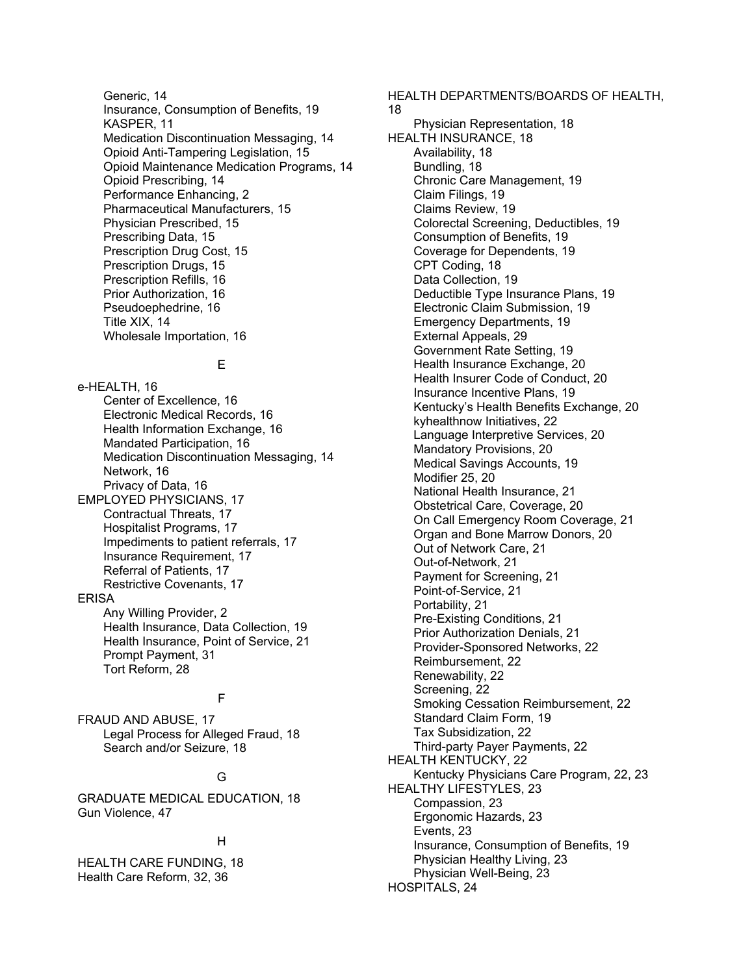Generic, 14 Insurance, Consumption of Benefits, 19 KASPER, 11 Medication Discontinuation Messaging, 14 Opioid Anti-Tampering Legislation, 15 Opioid Maintenance Medication Programs, 14 Opioid Prescribing, 14 Performance Enhancing, 2 Pharmaceutical Manufacturers, 15 Physician Prescribed, 15 Prescribing Data, 15 Prescription Drug Cost, 15 Prescription Drugs, 15 Prescription Refills, 16 Prior Authorization, 16 Pseudoephedrine, 16 Title XIX, 14 Wholesale Importation, 16

#### E

e-HEALTH, 16 Center of Excellence, 16 Electronic Medical Records, 16 Health Information Exchange, 16 Mandated Participation, 16 Medication Discontinuation Messaging, 14 Network, 16 Privacy of Data, 16 EMPLOYED PHYSICIANS, 17 Contractual Threats, 17 Hospitalist Programs, 17 Impediments to patient referrals, 17 Insurance Requirement, 17 Referral of Patients, 17 Restrictive Covenants, 17 ERISA Any Willing Provider, 2 Health Insurance, Data Collection, 19 Health Insurance, Point of Service, 21 Prompt Payment, 31 Tort Reform, 28

#### F

FRAUD AND ABUSE, 17 Legal Process for Alleged Fraud, 18 Search and/or Seizure, 18

#### G

GRADUATE MEDICAL EDUCATION, 18 Gun Violence, 47

#### H

HEALTH CARE FUNDING, 18 Health Care Reform, 32, 36

Physician Representation, 18 HEALTH INSURANCE, 18 Availability, 18 Bundling, 18 Chronic Care Management, 19 Claim Filings, 19 Claims Review, 19 Colorectal Screening, Deductibles, 19 Consumption of Benefits, 19 Coverage for Dependents, 19 CPT Coding, 18 Data Collection, 19 Deductible Type Insurance Plans, 19 Electronic Claim Submission, 19 Emergency Departments, 19 External Appeals, 29 Government Rate Setting, 19 Health Insurance Exchange, 20 Health Insurer Code of Conduct, 20 Insurance Incentive Plans, 19 Kentucky's Health Benefits Exchange, 20 kyhealthnow Initiatives, 22 Language Interpretive Services, 20 Mandatory Provisions, 20 Medical Savings Accounts, 19 Modifier 25, 20 National Health Insurance, 21 Obstetrical Care, Coverage, 20 On Call Emergency Room Coverage, 21 Organ and Bone Marrow Donors, 20 Out of Network Care, 21 Out-of-Network, 21 Payment for Screening, 21 Point-of-Service, 21 Portability, 21 Pre-Existing Conditions, 21 Prior Authorization Denials, 21 Provider-Sponsored Networks, 22 Reimbursement, 22 Renewability, 22 Screening, 22 Smoking Cessation Reimbursement, 22 Standard Claim Form, 19 Tax Subsidization, 22 Third-party Payer Payments, 22 HEALTH KENTUCKY, 22 Kentucky Physicians Care Program, 22, 23 HEALTHY LIFESTYLES, 23 Compassion, 23 Ergonomic Hazards, 23 Events, 23 Insurance, Consumption of Benefits, 19 Physician Healthy Living, 23

Physician Well-Being, 23

HOSPITALS, 24

HEALTH DEPARTMENTS/BOARDS OF HEALTH,

18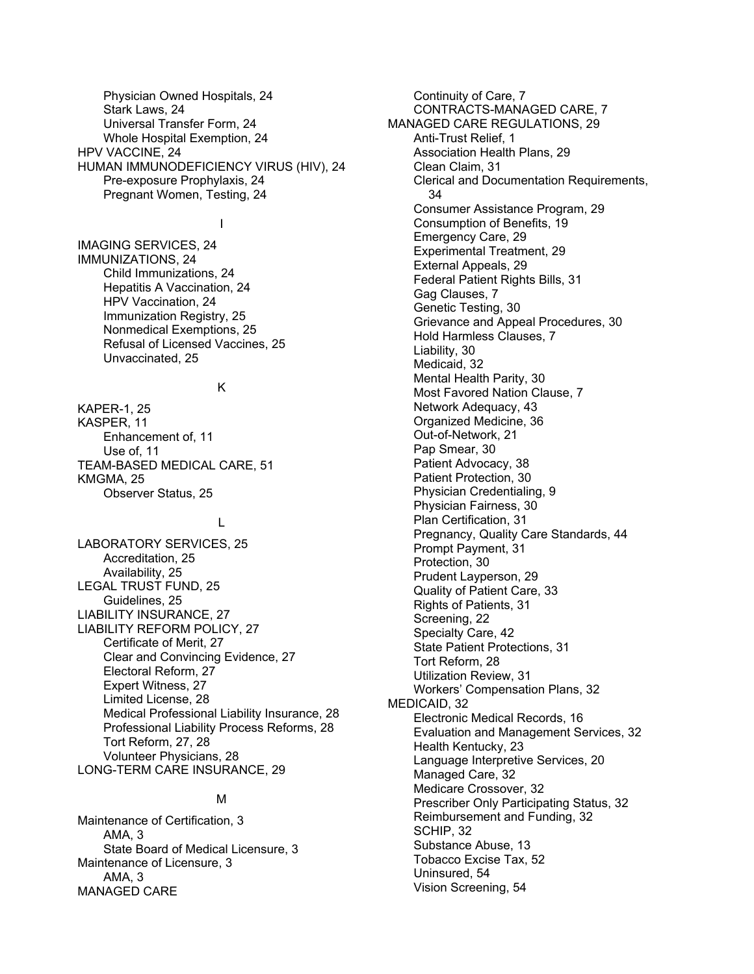Physician Owned Hospitals, 24 Stark Laws, 24 Universal Transfer Form, 24 Whole Hospital Exemption, 24 HPV VACCINE, 24 HUMAN IMMUNODEFICIENCY VIRUS (HIV), 24 Pre-exposure Prophylaxis, 24 Pregnant Women, Testing, 24

#### I

IMAGING SERVICES, 24 IMMUNIZATIONS, 24 Child Immunizations, 24 Hepatitis A Vaccination, 24 HPV Vaccination, 24 Immunization Registry, 25 Nonmedical Exemptions, 25 Refusal of Licensed Vaccines, 25 Unvaccinated, 25

#### K

KAPER-1, 25 KASPER, 11 Enhancement of, 11 Use of, 11 TEAM-BASED MEDICAL CARE, 51 KMGMA, 25 Observer Status, 25

#### L

LABORATORY SERVICES, 25 Accreditation, 25 Availability, 25 LEGAL TRUST FUND, 25 Guidelines, 25 LIABILITY INSURANCE, 27 LIABILITY REFORM POLICY, 27 Certificate of Merit, 27 Clear and Convincing Evidence, 27 Electoral Reform, 27 Expert Witness, 27 Limited License, 28 Medical Professional Liability Insurance, 28 Professional Liability Process Reforms, 28 Tort Reform, 27, 28 Volunteer Physicians, 28 LONG-TERM CARE INSURANCE, 29

#### M

Maintenance of Certification, 3 AMA, 3 State Board of Medical Licensure, 3 Maintenance of Licensure, 3 AMA, 3 MANAGED CARE

Continuity of Care, 7 CONTRACTS-MANAGED CARE, 7 MANAGED CARE REGULATIONS, 29 Anti-Trust Relief, 1 Association Health Plans, 29 Clean Claim, 31 Clerical and Documentation Requirements, 34 Consumer Assistance Program, 29 Consumption of Benefits, 19 Emergency Care, 29 Experimental Treatment, 29 External Appeals, 29 Federal Patient Rights Bills, 31 Gag Clauses, 7 Genetic Testing, 30 Grievance and Appeal Procedures, 30 Hold Harmless Clauses, 7 Liability, 30 Medicaid, 32 Mental Health Parity, 30 Most Favored Nation Clause, 7 Network Adequacy, 43 Organized Medicine, 36 Out-of-Network, 21 Pap Smear, 30 Patient Advocacy, 38 Patient Protection, 30 Physician Credentialing, 9 Physician Fairness, 30 Plan Certification, 31 Pregnancy, Quality Care Standards, 44 Prompt Payment, 31 Protection, 30 Prudent Layperson, 29 Quality of Patient Care, 33 Rights of Patients, 31 Screening, 22 Specialty Care, 42 State Patient Protections, 31 Tort Reform, 28 Utilization Review, 31 Workers' Compensation Plans, 32 MEDICAID, 32 Electronic Medical Records, 16 Evaluation and Management Services, 32 Health Kentucky, 23 Language Interpretive Services, 20 Managed Care, 32 Medicare Crossover, 32 Prescriber Only Participating Status, 32 Reimbursement and Funding, 32 SCHIP, 32 Substance Abuse, 13 Tobacco Excise Tax, 52 Uninsured, 54 Vision Screening, 54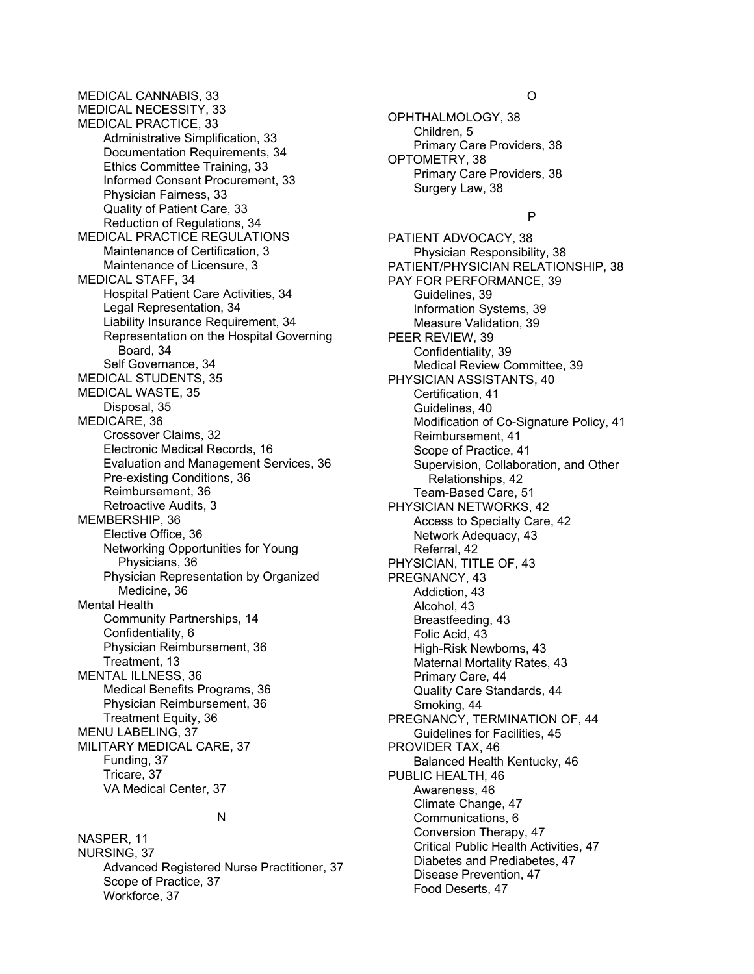MEDICAL CANNABIS, 33 MEDICAL NECESSITY, 33 MEDICAL PRACTICE, 33 Administrative Simplification, 33 Documentation Requirements, 34 Ethics Committee Training, 33 Informed Consent Procurement, 33 Physician Fairness, 33 Quality of Patient Care, 33 Reduction of Regulations, 34 MEDICAL PRACTICE REGULATIONS Maintenance of Certification, 3 Maintenance of Licensure, 3 MEDICAL STAFF, 34 Hospital Patient Care Activities, 34 Legal Representation, 34 Liability Insurance Requirement, 34 Representation on the Hospital Governing Board, 34 Self Governance, 34 MEDICAL STUDENTS, 35 MEDICAL WASTE, 35 Disposal, 35 MEDICARE, 36 Crossover Claims, 32 Electronic Medical Records, 16 Evaluation and Management Services, 36 Pre-existing Conditions, 36 Reimbursement, 36 Retroactive Audits, 3 MEMBERSHIP, 36 Elective Office, 36 Networking Opportunities for Young Physicians, 36 Physician Representation by Organized Medicine, 36 Mental Health Community Partnerships, 14 Confidentiality, 6 Physician Reimbursement, 36 Treatment, 13 MENTAL ILLNESS, 36 Medical Benefits Programs, 36 Physician Reimbursement, 36 Treatment Equity, 36 MENU LABELING, 37 MILITARY MEDICAL CARE, 37 Funding, 37 Tricare, 37 VA Medical Center, 37

#### N

NASPER, 11 NURSING, 37 Advanced Registered Nurse Practitioner, 37 Scope of Practice, 37 Workforce, 37

#### O

OPHTHALMOLOGY, 38 Children, 5 Primary Care Providers, 38 OPTOMETRY, 38 Primary Care Providers, 38 Surgery Law, 38

#### P

PATIENT ADVOCACY, 38 Physician Responsibility, 38 PATIENT/PHYSICIAN RELATIONSHIP, 38 PAY FOR PERFORMANCE, 39 Guidelines, 39 Information Systems, 39 Measure Validation, 39 PEER REVIEW, 39 Confidentiality, 39 Medical Review Committee, 39 PHYSICIAN ASSISTANTS, 40 Certification, 41 Guidelines, 40 Modification of Co-Signature Policy, 41 Reimbursement, 41 Scope of Practice, 41 Supervision, Collaboration, and Other Relationships, 42 Team-Based Care, 51 PHYSICIAN NETWORKS, 42 Access to Specialty Care, 42 Network Adequacy, 43 Referral, 42 PHYSICIAN, TITLE OF, 43 PREGNANCY, 43 Addiction, 43 Alcohol, 43 Breastfeeding, 43 Folic Acid, 43 High-Risk Newborns, 43 Maternal Mortality Rates, 43 Primary Care, 44 Quality Care Standards, 44 Smoking, 44 PREGNANCY, TERMINATION OF, 44 Guidelines for Facilities, 45 PROVIDER TAX, 46 Balanced Health Kentucky, 46 PUBLIC HEALTH, 46 Awareness, 46 Climate Change, 47 Communications, 6 Conversion Therapy, 47 Critical Public Health Activities, 47 Diabetes and Prediabetes, 47 Disease Prevention, 47 Food Deserts, 47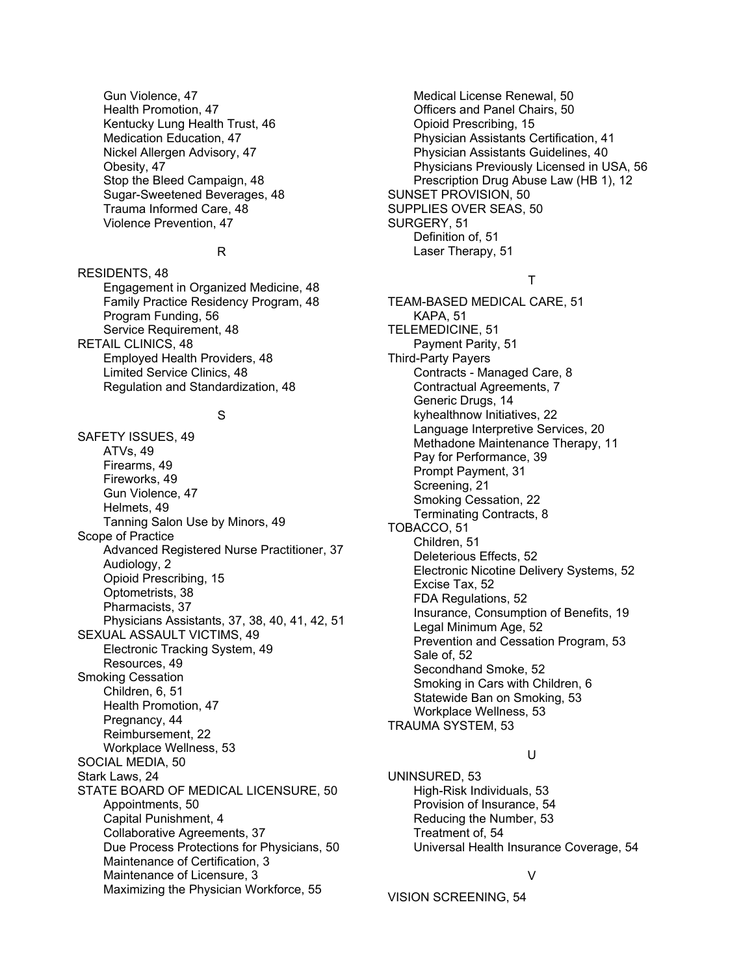Gun Violence, 47 Health Promotion, 47 Kentucky Lung Health Trust, 46 Medication Education, 47 Nickel Allergen Advisory, 47 Obesity, 47 Stop the Bleed Campaign, 48 Sugar-Sweetened Beverages, 48 Trauma Informed Care, 48 Violence Prevention, 47

#### R

RESIDENTS, 48 Engagement in Organized Medicine, 48 Family Practice Residency Program, 48 Program Funding, 56 Service Requirement, 48 RETAIL CLINICS, 48 Employed Health Providers, 48 Limited Service Clinics, 48 Regulation and Standardization, 48

#### S

SAFETY ISSUES, 49 ATVs, 49 Firearms, 49 Fireworks, 49 Gun Violence, 47 Helmets, 49 Tanning Salon Use by Minors, 49 Scope of Practice Advanced Registered Nurse Practitioner, 37 Audiology, 2 Opioid Prescribing, 15 Optometrists, 38 Pharmacists, 37 Physicians Assistants, 37, 38, 40, 41, 42, 51 SEXUAL ASSAULT VICTIMS, 49 Electronic Tracking System, 49 Resources, 49 Smoking Cessation Children, 6, 51 Health Promotion, 47 Pregnancy, 44 Reimbursement, 22 Workplace Wellness, 53 SOCIAL MEDIA, 50 Stark Laws, 24 STATE BOARD OF MEDICAL LICENSURE, 50 Appointments, 50 Capital Punishment, 4 Collaborative Agreements, 37 Due Process Protections for Physicians, 50 Maintenance of Certification, 3 Maintenance of Licensure, 3 Maximizing the Physician Workforce, 55

Medical License Renewal, 50 Officers and Panel Chairs, 50 Opioid Prescribing, 15 Physician Assistants Certification, 41 Physician Assistants Guidelines, 40 Physicians Previously Licensed in USA, 56 Prescription Drug Abuse Law (HB 1), 12 SUNSET PROVISION, 50 SUPPLIES OVER SEAS, 50 SURGERY, 51 Definition of, 51 Laser Therapy, 51

#### T

TEAM-BASED MEDICAL CARE, 51 KAPA, 51 TELEMEDICINE, 51 Payment Parity, 51 Third-Party Payers Contracts - Managed Care, 8 Contractual Agreements, 7 Generic Drugs, 14 kyhealthnow Initiatives, 22 Language Interpretive Services, 20 Methadone Maintenance Therapy, 11 Pay for Performance, 39 Prompt Payment, 31 Screening, 21 Smoking Cessation, 22 Terminating Contracts, 8 TOBACCO, 51 Children, 51 Deleterious Effects, 52 Electronic Nicotine Delivery Systems, 52 Excise Tax, 52 FDA Regulations, 52 Insurance, Consumption of Benefits, 19 Legal Minimum Age, 52 Prevention and Cessation Program, 53 Sale of, 52 Secondhand Smoke, 52 Smoking in Cars with Children, 6 Statewide Ban on Smoking, 53 Workplace Wellness, 53 TRAUMA SYSTEM, 53

#### U

UNINSURED, 53 High-Risk Individuals, 53 Provision of Insurance, 54 Reducing the Number, 53 Treatment of, 54 Universal Health Insurance Coverage, 54

V

VISION SCREENING, 54